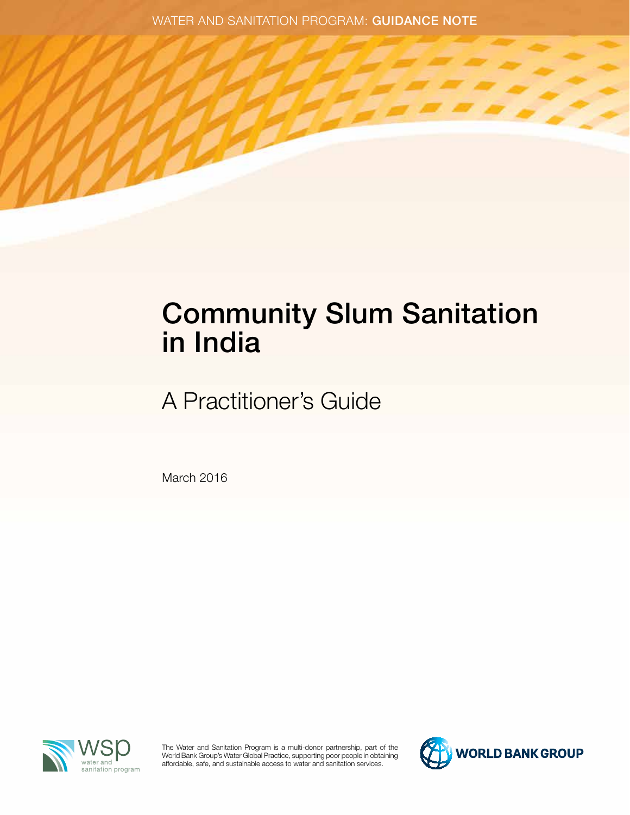WATER AND SANITATION PROGRAM: GUIDANCE NOTE

# Community Slum Sanitation in India

# A Practitioner's Guide

March 2016



The Water and Sanitation Program is a multi-donor partnership, part of the World Bank Group's Water Global Practice, supporting poor people in obtaining affordable, safe, and sustainable access to water and sanitation services.

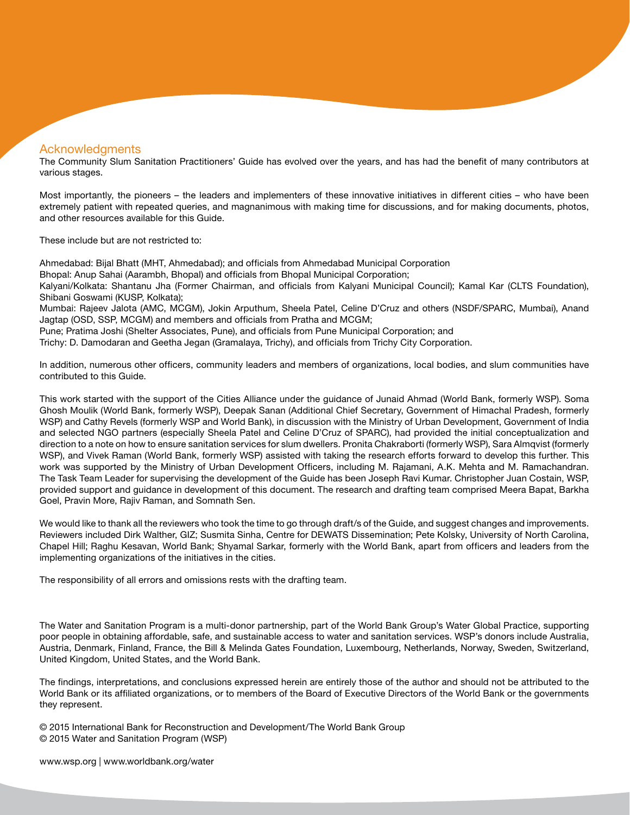# Acknowledgments

The Community Slum Sanitation Practitioners' Guide has evolved over the years, and has had the benefit of many contributors at various stages.

Most importantly, the pioneers – the leaders and implementers of these innovative initiatives in different cities – who have been extremely patient with repeated queries, and magnanimous with making time for discussions, and for making documents, photos, and other resources available for this Guide.

These include but are not restricted to:

Ahmedabad: Bijal Bhatt (MHT, Ahmedabad); and officials from Ahmedabad Municipal Corporation Bhopal: Anup Sahai (Aarambh, Bhopal) and officials from Bhopal Municipal Corporation; Kalyani/Kolkata: Shantanu Jha (Former Chairman, and officials from Kalyani Municipal Council); Kamal Kar (CLTS Foundation), Shibani Goswami (KUSP, Kolkata); Mumbai: Rajeev Jalota (AMC, MCGM), Jokin Arputhum, Sheela Patel, Celine D'Cruz and others (NSDF/SPARC, Mumbai), Anand Jagtap (OSD, SSP, MCGM) and members and officials from Pratha and MCGM; Pune; Pratima Joshi (Shelter Associates, Pune), and officials from Pune Municipal Corporation; and Trichy: D. Damodaran and Geetha Jegan (Gramalaya, Trichy), and officials from Trichy City Corporation.

In addition, numerous other officers, community leaders and members of organizations, local bodies, and slum communities have contributed to this Guide.

This work started with the support of the Cities Alliance under the guidance of Junaid Ahmad (World Bank, formerly WSP). Soma Ghosh Moulik (World Bank, formerly WSP), Deepak Sanan (Additional Chief Secretary, Government of Himachal Pradesh, formerly WSP) and Cathy Revels (formerly WSP and World Bank), in discussion with the Ministry of Urban Development, Government of India and selected NGO partners (especially Sheela Patel and Celine D'Cruz of SPARC), had provided the initial conceptualization and direction to a note on how to ensure sanitation services for slum dwellers. Pronita Chakraborti (formerly WSP), Sara Almqvist (formerly WSP), and Vivek Raman (World Bank, formerly WSP) assisted with taking the research efforts forward to develop this further. This work was supported by the Ministry of Urban Development Officers, including M. Rajamani, A.K. Mehta and M. Ramachandran. The Task Team Leader for supervising the development of the Guide has been Joseph Ravi Kumar. Christopher Juan Costain, WSP, provided support and guidance in development of this document. The research and drafting team comprised Meera Bapat, Barkha Goel, Pravin More, Rajiv Raman, and Somnath Sen.

We would like to thank all the reviewers who took the time to go through draft/s of the Guide, and suggest changes and improvements. Reviewers included Dirk Walther, GIZ; Susmita Sinha, Centre for DEWATS Dissemination; Pete Kolsky, University of North Carolina, Chapel Hill; Raghu Kesavan, World Bank; Shyamal Sarkar, formerly with the World Bank, apart from officers and leaders from the implementing organizations of the initiatives in the cities.

The responsibility of all errors and omissions rests with the drafting team.

The Water and Sanitation Program is a multi-donor partnership, part of the World Bank Group's Water Global Practice, supporting poor people in obtaining affordable, safe, and sustainable access to water and sanitation services. WSP's donors include Australia, Austria, Denmark, Finland, France, the Bill & Melinda Gates Foundation, Luxembourg, Netherlands, Norway, Sweden, Switzerland, United Kingdom, United States, and the World Bank.

The findings, interpretations, and conclusions expressed herein are entirely those of the author and should not be attributed to the World Bank or its affiliated organizations, or to members of the Board of Executive Directors of the World Bank or the governments they represent.

© 2015 International Bank for Reconstruction and Development/The World Bank Group © 2015 Water and Sanitation Program (WSP)

www.wsp.org | www.worldbank.org/water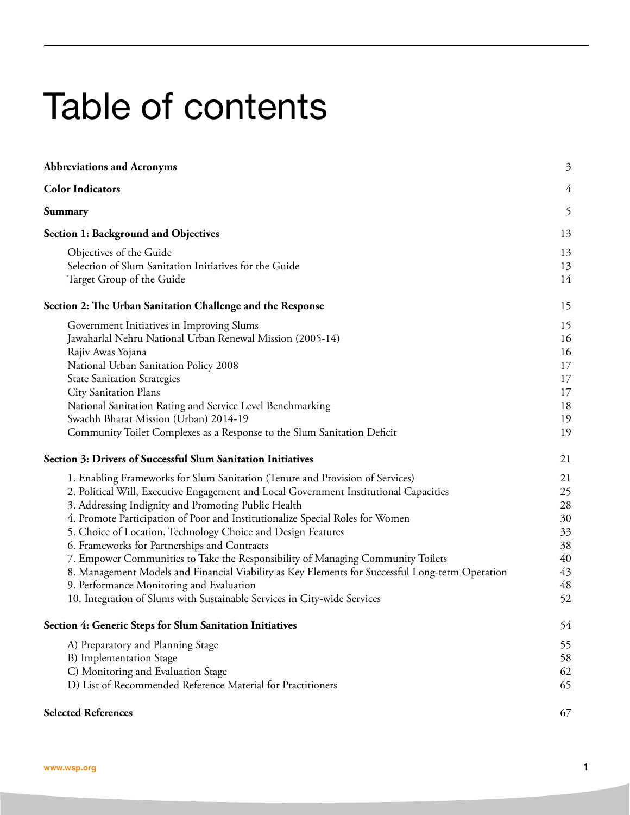# Table of contents

| <b>Abbreviations and Acronyms</b>                                                                                                                                                                                                                                                                                                                                                                                                                                                                                                                                                                                                                                                                                                            | $\mathfrak{Z}$                                           |
|----------------------------------------------------------------------------------------------------------------------------------------------------------------------------------------------------------------------------------------------------------------------------------------------------------------------------------------------------------------------------------------------------------------------------------------------------------------------------------------------------------------------------------------------------------------------------------------------------------------------------------------------------------------------------------------------------------------------------------------------|----------------------------------------------------------|
| <b>Color Indicators</b>                                                                                                                                                                                                                                                                                                                                                                                                                                                                                                                                                                                                                                                                                                                      | $\overline{4}$                                           |
| Summary                                                                                                                                                                                                                                                                                                                                                                                                                                                                                                                                                                                                                                                                                                                                      | 5                                                        |
| <b>Section 1: Background and Objectives</b>                                                                                                                                                                                                                                                                                                                                                                                                                                                                                                                                                                                                                                                                                                  | 13                                                       |
| Objectives of the Guide<br>Selection of Slum Sanitation Initiatives for the Guide<br>Target Group of the Guide                                                                                                                                                                                                                                                                                                                                                                                                                                                                                                                                                                                                                               | 13<br>13<br>14                                           |
| Section 2: The Urban Sanitation Challenge and the Response                                                                                                                                                                                                                                                                                                                                                                                                                                                                                                                                                                                                                                                                                   | 15                                                       |
| Government Initiatives in Improving Slums<br>Jawaharlal Nehru National Urban Renewal Mission (2005-14)<br>Rajiv Awas Yojana<br>National Urban Sanitation Policy 2008<br><b>State Sanitation Strategies</b><br><b>City Sanitation Plans</b><br>National Sanitation Rating and Service Level Benchmarking<br>Swachh Bharat Mission (Urban) 2014-19<br>Community Toilet Complexes as a Response to the Slum Sanitation Deficit                                                                                                                                                                                                                                                                                                                  | 15<br>16<br>16<br>17<br>17<br>17<br>18<br>19<br>19       |
| Section 3: Drivers of Successful Slum Sanitation Initiatives                                                                                                                                                                                                                                                                                                                                                                                                                                                                                                                                                                                                                                                                                 | 21                                                       |
| 1. Enabling Frameworks for Slum Sanitation (Tenure and Provision of Services)<br>2. Political Will, Executive Engagement and Local Government Institutional Capacities<br>3. Addressing Indignity and Promoting Public Health<br>4. Promote Participation of Poor and Institutionalize Special Roles for Women<br>5. Choice of Location, Technology Choice and Design Features<br>6. Frameworks for Partnerships and Contracts<br>7. Empower Communities to Take the Responsibility of Managing Community Toilets<br>8. Management Models and Financial Viability as Key Elements for Successful Long-term Operation<br>9. Performance Monitoring and Evaluation<br>10. Integration of Slums with Sustainable Services in City-wide Services | 21<br>25<br>28<br>30<br>33<br>38<br>40<br>43<br>48<br>52 |
| Section 4: Generic Steps for Slum Sanitation Initiatives                                                                                                                                                                                                                                                                                                                                                                                                                                                                                                                                                                                                                                                                                     | 54                                                       |
| A) Preparatory and Planning Stage<br>B) Implementation Stage<br>C) Monitoring and Evaluation Stage<br>D) List of Recommended Reference Material for Practitioners                                                                                                                                                                                                                                                                                                                                                                                                                                                                                                                                                                            | 55<br>58<br>62<br>65                                     |
| <b>Selected References</b>                                                                                                                                                                                                                                                                                                                                                                                                                                                                                                                                                                                                                                                                                                                   | 67                                                       |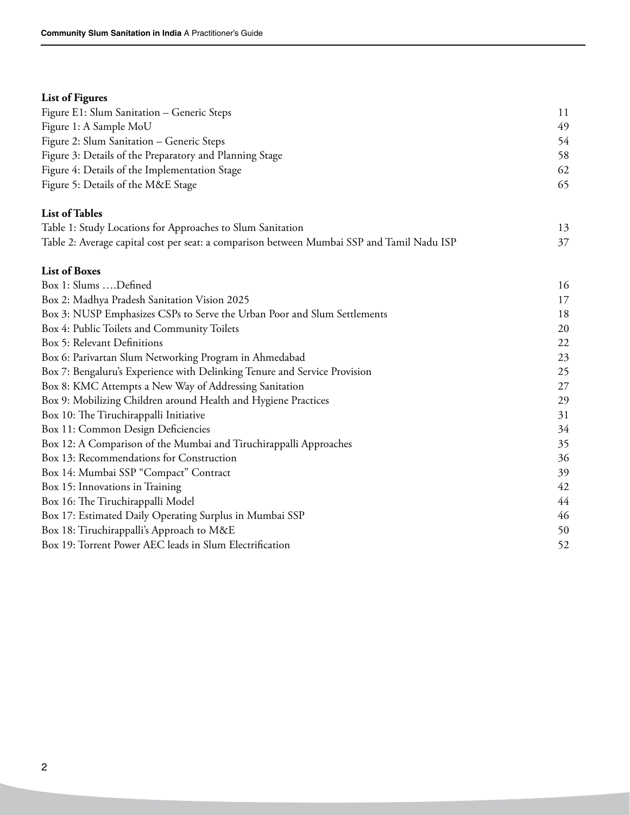# **List of Figures**

| Figure E1: Slum Sanitation - Generic Steps                                                 | 11 |
|--------------------------------------------------------------------------------------------|----|
| Figure 1: A Sample MoU                                                                     | 49 |
| Figure 2: Slum Sanitation - Generic Steps                                                  | 54 |
| Figure 3: Details of the Preparatory and Planning Stage                                    | 58 |
| Figure 4: Details of the Implementation Stage                                              | 62 |
| Figure 5: Details of the M&E Stage                                                         | 65 |
| <b>List of Tables</b>                                                                      |    |
| Table 1: Study Locations for Approaches to Slum Sanitation                                 | 13 |
| Table 2: Average capital cost per seat: a comparison between Mumbai SSP and Tamil Nadu ISP | 37 |
| <b>List of Boxes</b>                                                                       |    |
| Box 1: Slums Defined                                                                       | 16 |
| Box 2: Madhya Pradesh Sanitation Vision 2025                                               | 17 |
| Box 3: NUSP Emphasizes CSPs to Serve the Urban Poor and Slum Settlements                   | 18 |
| Box 4: Public Toilets and Community Toilets                                                | 20 |
| Box 5: Relevant Definitions                                                                | 22 |
| Box 6: Parivartan Slum Networking Program in Ahmedabad                                     | 23 |
| Box 7: Bengaluru's Experience with Delinking Tenure and Service Provision                  | 25 |
| Box 8: KMC Attempts a New Way of Addressing Sanitation                                     | 27 |
| Box 9: Mobilizing Children around Health and Hygiene Practices                             | 29 |
| Box 10: The Tiruchirappalli Initiative                                                     | 31 |
| Box 11: Common Design Deficiencies                                                         | 34 |
| Box 12: A Comparison of the Mumbai and Tiruchirappalli Approaches                          | 35 |
| Box 13: Recommendations for Construction                                                   | 36 |
| Box 14: Mumbai SSP "Compact" Contract                                                      | 39 |
| Box 15: Innovations in Training                                                            | 42 |
| Box 16: The Tiruchirappalli Model                                                          | 44 |
| Box 17: Estimated Daily Operating Surplus in Mumbai SSP                                    | 46 |
| Box 18: Tiruchirappalli's Approach to M&E                                                  | 50 |
| Box 19: Torrent Power AEC leads in Slum Electrification                                    | 52 |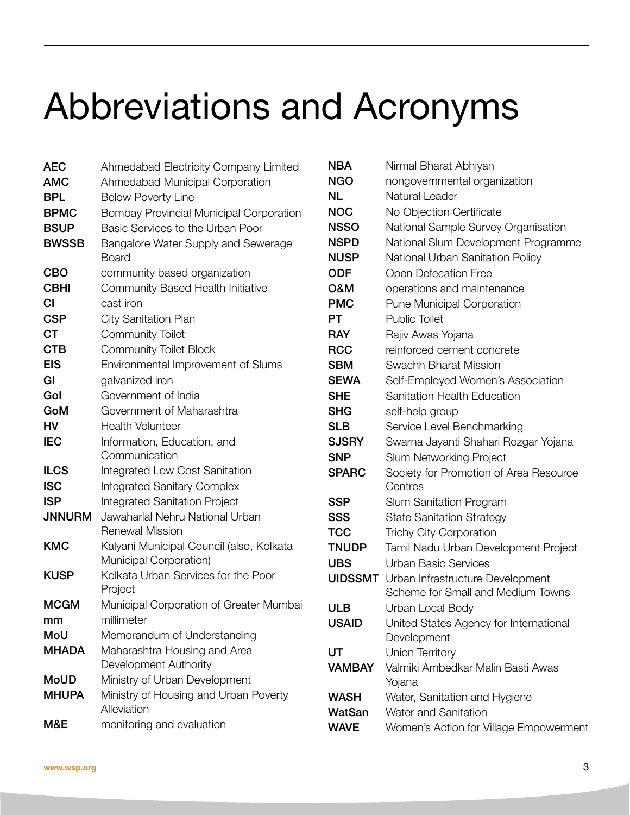# Abbreviations and Acronyms

| <b>AEC</b>          | Ahmedabad Electricity Company Limited                 |
|---------------------|-------------------------------------------------------|
| <b>AMC</b>          | Ahmedabad Municipal Corporation                       |
| <b>BPL</b>          | <b>Below Poverty Line</b>                             |
| <b>BPMC</b>         | <b>Bombay Provincial Municipal Corporation</b>        |
| <b>BSUP</b>         | Basic Services to the Urban Poor                      |
| <b>BWSSB</b>        | Bangalore Water Supply and Sewerage                   |
|                     | Board                                                 |
| <b>CBO</b>          | community based organization                          |
| <b>CBHI</b>         | Community Based Health Initiative                     |
| <b>CI</b>           | cast iron                                             |
| <b>CSP</b>          | <b>City Sanitation Plan</b>                           |
| <b>CT</b>           | <b>Community Toilet</b>                               |
| <b>CTB</b>          | <b>Community Toilet Block</b>                         |
| <b>EIS</b>          | Environmental Improvement of Slums                    |
| GI                  | galvanized iron                                       |
| Gol                 | Government of India                                   |
| GoM                 | Government of Maharashtra                             |
| <b>HV</b>           | <b>Health Volunteer</b>                               |
| <b>IEC</b>          | Information, Education, and                           |
|                     | Communication                                         |
| <b>ILCS</b>         | Integrated Low Cost Sanitation                        |
| <b>ISC</b>          | <b>Integrated Sanitary Complex</b>                    |
| <b>ISP</b>          | <b>Integrated Sanitation Project</b>                  |
| <b>JNNURM</b>       | Jawaharlal Nehru National Urban                       |
|                     | <b>Renewal Mission</b>                                |
| <b>KMC</b>          | Kalyani Municipal Council (also, Kolkata              |
|                     | Municipal Corporation)                                |
| <b>KUSP</b>         | Kolkata Urban Services for the Poor                   |
|                     | Project                                               |
| <b>MCGM</b>         | Municipal Corporation of Greater Mumbai               |
| mm                  | millimeter                                            |
| MoU<br><b>MHADA</b> | Memorandum of Understanding                           |
|                     | Maharashtra Housing and Area<br>Development Authority |
| <b>MoUD</b>         | Ministry of Urban Development                         |
| <b>MHUPA</b>        | Ministry of Housing and Urban Poverty                 |
|                     | Alleviation                                           |
| M&E                 | monitoring and evaluation                             |
|                     |                                                       |

| <b>NBA</b>    | Nirmal Bharat Abhiyan                             |
|---------------|---------------------------------------------------|
| <b>NGO</b>    | nongovernmental organization                      |
| <b>NL</b>     | Natural Leader                                    |
| <b>NOC</b>    | No Objection Certificate                          |
| <b>NSSO</b>   | National Sample Survey Organisation               |
| <b>NSPD</b>   | National Slum Development Programme               |
| <b>NUSP</b>   | National Urban Sanitation Policy                  |
| <b>ODF</b>    | Open Defecation Free                              |
| 0&M           | operations and maintenance                        |
| <b>PMC</b>    | Pune Municipal Corporation                        |
| <b>PT</b>     | <b>Public Toilet</b>                              |
| <b>RAY</b>    | Rajiv Awas Yojana                                 |
| <b>RCC</b>    | reinforced cement concrete                        |
| <b>SBM</b>    | Swachh Bharat Mission                             |
| <b>SEWA</b>   | Self-Employed Women's Association                 |
| <b>SHE</b>    | Sanitation Health Education                       |
| <b>SHG</b>    | self-help group                                   |
| <b>SLB</b>    | Service Level Benchmarking                        |
| <b>SJSRY</b>  | Swarna Jayanti Shahari Rozgar Yojana              |
| <b>SNP</b>    | Slum Networking Project                           |
| <b>SPARC</b>  | Society for Promotion of Area Resource<br>Centres |
| <b>SSP</b>    | <b>Slum Sanitation Program</b>                    |
| <b>SSS</b>    | <b>State Sanitation Strategy</b>                  |
| <b>TCC</b>    | <b>Trichy City Corporation</b>                    |
| <b>TNUDP</b>  | Tamil Nadu Urban Development Project              |
| <b>UBS</b>    | <b>Urban Basic Services</b>                       |
|               | <b>UIDSSMT</b> Urban Infrastructure Development   |
|               | Scheme for Small and Medium Towns                 |
| <b>ULB</b>    | Urban Local Body                                  |
| <b>USAID</b>  | United States Agency for International            |
|               | Development                                       |
| UT            | <b>Union Territory</b>                            |
| <b>VAMBAY</b> | Valmiki Ambedkar Malin Basti Awas<br>Yojana       |
| <b>WASH</b>   | Water, Sanitation and Hygiene                     |
| WatSan        | Water and Sanitation                              |
| <b>WAVE</b>   | Women's Action for Village Empowerment            |
|               |                                                   |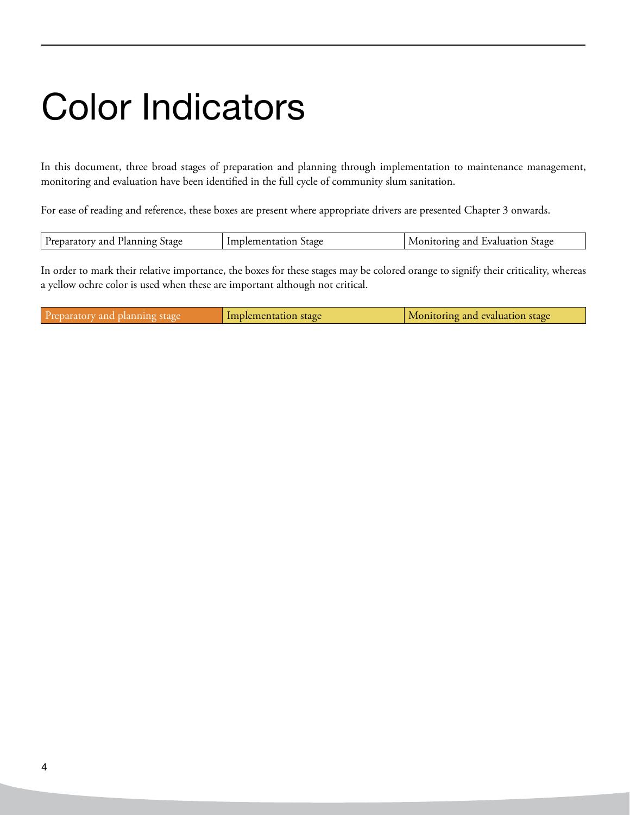# Color Indicators

In this document, three broad stages of preparation and planning through implementation to maintenance management, monitoring and evaluation have been identified in the full cycle of community slum sanitation.

For ease of reading and reference, these boxes are present where appropriate drivers are presented Chapter 3 onwards.

| $-$<br>.<br>$\mathbf{P}$<br>.<br>Stage<br>anc<br>-rian<br>' I U<br>l Ja | ətage<br>In<br>тна<br>19 I C | otage<br>and<br>Evaluation<br><b>DILLOTING</b> |
|-------------------------------------------------------------------------|------------------------------|------------------------------------------------|
|-------------------------------------------------------------------------|------------------------------|------------------------------------------------|

In order to mark their relative importance, the boxes for these stages may be colored orange to signify their criticality, whereas a yellow ochre color is used when these are important although not critical.

| <b>Preparatory and planning stage</b> | Implementation stage | Monitoring and evaluation stage |
|---------------------------------------|----------------------|---------------------------------|
|---------------------------------------|----------------------|---------------------------------|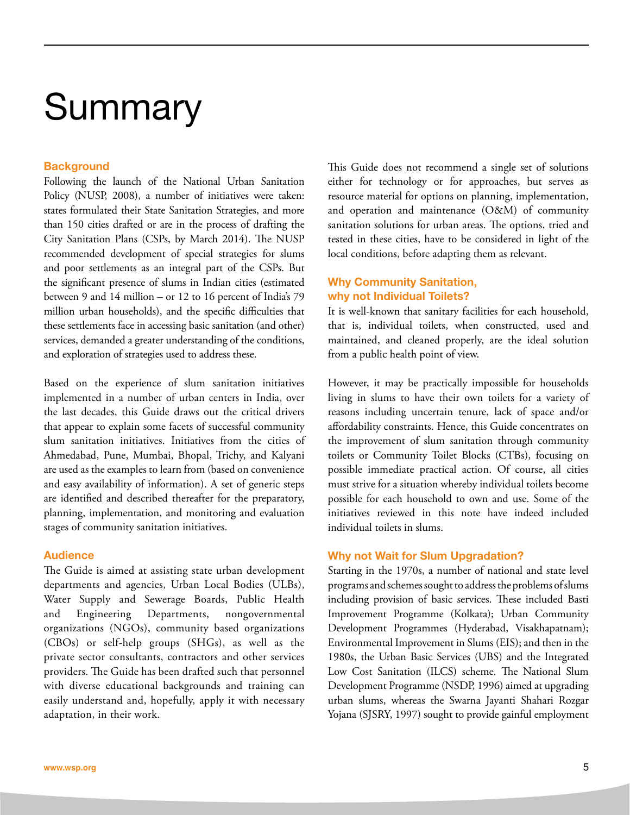# **Summary**

# **Background**

Following the launch of the National Urban Sanitation Policy (NUSP, 2008), a number of initiatives were taken: states formulated their State Sanitation Strategies, and more than 150 cities drafted or are in the process of drafting the City Sanitation Plans (CSPs, by March 2014). The NUSP recommended development of special strategies for slums and poor settlements as an integral part of the CSPs. But the significant presence of slums in Indian cities (estimated between 9 and 14 million – or 12 to 16 percent of India's 79 million urban households), and the specific difficulties that these settlements face in accessing basic sanitation (and other) services, demanded a greater understanding of the conditions, and exploration of strategies used to address these.

Based on the experience of slum sanitation initiatives implemented in a number of urban centers in India, over the last decades, this Guide draws out the critical drivers that appear to explain some facets of successful community slum sanitation initiatives. Initiatives from the cities of Ahmedabad, Pune, Mumbai, Bhopal, Trichy, and Kalyani are used as the examples to learn from (based on convenience and easy availability of information). A set of generic steps are identified and described thereafter for the preparatory, planning, implementation, and monitoring and evaluation stages of community sanitation initiatives.

### **Audience**

The Guide is aimed at assisting state urban development departments and agencies, Urban Local Bodies (ULBs), Water Supply and Sewerage Boards, Public Health and Engineering Departments, nongovernmental organizations (NGOs), community based organizations (CBOs) or self-help groups (SHGs), as well as the private sector consultants, contractors and other services providers. The Guide has been drafted such that personnel with diverse educational backgrounds and training can easily understand and, hopefully, apply it with necessary adaptation, in their work.

This Guide does not recommend a single set of solutions either for technology or for approaches, but serves as resource material for options on planning, implementation, and operation and maintenance (O&M) of community sanitation solutions for urban areas. The options, tried and tested in these cities, have to be considered in light of the local conditions, before adapting them as relevant.

# Why Community Sanitation, why not Individual Toilets?

It is well-known that sanitary facilities for each household, that is, individual toilets, when constructed, used and maintained, and cleaned properly, are the ideal solution from a public health point of view.

However, it may be practically impossible for households living in slums to have their own toilets for a variety of reasons including uncertain tenure, lack of space and/or affordability constraints. Hence, this Guide concentrates on the improvement of slum sanitation through community toilets or Community Toilet Blocks (CTBs), focusing on possible immediate practical action. Of course, all cities must strive for a situation whereby individual toilets become possible for each household to own and use. Some of the initiatives reviewed in this note have indeed included individual toilets in slums.

### Why not Wait for Slum Upgradation?

Starting in the 1970s, a number of national and state level programs and schemes sought to address the problems of slums including provision of basic services. These included Basti Improvement Programme (Kolkata); Urban Community Development Programmes (Hyderabad, Visakhapatnam); Environmental Improvement in Slums (EIS); and then in the 1980s, the Urban Basic Services (UBS) and the Integrated Low Cost Sanitation (ILCS) scheme. The National Slum Development Programme (NSDP, 1996) aimed at upgrading urban slums, whereas the Swarna Jayanti Shahari Rozgar Yojana (SJSRY, 1997) sought to provide gainful employment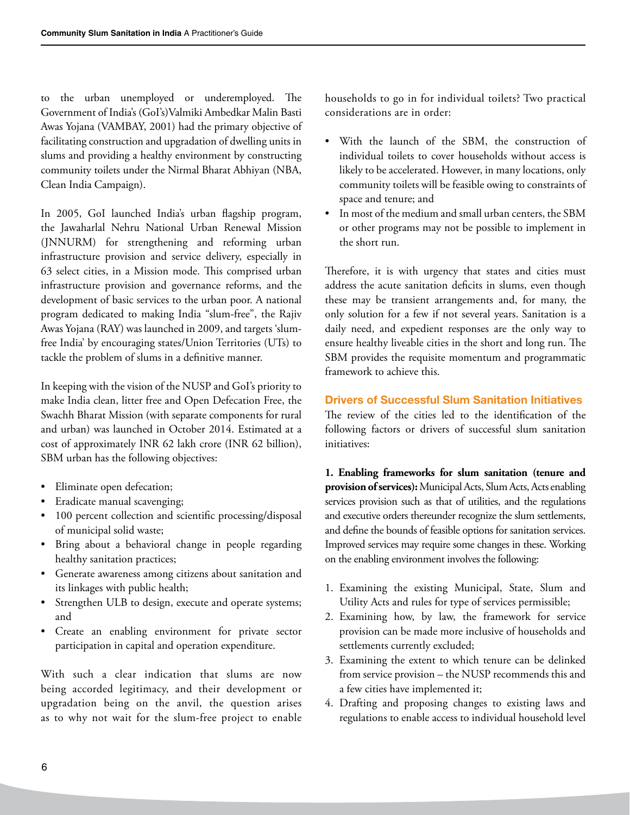to the urban unemployed or underemployed. The Government of India's (GoI's)Valmiki Ambedkar Malin Basti Awas Yojana (VAMBAY, 2001) had the primary objective of facilitating construction and upgradation of dwelling units in slums and providing a healthy environment by constructing community toilets under the Nirmal Bharat Abhiyan (NBA, Clean India Campaign).

In 2005, GoI launched India's urban flagship program, the Jawaharlal Nehru National Urban Renewal Mission (JNNURM) for strengthening and reforming urban infrastructure provision and service delivery, especially in 63 select cities, in a Mission mode. This comprised urban infrastructure provision and governance reforms, and the development of basic services to the urban poor. A national program dedicated to making India "slum-free", the Rajiv Awas Yojana (RAY) was launched in 2009, and targets 'slumfree India' by encouraging states/Union Territories (UTs) to tackle the problem of slums in a definitive manner.

In keeping with the vision of the NUSP and GoI's priority to make India clean, litter free and Open Defecation Free, the Swachh Bharat Mission (with separate components for rural and urban) was launched in October 2014. Estimated at a cost of approximately INR 62 lakh crore (INR 62 billion), SBM urban has the following objectives:

- • Eliminate open defecation;
- Eradicate manual scavenging;
- 100 percent collection and scientific processing/disposal of municipal solid waste;
- • Bring about a behavioral change in people regarding healthy sanitation practices;
- • Generate awareness among citizens about sanitation and its linkages with public health;
- Strengthen ULB to design, execute and operate systems; and
- Create an enabling environment for private sector participation in capital and operation expenditure.

With such a clear indication that slums are now being accorded legitimacy, and their development or upgradation being on the anvil, the question arises as to why not wait for the slum-free project to enable households to go in for individual toilets? Two practical considerations are in order:

- • With the launch of the SBM, the construction of individual toilets to cover households without access is likely to be accelerated. However, in many locations, only community toilets will be feasible owing to constraints of space and tenure; and
- • In most of the medium and small urban centers, the SBM or other programs may not be possible to implement in the short run.

Therefore, it is with urgency that states and cities must address the acute sanitation deficits in slums, even though these may be transient arrangements and, for many, the only solution for a few if not several years. Sanitation is a daily need, and expedient responses are the only way to ensure healthy liveable cities in the short and long run. The SBM provides the requisite momentum and programmatic framework to achieve this.

Drivers of Successful Slum Sanitation Initiatives The review of the cities led to the identification of the following factors or drivers of successful slum sanitation initiatives:

**1. Enabling frameworks for slum sanitation (tenure and provision of services):** Municipal Acts, Slum Acts, Acts enabling services provision such as that of utilities, and the regulations and executive orders thereunder recognize the slum settlements, and define the bounds of feasible options for sanitation services. Improved services may require some changes in these. Working on the enabling environment involves the following:

- 1. Examining the existing Municipal, State, Slum and Utility Acts and rules for type of services permissible;
- 2. Examining how, by law, the framework for service provision can be made more inclusive of households and settlements currently excluded;
- 3. Examining the extent to which tenure can be delinked from service provision – the NUSP recommends this and a few cities have implemented it;
- 4. Drafting and proposing changes to existing laws and regulations to enable access to individual household level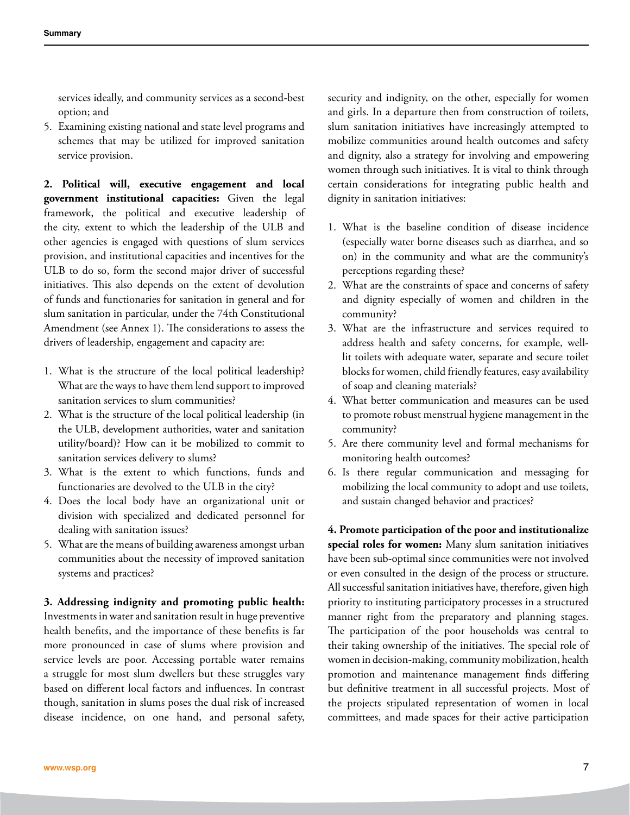services ideally, and community services as a second-best option; and

5. Examining existing national and state level programs and schemes that may be utilized for improved sanitation service provision.

**2. Political will, executive engagement and local government institutional capacities:** Given the legal framework, the political and executive leadership of the city, extent to which the leadership of the ULB and other agencies is engaged with questions of slum services provision, and institutional capacities and incentives for the ULB to do so, form the second major driver of successful initiatives. This also depends on the extent of devolution of funds and functionaries for sanitation in general and for slum sanitation in particular, under the 74th Constitutional Amendment (see Annex 1). The considerations to assess the drivers of leadership, engagement and capacity are:

- 1. What is the structure of the local political leadership? What are the ways to have them lend support to improved sanitation services to slum communities?
- 2. What is the structure of the local political leadership (in the ULB, development authorities, water and sanitation utility/board)? How can it be mobilized to commit to sanitation services delivery to slums?
- 3. What is the extent to which functions, funds and functionaries are devolved to the ULB in the city?
- 4. Does the local body have an organizational unit or division with specialized and dedicated personnel for dealing with sanitation issues?
- 5. What are the means of building awareness amongst urban communities about the necessity of improved sanitation systems and practices?

**3. Addressing indignity and promoting public health:**  Investments in water and sanitation result in huge preventive health benefits, and the importance of these benefits is far more pronounced in case of slums where provision and service levels are poor. Accessing portable water remains a struggle for most slum dwellers but these struggles vary based on different local factors and influences. In contrast though, sanitation in slums poses the dual risk of increased disease incidence, on one hand, and personal safety,

security and indignity, on the other, especially for women and girls. In a departure then from construction of toilets, slum sanitation initiatives have increasingly attempted to mobilize communities around health outcomes and safety and dignity, also a strategy for involving and empowering women through such initiatives. It is vital to think through certain considerations for integrating public health and dignity in sanitation initiatives:

- 1. What is the baseline condition of disease incidence (especially water borne diseases such as diarrhea, and so on) in the community and what are the community's perceptions regarding these?
- 2. What are the constraints of space and concerns of safety and dignity especially of women and children in the community?
- 3. What are the infrastructure and services required to address health and safety concerns, for example, welllit toilets with adequate water, separate and secure toilet blocks for women, child friendly features, easy availability of soap and cleaning materials?
- 4. What better communication and measures can be used to promote robust menstrual hygiene management in the community?
- 5. Are there community level and formal mechanisms for monitoring health outcomes?
- 6. Is there regular communication and messaging for mobilizing the local community to adopt and use toilets, and sustain changed behavior and practices?

**4. Promote participation of the poor and institutionalize special roles for women:** Many slum sanitation initiatives have been sub-optimal since communities were not involved or even consulted in the design of the process or structure. All successful sanitation initiatives have, therefore, given high priority to instituting participatory processes in a structured manner right from the preparatory and planning stages. The participation of the poor households was central to their taking ownership of the initiatives. The special role of women in decision-making, community mobilization, health promotion and maintenance management finds differing but definitive treatment in all successful projects. Most of the projects stipulated representation of women in local committees, and made spaces for their active participation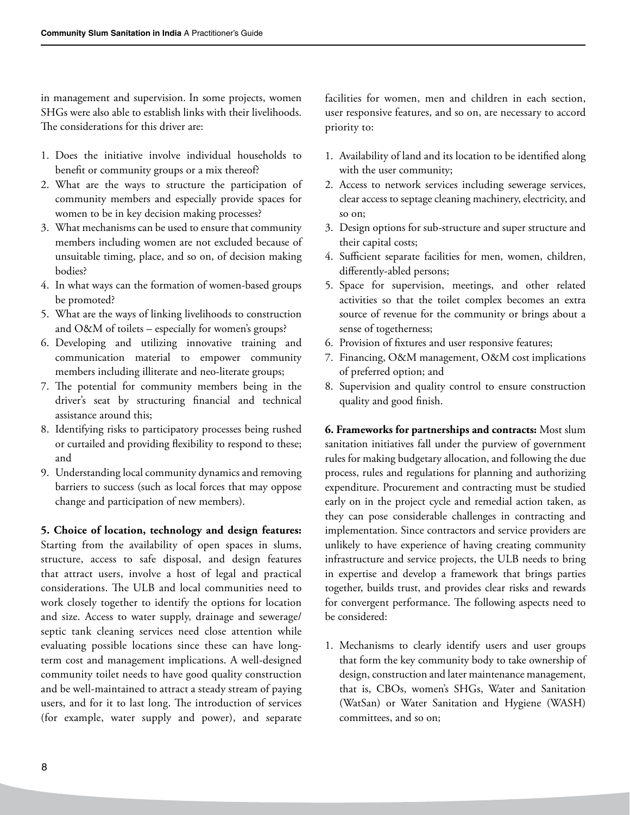in management and supervision. In some projects, women SHGs were also able to establish links with their livelihoods. The considerations for this driver are:

- 1. Does the initiative involve individual households to benefit or community groups or a mix thereof?
- 2. What are the ways to structure the participation of community members and especially provide spaces for women to be in key decision making processes?
- 3. What mechanisms can be used to ensure that community members including women are not excluded because of unsuitable timing, place, and so on, of decision making bodies?
- 4. In what ways can the formation of women-based groups be promoted?
- 5. What are the ways of linking livelihoods to construction and O&M of toilets – especially for women's groups?
- 6. Developing and utilizing innovative training and communication material to empower community members including illiterate and neo-literate groups;
- 7. The potential for community members being in the driver's seat by structuring financial and technical assistance around this;
- 8. Identifying risks to participatory processes being rushed or curtailed and providing flexibility to respond to these; and
- 9. Understanding local community dynamics and removing barriers to success (such as local forces that may oppose change and participation of new members).

**5. Choice of location, technology and design features:**  Starting from the availability of open spaces in slums, structure, access to safe disposal, and design features that attract users, involve a host of legal and practical considerations. The ULB and local communities need to work closely together to identify the options for location and size. Access to water supply, drainage and sewerage/ septic tank cleaning services need close attention while evaluating possible locations since these can have longterm cost and management implications. A well-designed community toilet needs to have good quality construction and be well-maintained to attract a steady stream of paying users, and for it to last long. The introduction of services (for example, water supply and power), and separate

facilities for women, men and children in each section, user responsive features, and so on, are necessary to accord priority to:

- 1. Availability of land and its location to be identified along with the user community;
- 2. Access to network services including sewerage services, clear access to septage cleaning machinery, electricity, and so on;
- 3. Design options for sub-structure and super structure and their capital costs;
- 4. Sufficient separate facilities for men, women, children, differently-abled persons;
- 5. Space for supervision, meetings, and other related activities so that the toilet complex becomes an extra source of revenue for the community or brings about a sense of togetherness;
- 6. Provision of fixtures and user responsive features;
- 7. Financing, O&M management, O&M cost implications of preferred option; and
- 8. Supervision and quality control to ensure construction quality and good finish.

**6. Frameworks for partnerships and contracts:** Most slum sanitation initiatives fall under the purview of government rules for making budgetary allocation, and following the due process, rules and regulations for planning and authorizing expenditure. Procurement and contracting must be studied early on in the project cycle and remedial action taken, as they can pose considerable challenges in contracting and implementation. Since contractors and service providers are unlikely to have experience of having creating community infrastructure and service projects, the ULB needs to bring in expertise and develop a framework that brings parties together, builds trust, and provides clear risks and rewards for convergent performance. The following aspects need to be considered:

1. Mechanisms to clearly identify users and user groups that form the key community body to take ownership of design, construction and later maintenance management, that is, CBOs, women's SHGs, Water and Sanitation (WatSan) or Water Sanitation and Hygiene (WASH) committees, and so on;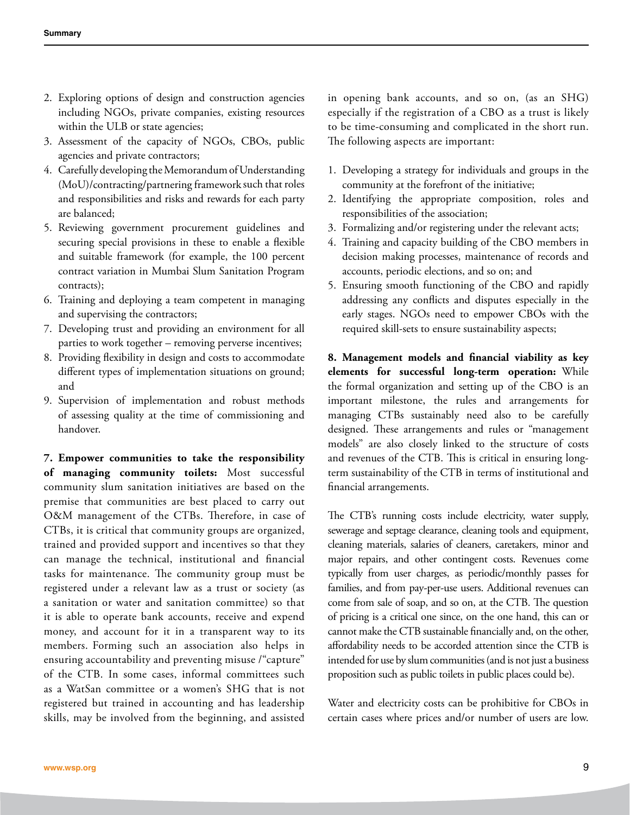- 2. Exploring options of design and construction agencies including NGOs, private companies, existing resources within the ULB or state agencies;
- 3. Assessment of the capacity of NGOs, CBOs, public agencies and private contractors;
- 4. Carefully developing the Memorandum of Understanding (MoU)/contracting/partnering framework such that roles and responsibilities and risks and rewards for each party are balanced;
- 5. Reviewing government procurement guidelines and securing special provisions in these to enable a flexible and suitable framework (for example, the 100 percent contract variation in Mumbai Slum Sanitation Program contracts);
- 6. Training and deploying a team competent in managing and supervising the contractors;
- 7. Developing trust and providing an environment for all parties to work together – removing perverse incentives;
- 8. Providing flexibility in design and costs to accommodate different types of implementation situations on ground; and
- 9. Supervision of implementation and robust methods of assessing quality at the time of commissioning and handover.

**7. Empower communities to take the responsibility of managing community toilets:** Most successful community slum sanitation initiatives are based on the premise that communities are best placed to carry out O&M management of the CTBs. Therefore, in case of CTBs, it is critical that community groups are organized, trained and provided support and incentives so that they can manage the technical, institutional and financial tasks for maintenance. The community group must be registered under a relevant law as a trust or society (as a sanitation or water and sanitation committee) so that it is able to operate bank accounts, receive and expend money, and account for it in a transparent way to its members. Forming such an association also helps in ensuring accountability and preventing misuse /"capture" of the CTB. In some cases, informal committees such as a WatSan committee or a women's SHG that is not registered but trained in accounting and has leadership skills, may be involved from the beginning, and assisted

in opening bank accounts, and so on, (as an SHG) especially if the registration of a CBO as a trust is likely to be time-consuming and complicated in the short run. The following aspects are important:

- 1. Developing a strategy for individuals and groups in the community at the forefront of the initiative;
- 2. Identifying the appropriate composition, roles and responsibilities of the association;
- 3. Formalizing and/or registering under the relevant acts;
- 4. Training and capacity building of the CBO members in decision making processes, maintenance of records and accounts, periodic elections, and so on; and
- 5. Ensuring smooth functioning of the CBO and rapidly addressing any conflicts and disputes especially in the early stages. NGOs need to empower CBOs with the required skill-sets to ensure sustainability aspects;

**8. Management models and financial viability as key elements for successful long-term operation:** While the formal organization and setting up of the CBO is an important milestone, the rules and arrangements for managing CTBs sustainably need also to be carefully designed. These arrangements and rules or "management models" are also closely linked to the structure of costs and revenues of the CTB. This is critical in ensuring longterm sustainability of the CTB in terms of institutional and financial arrangements.

The CTB's running costs include electricity, water supply, sewerage and septage clearance, cleaning tools and equipment, cleaning materials, salaries of cleaners, caretakers, minor and major repairs, and other contingent costs. Revenues come typically from user charges, as periodic/monthly passes for families, and from pay-per-use users. Additional revenues can come from sale of soap, and so on, at the CTB. The question of pricing is a critical one since, on the one hand, this can or cannot make the CTB sustainable financially and, on the other, affordability needs to be accorded attention since the CTB is intended for use by slum communities (and is not just a business proposition such as public toilets in public places could be).

Water and electricity costs can be prohibitive for CBOs in certain cases where prices and/or number of users are low.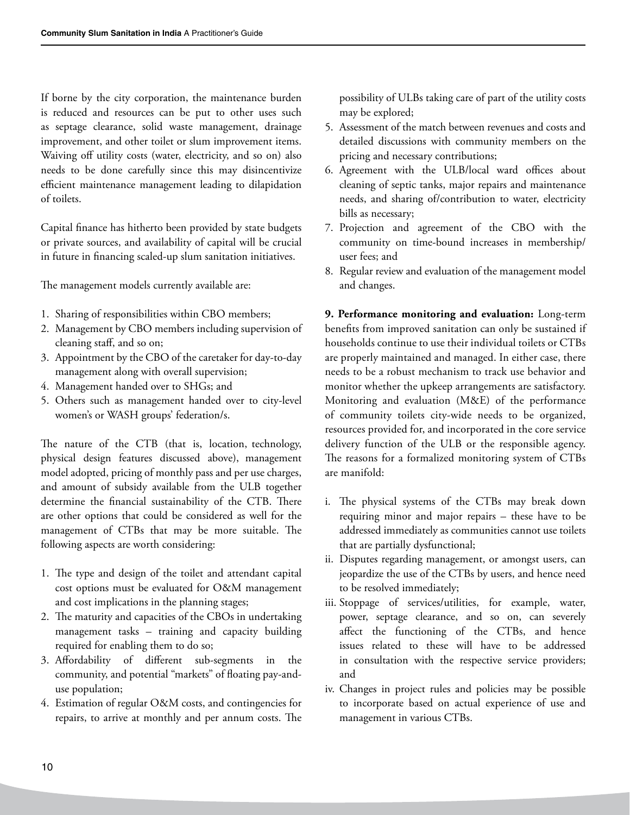If borne by the city corporation, the maintenance burden is reduced and resources can be put to other uses such as septage clearance, solid waste management, drainage improvement, and other toilet or slum improvement items. Waiving off utility costs (water, electricity, and so on) also needs to be done carefully since this may disincentivize efficient maintenance management leading to dilapidation of toilets.

Capital finance has hitherto been provided by state budgets or private sources, and availability of capital will be crucial in future in financing scaled-up slum sanitation initiatives.

The management models currently available are:

- 1. Sharing of responsibilities within CBO members;
- 2. Management by CBO members including supervision of cleaning staff, and so on;
- 3. Appointment by the CBO of the caretaker for day-to-day management along with overall supervision;
- 4. Management handed over to SHGs; and
- 5. Others such as management handed over to city-level women's or WASH groups' federation/s.

The nature of the CTB (that is, location, technology, physical design features discussed above), management model adopted, pricing of monthly pass and per use charges, and amount of subsidy available from the ULB together determine the financial sustainability of the CTB. There are other options that could be considered as well for the management of CTBs that may be more suitable. The following aspects are worth considering:

- 1. The type and design of the toilet and attendant capital cost options must be evaluated for O&M management and cost implications in the planning stages;
- 2. The maturity and capacities of the CBOs in undertaking management tasks – training and capacity building required for enabling them to do so;
- 3. Affordability of different sub-segments in the community, and potential "markets" of floating pay-anduse population;
- 4. Estimation of regular O&M costs, and contingencies for repairs, to arrive at monthly and per annum costs. The

possibility of ULBs taking care of part of the utility costs may be explored;

- 5. Assessment of the match between revenues and costs and detailed discussions with community members on the pricing and necessary contributions;
- 6. Agreement with the ULB/local ward offices about cleaning of septic tanks, major repairs and maintenance needs, and sharing of/contribution to water, electricity bills as necessary;
- 7. Projection and agreement of the CBO with the community on time-bound increases in membership/ user fees; and
- 8. Regular review and evaluation of the management model and changes.

**9. Performance monitoring and evaluation:** Long-term benefits from improved sanitation can only be sustained if households continue to use their individual toilets or CTBs are properly maintained and managed. In either case, there needs to be a robust mechanism to track use behavior and monitor whether the upkeep arrangements are satisfactory. Monitoring and evaluation (M&E) of the performance of community toilets city-wide needs to be organized, resources provided for, and incorporated in the core service delivery function of the ULB or the responsible agency. The reasons for a formalized monitoring system of CTBs are manifold:

- i. The physical systems of the CTBs may break down requiring minor and major repairs – these have to be addressed immediately as communities cannot use toilets that are partially dysfunctional;
- ii. Disputes regarding management, or amongst users, can jeopardize the use of the CTBs by users, and hence need to be resolved immediately;
- iii. Stoppage of services/utilities, for example, water, power, septage clearance, and so on, can severely affect the functioning of the CTBs, and hence issues related to these will have to be addressed in consultation with the respective service providers; and
- iv. Changes in project rules and policies may be possible to incorporate based on actual experience of use and management in various CTBs.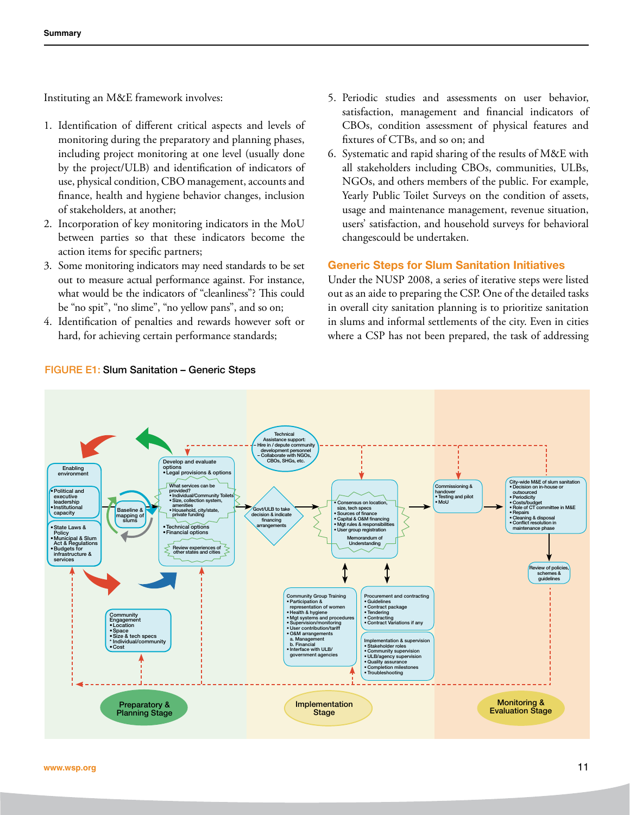Instituting an M&E framework involves:

- 1. Identification of different critical aspects and levels of monitoring during the preparatory and planning phases, including project monitoring at one level (usually done by the project/ULB) and identification of indicators of use, physical condition, CBO management, accounts and finance, health and hygiene behavior changes, inclusion of stakeholders, at another;
- 2. Incorporation of key monitoring indicators in the MoU between parties so that these indicators become the action items for specific partners;
- 3. Some monitoring indicators may need standards to be set out to measure actual performance against. For instance, what would be the indicators of "cleanliness"? This could be "no spit", "no slime", "no yellow pans", and so on;
- 4. Identification of penalties and rewards however soft or hard, for achieving certain performance standards;
- 5. Periodic studies and assessments on user behavior, satisfaction, management and financial indicators of CBOs, condition assessment of physical features and fixtures of CTBs, and so on; and
- 6. Systematic and rapid sharing of the results of M&E with all stakeholders including CBOs, communities, ULBs, NGOs, and others members of the public. For example, Yearly Public Toilet Surveys on the condition of assets, usage and maintenance management, revenue situation, users' satisfaction, and household surveys for behavioral changescould be undertaken.

# Generic Steps for Slum Sanitation Initiatives

Under the NUSP 2008, a series of iterative steps were listed out as an aide to preparing the CSP. One of the detailed tasks in overall city sanitation planning is to prioritize sanitation in slums and informal settlements of the city. Even in cities where a CSP has not been prepared, the task of addressing



# FIGuRE E1: Slum Sanitation – Generic Steps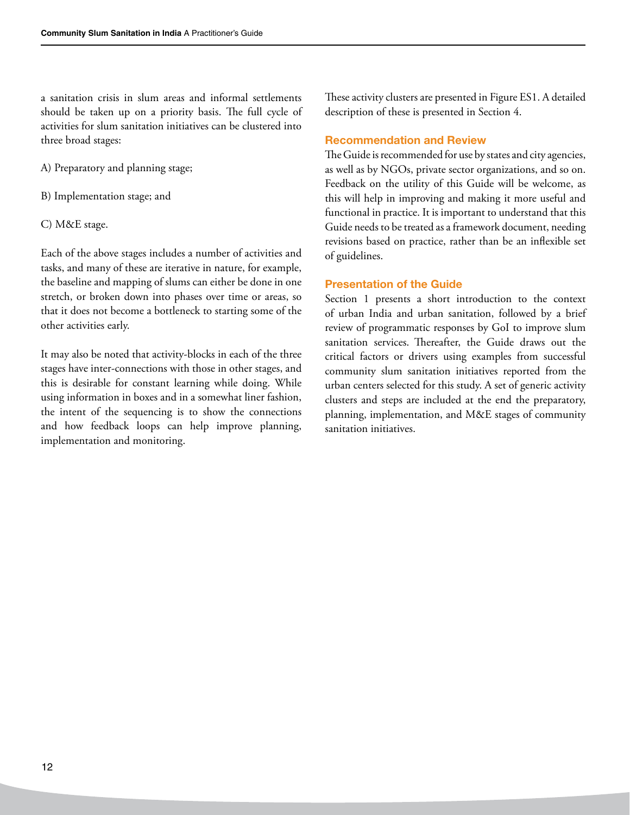a sanitation crisis in slum areas and informal settlements should be taken up on a priority basis. The full cycle of activities for slum sanitation initiatives can be clustered into three broad stages:

- A) Preparatory and planning stage;
- B) Implementation stage; and
- C) M&E stage.

Each of the above stages includes a number of activities and tasks, and many of these are iterative in nature, for example, the baseline and mapping of slums can either be done in one stretch, or broken down into phases over time or areas, so that it does not become a bottleneck to starting some of the other activities early.

It may also be noted that activity-blocks in each of the three stages have inter-connections with those in other stages, and this is desirable for constant learning while doing. While using information in boxes and in a somewhat liner fashion, the intent of the sequencing is to show the connections and how feedback loops can help improve planning, implementation and monitoring.

These activity clusters are presented in Figure ES1. A detailed description of these is presented in Section 4.

# Recommendation and Review

The Guide is recommended for use by states and city agencies, as well as by NGOs, private sector organizations, and so on. Feedback on the utility of this Guide will be welcome, as this will help in improving and making it more useful and functional in practice. It is important to understand that this Guide needs to be treated as a framework document, needing revisions based on practice, rather than be an inflexible set of guidelines.

# Presentation of the Guide

Section 1 presents a short introduction to the context of urban India and urban sanitation, followed by a brief review of programmatic responses by GoI to improve slum sanitation services. Thereafter, the Guide draws out the critical factors or drivers using examples from successful community slum sanitation initiatives reported from the urban centers selected for this study. A set of generic activity clusters and steps are included at the end the preparatory, planning, implementation, and M&E stages of community sanitation initiatives.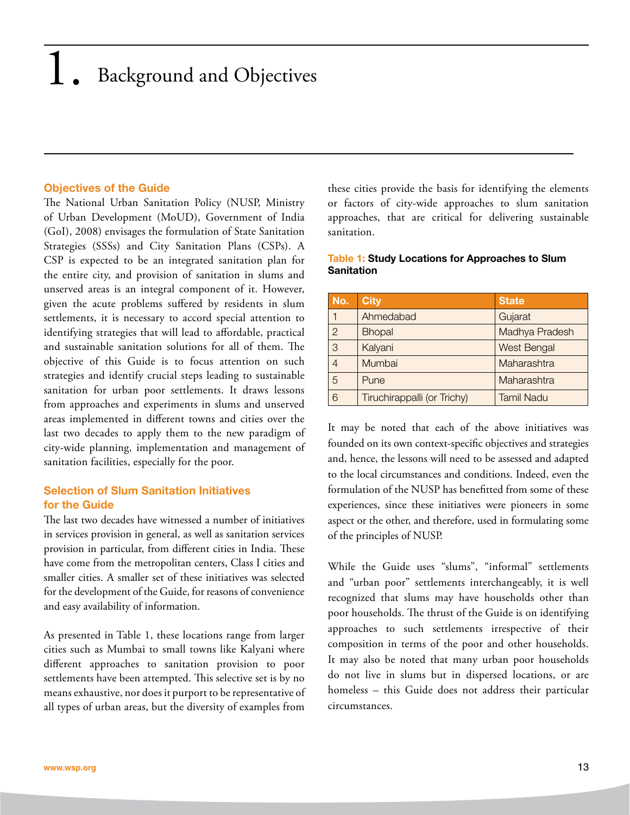# Background and Objectives

### Objectives of the Guide

The National Urban Sanitation Policy (NUSP, Ministry of Urban Development (MoUD), Government of India (GoI), 2008) envisages the formulation of State Sanitation Strategies (SSSs) and City Sanitation Plans (CSPs). A CSP is expected to be an integrated sanitation plan for the entire city, and provision of sanitation in slums and unserved areas is an integral component of it. However, given the acute problems suffered by residents in slum settlements, it is necessary to accord special attention to identifying strategies that will lead to affordable, practical and sustainable sanitation solutions for all of them. The objective of this Guide is to focus attention on such strategies and identify crucial steps leading to sustainable sanitation for urban poor settlements. It draws lessons from approaches and experiments in slums and unserved areas implemented in different towns and cities over the last two decades to apply them to the new paradigm of city-wide planning, implementation and management of sanitation facilities, especially for the poor.

# Selection of Slum Sanitation Initiatives for the Guide

The last two decades have witnessed a number of initiatives in services provision in general, as well as sanitation services provision in particular, from different cities in India. These have come from the metropolitan centers, Class I cities and smaller cities. A smaller set of these initiatives was selected for the development of the Guide, for reasons of convenience and easy availability of information.

As presented in Table 1, these locations range from larger cities such as Mumbai to small towns like Kalyani where different approaches to sanitation provision to poor settlements have been attempted. This selective set is by no means exhaustive, nor does it purport to be representative of all types of urban areas, but the diversity of examples from these cities provide the basis for identifying the elements or factors of city-wide approaches to slum sanitation approaches, that are critical for delivering sustainable sanitation.

# Table 1: Study Locations for Approaches to Slum Sanitation

| No.            | <b>City</b>                 | <b>State</b>       |
|----------------|-----------------------------|--------------------|
|                | Ahmedabad                   | Gujarat            |
| $\overline{2}$ | <b>Bhopal</b>               | Madhya Pradesh     |
| 3              | Kalyani                     | <b>West Bengal</b> |
| $\overline{4}$ | Mumbai                      | Maharashtra        |
| $\overline{5}$ | Pune                        | Maharashtra        |
| 6              | Tiruchirappalli (or Trichy) | <b>Tamil Nadu</b>  |

It may be noted that each of the above initiatives was founded on its own context-specific objectives and strategies and, hence, the lessons will need to be assessed and adapted to the local circumstances and conditions. Indeed, even the formulation of the NUSP has benefitted from some of these experiences, since these initiatives were pioneers in some aspect or the other, and therefore, used in formulating some of the principles of NUSP.

While the Guide uses "slums", "informal" settlements and "urban poor" settlements interchangeably, it is well recognized that slums may have households other than poor households. The thrust of the Guide is on identifying approaches to such settlements irrespective of their composition in terms of the poor and other households. It may also be noted that many urban poor households do not live in slums but in dispersed locations, or are homeless – this Guide does not address their particular circumstances.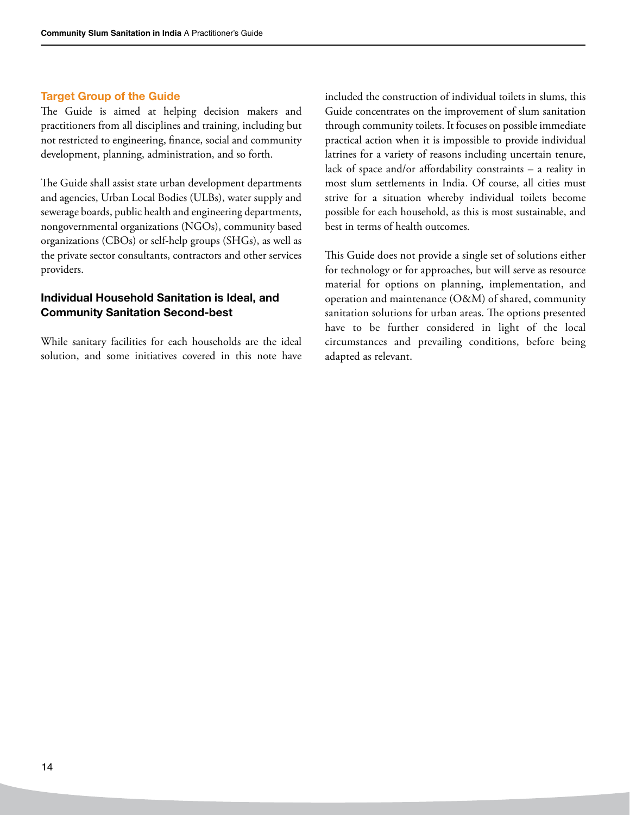# Target Group of the Guide

The Guide is aimed at helping decision makers and practitioners from all disciplines and training, including but not restricted to engineering, finance, social and community development, planning, administration, and so forth.

The Guide shall assist state urban development departments and agencies, Urban Local Bodies (ULBs), water supply and sewerage boards, public health and engineering departments, nongovernmental organizations (NGOs), community based organizations (CBOs) or self-help groups (SHGs), as well as the private sector consultants, contractors and other services providers.

# Individual Household Sanitation is Ideal, and Community Sanitation Second-best

While sanitary facilities for each households are the ideal solution, and some initiatives covered in this note have included the construction of individual toilets in slums, this Guide concentrates on the improvement of slum sanitation through community toilets. It focuses on possible immediate practical action when it is impossible to provide individual latrines for a variety of reasons including uncertain tenure, lack of space and/or affordability constraints – a reality in most slum settlements in India. Of course, all cities must strive for a situation whereby individual toilets become possible for each household, as this is most sustainable, and best in terms of health outcomes.

This Guide does not provide a single set of solutions either for technology or for approaches, but will serve as resource material for options on planning, implementation, and operation and maintenance (O&M) of shared, community sanitation solutions for urban areas. The options presented have to be further considered in light of the local circumstances and prevailing conditions, before being adapted as relevant.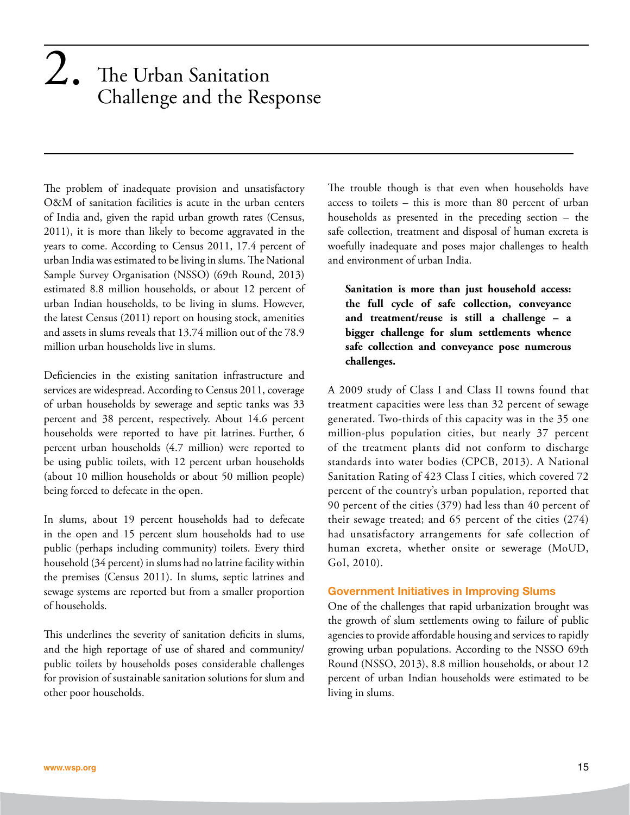# The Urban Sanitation Challenge and the Response

The problem of inadequate provision and unsatisfactory O&M of sanitation facilities is acute in the urban centers of India and, given the rapid urban growth rates (Census, 2011), it is more than likely to become aggravated in the years to come. According to Census 2011, 17.4 percent of urban India was estimated to be living in slums. The National Sample Survey Organisation (NSSO) (69th Round, 2013) estimated 8.8 million households, or about 12 percent of urban Indian households, to be living in slums. However, the latest Census (2011) report on housing stock, amenities and assets in slums reveals that 13.74 million out of the 78.9 million urban households live in slums.

Deficiencies in the existing sanitation infrastructure and services are widespread. According to Census 2011, coverage of urban households by sewerage and septic tanks was 33 percent and 38 percent, respectively. About 14.6 percent households were reported to have pit latrines. Further, 6 percent urban households (4.7 million) were reported to be using public toilets, with 12 percent urban households (about 10 million households or about 50 million people) being forced to defecate in the open.

In slums, about 19 percent households had to defecate in the open and 15 percent slum households had to use public (perhaps including community) toilets. Every third household (34 percent) in slums had no latrine facility within the premises (Census 2011). In slums, septic latrines and sewage systems are reported but from a smaller proportion of households.

This underlines the severity of sanitation deficits in slums, and the high reportage of use of shared and community/ public toilets by households poses considerable challenges for provision of sustainable sanitation solutions for slum and other poor households.

The trouble though is that even when households have access to toilets – this is more than 80 percent of urban households as presented in the preceding section – the safe collection, treatment and disposal of human excreta is woefully inadequate and poses major challenges to health and environment of urban India.

**Sanitation is more than just household access: the full cycle of safe collection, conveyance and treatment/reuse is still a challenge – a bigger challenge for slum settlements whence safe collection and conveyance pose numerous challenges.**

A 2009 study of Class I and Class II towns found that treatment capacities were less than 32 percent of sewage generated. Two-thirds of this capacity was in the 35 one million-plus population cities, but nearly 37 percent of the treatment plants did not conform to discharge standards into water bodies (CPCB, 2013). A National Sanitation Rating of 423 Class I cities, which covered 72 percent of the country's urban population, reported that 90 percent of the cities (379) had less than 40 percent of their sewage treated; and 65 percent of the cities (274) had unsatisfactory arrangements for safe collection of human excreta, whether onsite or sewerage (MoUD, GoI, 2010).

### Government Initiatives in Improving Slums

One of the challenges that rapid urbanization brought was the growth of slum settlements owing to failure of public agencies to provide affordable housing and services to rapidly growing urban populations. According to the NSSO 69th Round (NSSO, 2013), 8.8 million households, or about 12 percent of urban Indian households were estimated to be living in slums.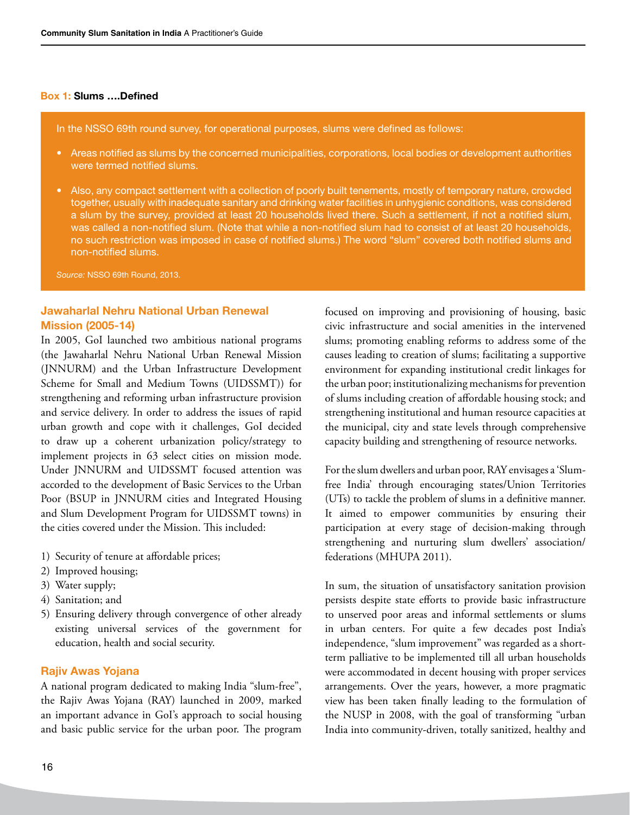#### Box 1: Slums ….Defined

In the NSSO 69th round survey, for operational purposes, slums were defined as follows:

- Areas notified as slums by the concerned municipalities, corporations, local bodies or development authorities were termed notified slums.
- Also, any compact settlement with a collection of poorly built tenements, mostly of temporary nature, crowded together, usually with inadequate sanitary and drinking water facilities in unhygienic conditions, was considered a slum by the survey, provided at least 20 households lived there. Such a settlement, if not a notified slum, was called a non-notified slum. (Note that while a non-notified slum had to consist of at least 20 households, no such restriction was imposed in case of notified slums.) The word "slum" covered both notified slums and non-notified slums.

*Source:* NSSO 69th Round, 2013.

# Jawaharlal Nehru National Urban Renewal Mission (2005-14)

In 2005, GoI launched two ambitious national programs (the Jawaharlal Nehru National Urban Renewal Mission (JNNURM) and the Urban Infrastructure Development Scheme for Small and Medium Towns (UIDSSMT)) for strengthening and reforming urban infrastructure provision and service delivery. In order to address the issues of rapid urban growth and cope with it challenges, GoI decided to draw up a coherent urbanization policy/strategy to implement projects in 63 select cities on mission mode. Under JNNURM and UIDSSMT focused attention was accorded to the development of Basic Services to the Urban Poor (BSUP in JNNURM cities and Integrated Housing and Slum Development Program for UIDSSMT towns) in the cities covered under the Mission. This included:

- 1) Security of tenure at affordable prices;
- 2) Improved housing;
- 3) Water supply;
- 4) Sanitation; and
- 5) Ensuring delivery through convergence of other already existing universal services of the government for education, health and social security.

#### Rajiv Awas Yojana

A national program dedicated to making India "slum-free", the Rajiv Awas Yojana (RAY) launched in 2009, marked an important advance in GoI's approach to social housing and basic public service for the urban poor. The program focused on improving and provisioning of housing, basic civic infrastructure and social amenities in the intervened slums; promoting enabling reforms to address some of the causes leading to creation of slums; facilitating a supportive environment for expanding institutional credit linkages for the urban poor; institutionalizing mechanisms for prevention of slums including creation of affordable housing stock; and strengthening institutional and human resource capacities at the municipal, city and state levels through comprehensive capacity building and strengthening of resource networks.

For the slum dwellers and urban poor, RAY envisages a 'Slumfree India' through encouraging states/Union Territories (UTs) to tackle the problem of slums in a definitive manner. It aimed to empower communities by ensuring their participation at every stage of decision-making through strengthening and nurturing slum dwellers' association/ federations (MHUPA 2011).

In sum, the situation of unsatisfactory sanitation provision persists despite state efforts to provide basic infrastructure to unserved poor areas and informal settlements or slums in urban centers. For quite a few decades post India's independence, "slum improvement" was regarded as a shortterm palliative to be implemented till all urban households were accommodated in decent housing with proper services arrangements. Over the years, however, a more pragmatic view has been taken finally leading to the formulation of the NUSP in 2008, with the goal of transforming "urban India into community-driven, totally sanitized, healthy and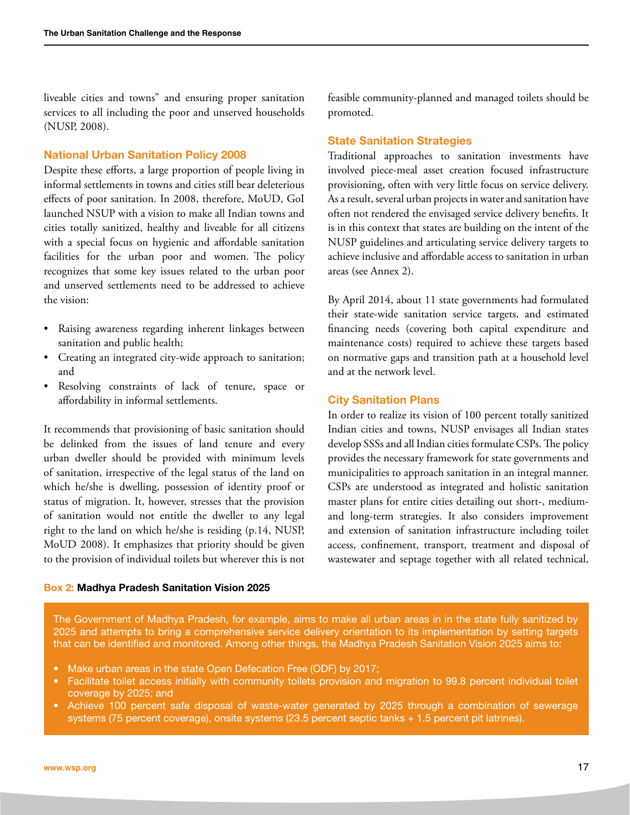liveable cities and towns" and ensuring proper sanitation services to all including the poor and unserved households (NUSP, 2008).

### National Urban Sanitation Policy 2008

Despite these efforts, a large proportion of people living in informal settlements in towns and cities still bear deleterious effects of poor sanitation. In 2008, therefore, MoUD, GoI launched NSUP with a vision to make all Indian towns and cities totally sanitized, healthy and liveable for all citizens with a special focus on hygienic and affordable sanitation facilities for the urban poor and women. The policy recognizes that some key issues related to the urban poor and unserved settlements need to be addressed to achieve the vision:

- • Raising awareness regarding inherent linkages between sanitation and public health;
- Creating an integrated city-wide approach to sanitation; and
- • Resolving constraints of lack of tenure, space or affordability in informal settlements.

It recommends that provisioning of basic sanitation should be delinked from the issues of land tenure and every urban dweller should be provided with minimum levels of sanitation, irrespective of the legal status of the land on which he/she is dwelling, possession of identity proof or status of migration. It, however, stresses that the provision of sanitation would not entitle the dweller to any legal right to the land on which he/she is residing (p.14, NUSP, MoUD 2008). It emphasizes that priority should be given to the provision of individual toilets but wherever this is not feasible community-planned and managed toilets should be promoted.

# State Sanitation Strategies

Traditional approaches to sanitation investments have involved piece-meal asset creation focused infrastructure provisioning, often with very little focus on service delivery. As a result, several urban projects in water and sanitation have often not rendered the envisaged service delivery benefits. It is in this context that states are building on the intent of the NUSP guidelines and articulating service delivery targets to achieve inclusive and affordable access to sanitation in urban areas (see Annex 2).

By April 2014, about 11 state governments had formulated their state-wide sanitation service targets, and estimated financing needs (covering both capital expenditure and maintenance costs) required to achieve these targets based on normative gaps and transition path at a household level and at the network level.

# City Sanitation Plans

In order to realize its vision of 100 percent totally sanitized Indian cities and towns, NUSP envisages all Indian states develop SSSs and all Indian cities formulate CSPs. The policy provides the necessary framework for state governments and municipalities to approach sanitation in an integral manner. CSPs are understood as integrated and holistic sanitation master plans for entire cities detailing out short-, mediumand long-term strategies. It also considers improvement and extension of sanitation infrastructure including toilet access, confinement, transport, treatment and disposal of wastewater and septage together with all related technical,

#### Box 2: Madhya Pradesh Sanitation Vision 2025

The Government of Madhya Pradesh, for example, aims to make all urban areas in in the state fully sanitized by 2025 and attempts to bring a comprehensive service delivery orientation to its implementation by setting targets that can be identified and monitored. Among other things, the Madhya Pradesh Sanitation Vision 2025 aims to:

- Make urban areas in the state Open Defecation Free (ODF) by 2017;
- Facilitate toilet access initially with community toilets provision and migration to 99.8 percent individual toilet coverage by 2025; and
- Achieve 100 percent safe disposal of waste-water generated by 2025 through a combination of sewerage systems (75 percent coverage), onsite systems (23.5 percent septic tanks + 1.5 percent pit latrines).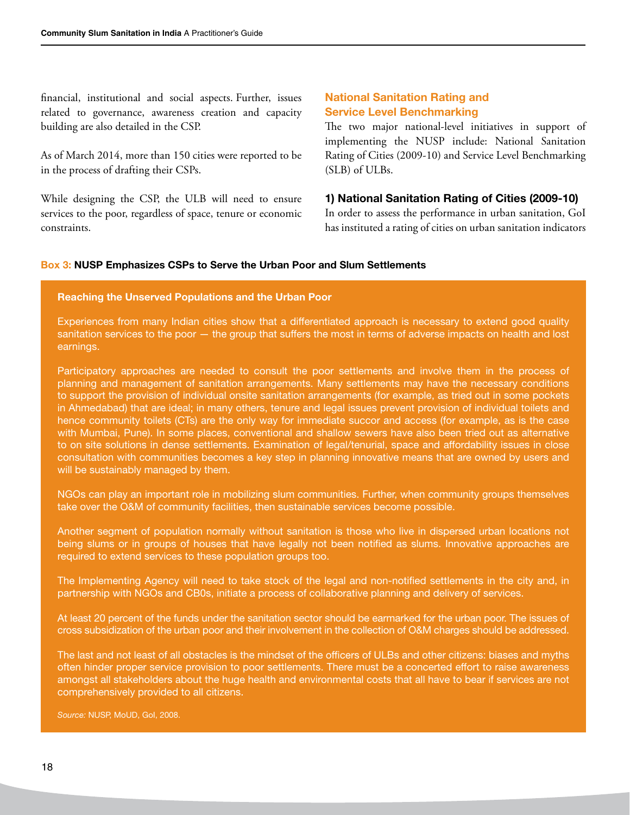financial, institutional and social aspects. Further, issues related to governance, awareness creation and capacity building are also detailed in the CSP.

As of March 2014, more than 150 cities were reported to be in the process of drafting their CSPs.

While designing the CSP, the ULB will need to ensure services to the poor, regardless of space, tenure or economic constraints.

# National Sanitation Rating and Service Level Benchmarking

The two major national-level initiatives in support of implementing the NUSP include: National Sanitation Rating of Cities (2009-10) and Service Level Benchmarking (SLB) of ULBs.

#### 1) National Sanitation Rating of Cities (2009-10)

In order to assess the performance in urban sanitation, GoI has instituted a rating of cities on urban sanitation indicators

# Box 3: NUSP Emphasizes CSPs to Serve the Urban Poor and Slum Settlements

### Reaching the Unserved Populations and the Urban Poor

Experiences from many Indian cities show that a differentiated approach is necessary to extend good quality sanitation services to the poor — the group that suffers the most in terms of adverse impacts on health and lost earnings.

Participatory approaches are needed to consult the poor settlements and involve them in the process of planning and management of sanitation arrangements. Many settlements may have the necessary conditions to support the provision of individual onsite sanitation arrangements (for example, as tried out in some pockets in Ahmedabad) that are ideal; in many others, tenure and legal issues prevent provision of individual toilets and hence community toilets (CTs) are the only way for immediate succor and access (for example, as is the case with Mumbai, Pune). In some places, conventional and shallow sewers have also been tried out as alternative to on site solutions in dense settlements. Examination of legal/tenurial, space and affordability issues in close consultation with communities becomes a key step in planning innovative means that are owned by users and will be sustainably managed by them.

NGOs can play an important role in mobilizing slum communities. Further, when community groups themselves take over the O&M of community facilities, then sustainable services become possible.

Another segment of population normally without sanitation is those who live in dispersed urban locations not being slums or in groups of houses that have legally not been notified as slums. Innovative approaches are required to extend services to these population groups too.

The Implementing Agency will need to take stock of the legal and non-notified settlements in the city and, in partnership with NGOs and CB0s, initiate a process of collaborative planning and delivery of services.

At least 20 percent of the funds under the sanitation sector should be earmarked for the urban poor. The issues of cross subsidization of the urban poor and their involvement in the collection of O&M charges should be addressed.

The last and not least of all obstacles is the mindset of the officers of ULBs and other citizens: biases and myths often hinder proper service provision to poor settlements. There must be a concerted effort to raise awareness amongst all stakeholders about the huge health and environmental costs that all have to bear if services are not comprehensively provided to all citizens.

*Source:* NUSP, MoUD, GoI, 2008.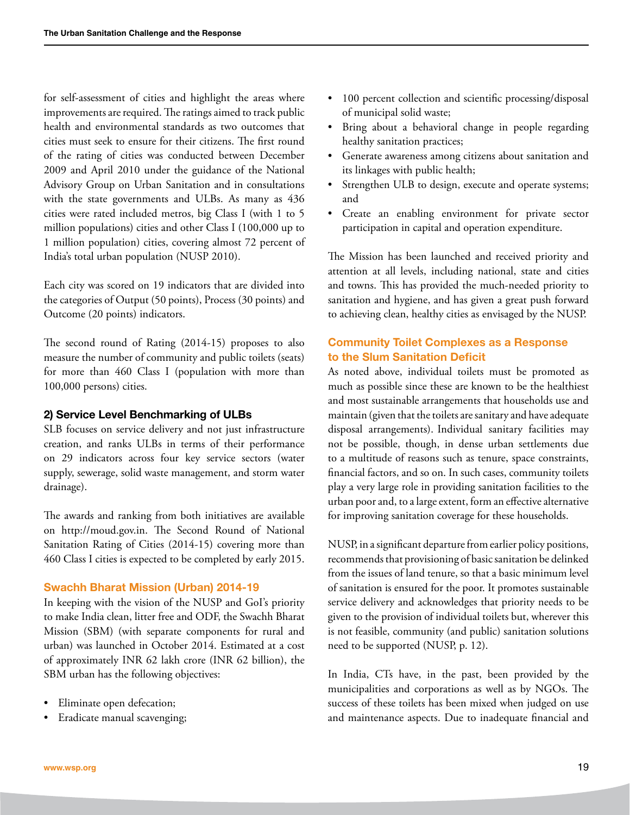for self-assessment of cities and highlight the areas where improvements are required. The ratings aimed to track public health and environmental standards as two outcomes that cities must seek to ensure for their citizens. The first round of the rating of cities was conducted between December 2009 and April 2010 under the guidance of the National Advisory Group on Urban Sanitation and in consultations with the state governments and ULBs. As many as 436 cities were rated included metros, big Class I (with 1 to 5 million populations) cities and other Class I (100,000 up to 1 million population) cities, covering almost 72 percent of India's total urban population (NUSP 2010).

Each city was scored on 19 indicators that are divided into the categories of Output (50 points), Process (30 points) and Outcome (20 points) indicators.

The second round of Rating (2014-15) proposes to also measure the number of community and public toilets (seats) for more than 460 Class I (population with more than 100,000 persons) cities.

# 2) Service Level Benchmarking of ULBs

SLB focuses on service delivery and not just infrastructure creation, and ranks ULBs in terms of their performance on 29 indicators across four key service sectors (water supply, sewerage, solid waste management, and storm water drainage).

The awards and ranking from both initiatives are available on http://moud.gov.in. The Second Round of National Sanitation Rating of Cities (2014-15) covering more than 460 Class I cities is expected to be completed by early 2015.

# Swachh Bharat Mission (Urban) 2014-19

In keeping with the vision of the NUSP and GoI's priority to make India clean, litter free and ODF, the Swachh Bharat Mission (SBM) (with separate components for rural and urban) was launched in October 2014. Estimated at a cost of approximately INR 62 lakh crore (INR 62 billion), the SBM urban has the following objectives:

- Eliminate open defecation;
- Eradicate manual scavenging;
- 100 percent collection and scientific processing/disposal of municipal solid waste;
- Bring about a behavioral change in people regarding healthy sanitation practices;
- • Generate awareness among citizens about sanitation and its linkages with public health;
- Strengthen ULB to design, execute and operate systems; and
- • Create an enabling environment for private sector participation in capital and operation expenditure.

The Mission has been launched and received priority and attention at all levels, including national, state and cities and towns. This has provided the much-needed priority to sanitation and hygiene, and has given a great push forward to achieving clean, healthy cities as envisaged by the NUSP.

# Community Toilet Complexes as a Response to the Slum Sanitation Deficit

As noted above, individual toilets must be promoted as much as possible since these are known to be the healthiest and most sustainable arrangements that households use and maintain (given that the toilets are sanitary and have adequate disposal arrangements). Individual sanitary facilities may not be possible, though, in dense urban settlements due to a multitude of reasons such as tenure, space constraints, financial factors, and so on. In such cases, community toilets play a very large role in providing sanitation facilities to the urban poor and, to a large extent, form an effective alternative for improving sanitation coverage for these households.

NUSP, in a significant departure from earlier policy positions, recommends that provisioning of basic sanitation be delinked from the issues of land tenure, so that a basic minimum level of sanitation is ensured for the poor. It promotes sustainable service delivery and acknowledges that priority needs to be given to the provision of individual toilets but, wherever this is not feasible, community (and public) sanitation solutions need to be supported (NUSP, p. 12).

In India, CTs have, in the past, been provided by the municipalities and corporations as well as by NGOs. The success of these toilets has been mixed when judged on use and maintenance aspects. Due to inadequate financial and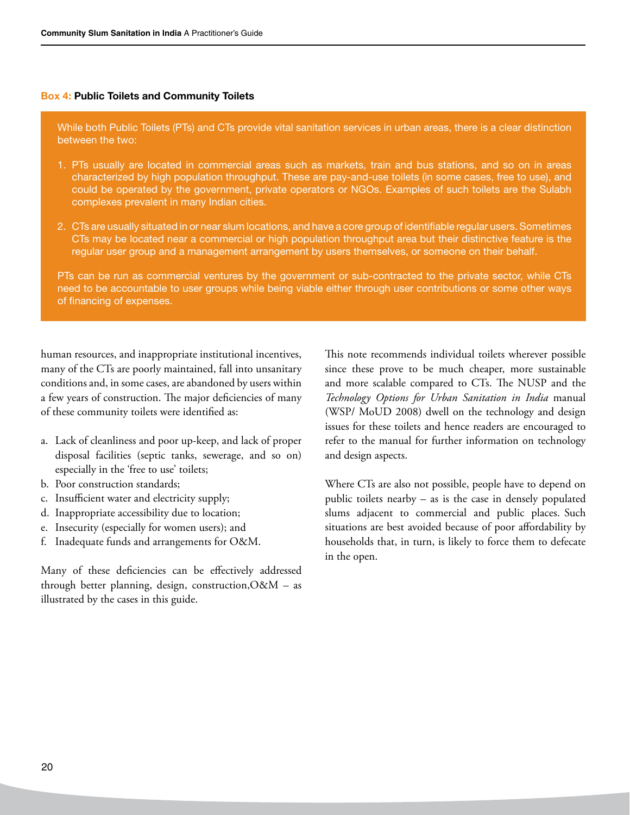#### Box 4: Public Toilets and Community Toilets

While both Public Toilets (PTs) and CTs provide vital sanitation services in urban areas, there is a clear distinction between the two:

- 1. PTs usually are located in commercial areas such as markets, train and bus stations, and so on in areas characterized by high population throughput. These are pay-and-use toilets (in some cases, free to use), and could be operated by the government, private operators or NGOs. Examples of such toilets are the Sulabh complexes prevalent in many Indian cities.
- 2. CTs are usually situated in or near slum locations, and have a core group of identifiable regular users. Sometimes CTs may be located near a commercial or high population throughput area but their distinctive feature is the regular user group and a management arrangement by users themselves, or someone on their behalf.

PTs can be run as commercial ventures by the government or sub-contracted to the private sector, while CTs need to be accountable to user groups while being viable either through user contributions or some other ways of financing of expenses.

human resources, and inappropriate institutional incentives, many of the CTs are poorly maintained, fall into unsanitary conditions and, in some cases, are abandoned by users within a few years of construction. The major deficiencies of many of these community toilets were identified as:

- a. Lack of cleanliness and poor up-keep, and lack of proper disposal facilities (septic tanks, sewerage, and so on) especially in the 'free to use' toilets;
- b. Poor construction standards;
- c. Insufficient water and electricity supply;
- d. Inappropriate accessibility due to location;
- e. Insecurity (especially for women users); and
- f. Inadequate funds and arrangements for O&M.

Many of these deficiencies can be effectively addressed through better planning, design, construction,O&M – as illustrated by the cases in this guide.

This note recommends individual toilets wherever possible since these prove to be much cheaper, more sustainable and more scalable compared to CTs. The NUSP and the *Technology Options for Urban Sanitation in India* manual (WSP/ MoUD 2008) dwell on the technology and design issues for these toilets and hence readers are encouraged to refer to the manual for further information on technology and design aspects.

Where CTs are also not possible, people have to depend on public toilets nearby – as is the case in densely populated slums adjacent to commercial and public places. Such situations are best avoided because of poor affordability by households that, in turn, is likely to force them to defecate in the open.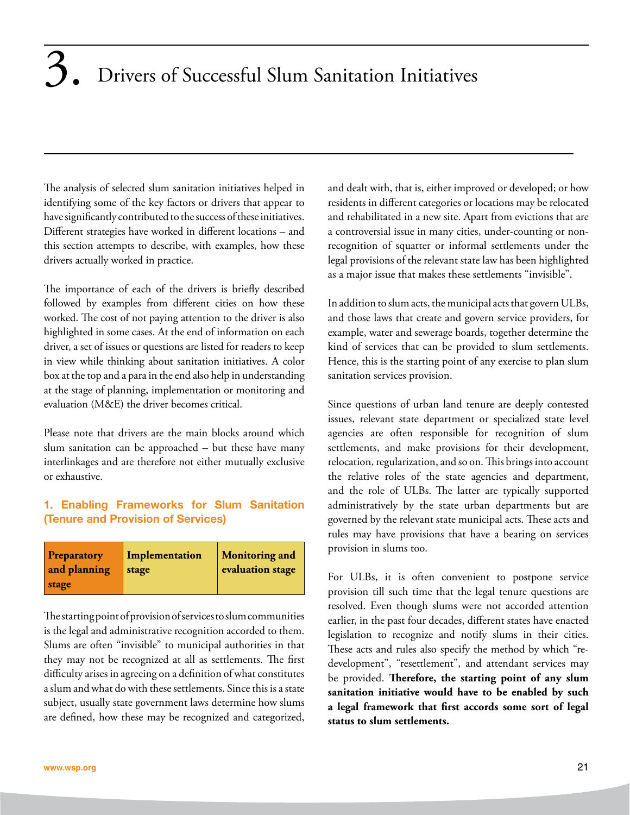# 3. Drivers of Successful Slum Sanitation Initiatives

The analysis of selected slum sanitation initiatives helped in identifying some of the key factors or drivers that appear to have significantly contributed to the success of these initiatives. Different strategies have worked in different locations – and this section attempts to describe, with examples, how these drivers actually worked in practice.

The importance of each of the drivers is briefly described followed by examples from different cities on how these worked. The cost of not paying attention to the driver is also highlighted in some cases. At the end of information on each driver, a set of issues or questions are listed for readers to keep in view while thinking about sanitation initiatives. A color box at the top and a para in the end also help in understanding at the stage of planning, implementation or monitoring and evaluation (M&E) the driver becomes critical.

Please note that drivers are the main blocks around which slum sanitation can be approached – but these have many interlinkages and are therefore not either mutually exclusive or exhaustive.

# 1. Enabling Frameworks for Slum Sanitation (Tenure and Provision of Services)

| <b>Preparatory</b> | Implementation | Monitoring and   |
|--------------------|----------------|------------------|
| and planning       | stage          | evaluation stage |
| stage              |                |                  |

The starting point of provision of services to slum communities is the legal and administrative recognition accorded to them. Slums are often "invisible" to municipal authorities in that they may not be recognized at all as settlements. The first difficulty arises in agreeing on a definition of what constitutes a slum and what do with these settlements. Since this is a state subject, usually state government laws determine how slums are defined, how these may be recognized and categorized, and dealt with, that is, either improved or developed; or how residents in different categories or locations may be relocated and rehabilitated in a new site. Apart from evictions that are a controversial issue in many cities, under-counting or nonrecognition of squatter or informal settlements under the legal provisions of the relevant state law has been highlighted as a major issue that makes these settlements "invisible".

In addition to slum acts, the municipal acts that govern ULBs, and those laws that create and govern service providers, for example, water and sewerage boards, together determine the kind of services that can be provided to slum settlements. Hence, this is the starting point of any exercise to plan slum sanitation services provision.

Since questions of urban land tenure are deeply contested issues, relevant state department or specialized state level agencies are often responsible for recognition of slum settlements, and make provisions for their development, relocation, regularization, and so on. This brings into account the relative roles of the state agencies and department, and the role of ULBs. The latter are typically supported administratively by the state urban departments but are governed by the relevant state municipal acts. These acts and rules may have provisions that have a bearing on services provision in slums too.

For ULBs, it is often convenient to postpone service provision till such time that the legal tenure questions are resolved. Even though slums were not accorded attention earlier, in the past four decades, different states have enacted legislation to recognize and notify slums in their cities. These acts and rules also specify the method by which "redevelopment", "resettlement", and attendant services may be provided. **Therefore, the starting point of any slum sanitation initiative would have to be enabled by such a legal framework that first accords some sort of legal status to slum settlements.**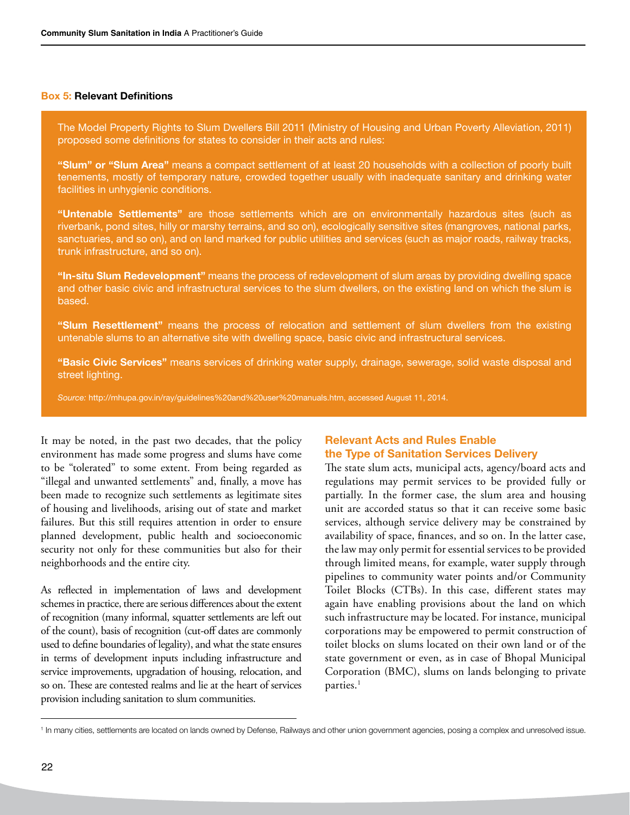# Box 5: Relevant Definitions

The Model Property Rights to Slum Dwellers Bill 2011 (Ministry of Housing and Urban Poverty Alleviation, 2011) proposed some definitions for states to consider in their acts and rules:

"Slum" or "Slum Area" means a compact settlement of at least 20 households with a collection of poorly built tenements, mostly of temporary nature, crowded together usually with inadequate sanitary and drinking water facilities in unhygienic conditions.

"Untenable Settlements" are those settlements which are on environmentally hazardous sites (such as riverbank, pond sites, hilly or marshy terrains, and so on), ecologically sensitive sites (mangroves, national parks, sanctuaries, and so on), and on land marked for public utilities and services (such as major roads, railway tracks, trunk infrastructure, and so on).

"In-situ Slum Redevelopment" means the process of redevelopment of slum areas by providing dwelling space and other basic civic and infrastructural services to the slum dwellers, on the existing land on which the slum is based.

"Slum Resettlement" means the process of relocation and settlement of slum dwellers from the existing untenable slums to an alternative site with dwelling space, basic civic and infrastructural services.

"Basic Civic Services" means services of drinking water supply, drainage, sewerage, solid waste disposal and street lighting.

*Source:* http://mhupa.gov.in/ray/guidelines%20and%20user%20manuals.htm, accessed August 11, 2014.

It may be noted, in the past two decades, that the policy environment has made some progress and slums have come to be "tolerated" to some extent. From being regarded as "illegal and unwanted settlements" and, finally, a move has been made to recognize such settlements as legitimate sites of housing and livelihoods, arising out of state and market failures. But this still requires attention in order to ensure planned development, public health and socioeconomic security not only for these communities but also for their neighborhoods and the entire city.

As reflected in implementation of laws and development schemes in practice, there are serious differences about the extent of recognition (many informal, squatter settlements are left out of the count), basis of recognition (cut-off dates are commonly used to define boundaries of legality), and what the state ensures in terms of development inputs including infrastructure and service improvements, upgradation of housing, relocation, and so on. These are contested realms and lie at the heart of services provision including sanitation to slum communities.

# Relevant Acts and Rules Enable the Type of Sanitation Services Delivery

The state slum acts, municipal acts, agency/board acts and regulations may permit services to be provided fully or partially. In the former case, the slum area and housing unit are accorded status so that it can receive some basic services, although service delivery may be constrained by availability of space, finances, and so on. In the latter case, the law may only permit for essential services to be provided through limited means, for example, water supply through pipelines to community water points and/or Community Toilet Blocks (CTBs). In this case, different states may again have enabling provisions about the land on which such infrastructure may be located. For instance, municipal corporations may be empowered to permit construction of toilet blocks on slums located on their own land or of the state government or even, as in case of Bhopal Municipal Corporation (BMC), slums on lands belonging to private parties.<sup>1</sup>

<sup>1</sup> In many cities, settlements are located on lands owned by Defense, Railways and other union government agencies, posing a complex and unresolved issue.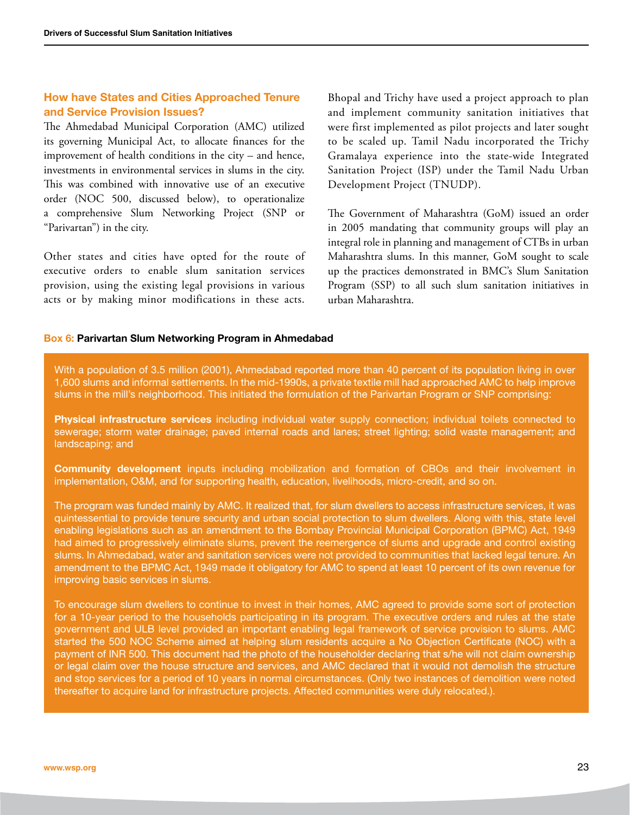# How have States and Cities Approached Tenure and Service Provision Issues?

The Ahmedabad Municipal Corporation (AMC) utilized its governing Municipal Act, to allocate finances for the improvement of health conditions in the city – and hence, investments in environmental services in slums in the city. This was combined with innovative use of an executive order (NOC 500, discussed below), to operationalize a comprehensive Slum Networking Project (SNP or "Parivartan") in the city.

Other states and cities have opted for the route of executive orders to enable slum sanitation services provision, using the existing legal provisions in various acts or by making minor modifications in these acts.

Bhopal and Trichy have used a project approach to plan and implement community sanitation initiatives that were first implemented as pilot projects and later sought to be scaled up. Tamil Nadu incorporated the Trichy Gramalaya experience into the state-wide Integrated Sanitation Project (ISP) under the Tamil Nadu Urban Development Project (TNUDP).

The Government of Maharashtra (GoM) issued an order in 2005 mandating that community groups will play an integral role in planning and management of CTBs in urban Maharashtra slums. In this manner, GoM sought to scale up the practices demonstrated in BMC's Slum Sanitation Program (SSP) to all such slum sanitation initiatives in urban Maharashtra.

#### Box 6: Parivartan Slum Networking Program in Ahmedabad

With a population of 3.5 million (2001), Ahmedabad reported more than 40 percent of its population living in over 1,600 slums and informal settlements. In the mid-1990s, a private textile mill had approached AMC to help improve slums in the mill's neighborhood. This initiated the formulation of the Parivartan Program or SNP comprising:

Physical infrastructure services including individual water supply connection; individual toilets connected to sewerage; storm water drainage; paved internal roads and lanes; street lighting; solid waste management; and landscaping; and

Community development inputs including mobilization and formation of CBOs and their involvement in implementation, O&M, and for supporting health, education, livelihoods, micro-credit, and so on.

The program was funded mainly by AMC. It realized that, for slum dwellers to access infrastructure services, it was quintessential to provide tenure security and urban social protection to slum dwellers. Along with this, state level enabling legislations such as an amendment to the Bombay Provincial Municipal Corporation (BPMC) Act, 1949 had aimed to progressively eliminate slums, prevent the reemergence of slums and upgrade and control existing slums. In Ahmedabad, water and sanitation services were not provided to communities that lacked legal tenure. An amendment to the BPMC Act, 1949 made it obligatory for AMC to spend at least 10 percent of its own revenue for improving basic services in slums.

To encourage slum dwellers to continue to invest in their homes, AMC agreed to provide some sort of protection for a 10-year period to the households participating in its program. The executive orders and rules at the state government and ULB level provided an important enabling legal framework of service provision to slums. AMC started the 500 NOC Scheme aimed at helping slum residents acquire a No Objection Certificate (NOC) with a payment of INR 500. This document had the photo of the householder declaring that s/he will not claim ownership or legal claim over the house structure and services, and AMC declared that it would not demolish the structure and stop services for a period of 10 years in normal circumstances. (Only two instances of demolition were noted thereafter to acquire land for infrastructure projects. Affected communities were duly relocated.).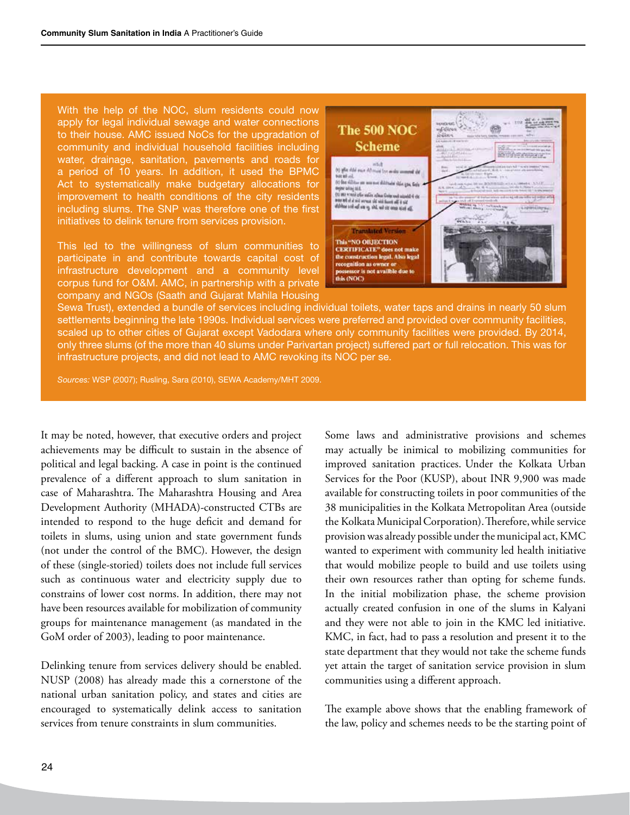With the help of the NOC, slum residents could now apply for legal individual sewage and water connections to their house. AMC issued NoCs for the upgradation of community and individual household facilities including water, drainage, sanitation, pavements and roads for a period of 10 years. In addition, it used the BPMC Act to systematically make budgetary allocations for improvement to health conditions of the city residents including slums. The SNP was therefore one of the first initiatives to delink tenure from services provision.

This led to the willingness of slum communities to participate in and contribute towards capital cost of infrastructure development and a community level corpus fund for O&M. AMC, in partnership with a private company and NGOs (Saath and Gujarat Mahila Housing



Sewa Trust), extended a bundle of services including individual toilets, water taps and drains in nearly 50 slum settlements beginning the late 1990s. Individual services were preferred and provided over community facilities, scaled up to other cities of Gujarat except Vadodara where only community facilities were provided. By 2014, only three slums (of the more than 40 slums under Parivartan project) suffered part or full relocation. This was for infrastructure projects, and did not lead to AMC revoking its NOC per se.

*Sources:* WSP (2007); Rusling, Sara (2010), SEWA Academy/MHT 2009.

It may be noted, however, that executive orders and project achievements may be difficult to sustain in the absence of political and legal backing. A case in point is the continued prevalence of a different approach to slum sanitation in case of Maharashtra. The Maharashtra Housing and Area Development Authority (MHADA)-constructed CTBs are intended to respond to the huge deficit and demand for toilets in slums, using union and state government funds (not under the control of the BMC). However, the design of these (single-storied) toilets does not include full services such as continuous water and electricity supply due to constrains of lower cost norms. In addition, there may not have been resources available for mobilization of community groups for maintenance management (as mandated in the GoM order of 2003), leading to poor maintenance.

Delinking tenure from services delivery should be enabled. NUSP (2008) has already made this a cornerstone of the national urban sanitation policy, and states and cities are encouraged to systematically delink access to sanitation services from tenure constraints in slum communities.

Some laws and administrative provisions and schemes may actually be inimical to mobilizing communities for improved sanitation practices. Under the Kolkata Urban Services for the Poor (KUSP), about INR 9,900 was made available for constructing toilets in poor communities of the 38 municipalities in the Kolkata Metropolitan Area (outside the Kolkata MunicipalCorporation).Therefore,while service provision was already possible under the municipal act, KMC wanted to experiment with community led health initiative that would mobilize people to build and use toilets using their own resources rather than opting for scheme funds. In the initial mobilization phase, the scheme provision actually created confusion in one of the slums in Kalyani and they were not able to join in the KMC led initiative. KMC, in fact, had to pass a resolution and present it to the state department that they would not take the scheme funds yet attain the target of sanitation service provision in slum communities using a different approach.

The example above shows that the enabling framework of the law, policy and schemes needs to be the starting point of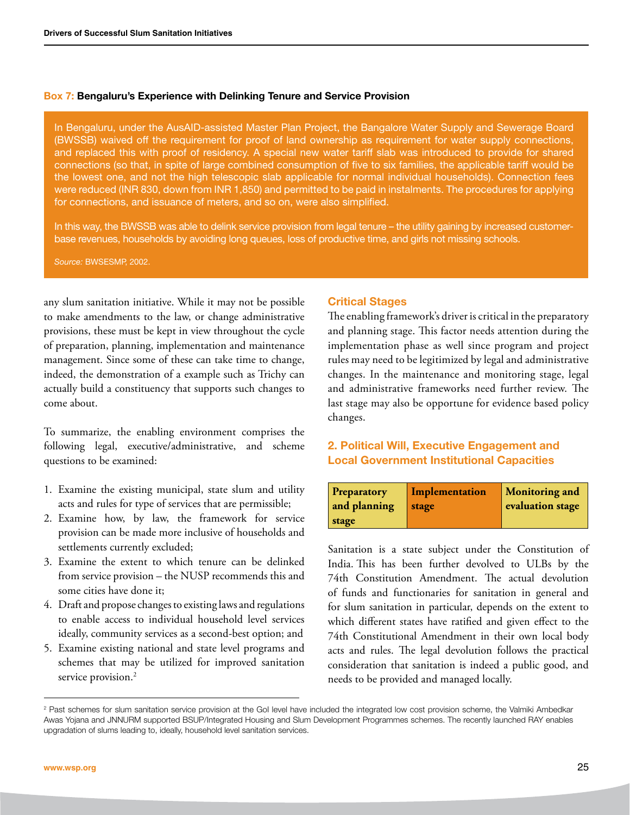#### **Box 7: Bengaluru's Experience with Delinking Tenure and Service Provision**

In Bengaluru, under the AusAID-assisted Master Plan Project, the Bangalore Water Supply and Sewerage Board (BWSSB) waived off the requirement for proof of land ownership as requirement for water supply connections, and replaced this with proof of residency. A special new water tariff slab was introduced to provide for shared connections (so that, in spite of large combined consumption of five to six families, the applicable tariff would be the lowest one, and not the high telescopic slab applicable for normal individual households). Connection fees were reduced (INR 830, down from INR 1,850) and permitted to be paid in instalments. The procedures for applying for connections, and issuance of meters, and so on, were also simplified.

In this way, the BWSSB was able to delink service provision from legal tenure – the utility gaining by increased customerbase revenues, households by avoiding long queues, loss of productive time, and girls not missing schools.

*Source:* BWSESMP, 2002.

any slum sanitation initiative. While it may not be possible to make amendments to the law, or change administrative provisions, these must be kept in view throughout the cycle of preparation, planning, implementation and maintenance management. Since some of these can take time to change, indeed, the demonstration of a example such as Trichy can actually build a constituency that supports such changes to come about.

To summarize, the enabling environment comprises the following legal, executive/administrative, and scheme questions to be examined:

- 1. Examine the existing municipal, state slum and utility acts and rules for type of services that are permissible;
- 2. Examine how, by law, the framework for service provision can be made more inclusive of households and settlements currently excluded;
- 3. Examine the extent to which tenure can be delinked from service provision – the NUSP recommends this and some cities have done it;
- 4. Draft and propose changes to existing laws and regulations to enable access to individual household level services ideally, community services as a second-best option; and
- 5. Examine existing national and state level programs and schemes that may be utilized for improved sanitation service provision.<sup>2</sup>

### Critical Stages

The enabling framework's driver is critical in the preparatory and planning stage. This factor needs attention during the implementation phase as well since program and project rules may need to be legitimized by legal and administrative changes. In the maintenance and monitoring stage, legal and administrative frameworks need further review. The last stage may also be opportune for evidence based policy changes.

2. Political Will, Executive Engagement and Local Government Institutional Capacities

| Preparatory  | Implementation | <b>Monitoring and</b> |
|--------------|----------------|-----------------------|
| and planning | stage          | evaluation stage      |
| stage        |                |                       |

Sanitation is a state subject under the Constitution of India. This has been further devolved to ULBs by the 74th Constitution Amendment. The actual devolution of funds and functionaries for sanitation in general and for slum sanitation in particular, depends on the extent to which different states have ratified and given effect to the 74th Constitutional Amendment in their own local body acts and rules. The legal devolution follows the practical consideration that sanitation is indeed a public good, and needs to be provided and managed locally.

<sup>&</sup>lt;sup>2</sup> Past schemes for slum sanitation service provision at the GoI level have included the integrated low cost provision scheme, the Valmiki Ambedkar Awas Yojana and JNNURM supported BSUP/Integrated Housing and Slum Development Programmes schemes. The recently launched RAY enables upgradation of slums leading to, ideally, household level sanitation services.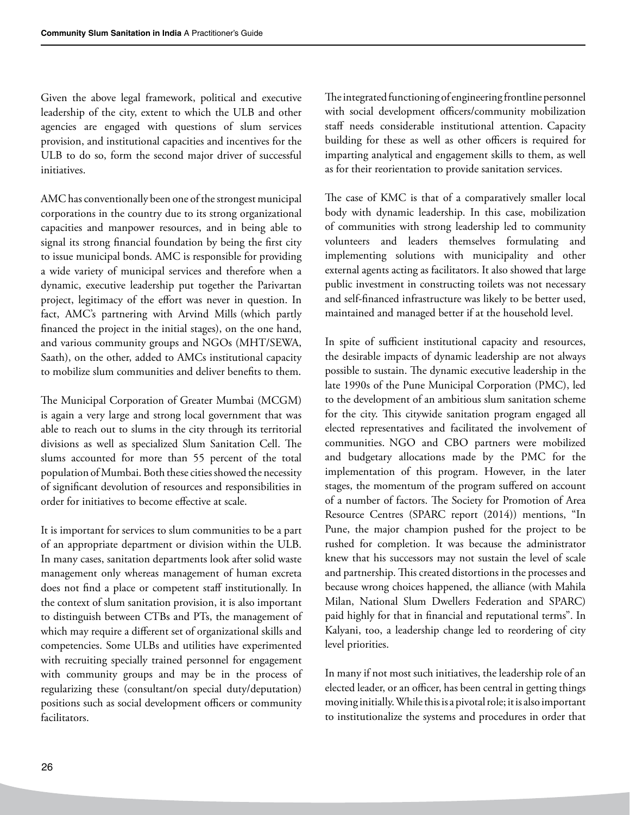Given the above legal framework, political and executive leadership of the city, extent to which the ULB and other agencies are engaged with questions of slum services provision, and institutional capacities and incentives for the ULB to do so, form the second major driver of successful initiatives.

AMC has conventionally been one of the strongest municipal corporations in the country due to its strong organizational capacities and manpower resources, and in being able to signal its strong financial foundation by being the first city to issue municipal bonds. AMC is responsible for providing a wide variety of municipal services and therefore when a dynamic, executive leadership put together the Parivartan project, legitimacy of the effort was never in question. In fact, AMC's partnering with Arvind Mills (which partly financed the project in the initial stages), on the one hand, and various community groups and NGOs (MHT/SEWA, Saath), on the other, added to AMCs institutional capacity to mobilize slum communities and deliver benefits to them.

The Municipal Corporation of Greater Mumbai (MCGM) is again a very large and strong local government that was able to reach out to slums in the city through its territorial divisions as well as specialized Slum Sanitation Cell. The slums accounted for more than 55 percent of the total population of Mumbai. Both these cities showed the necessity of significant devolution of resources and responsibilities in order for initiatives to become effective at scale.

It is important for services to slum communities to be a part of an appropriate department or division within the ULB. In many cases, sanitation departments look after solid waste management only whereas management of human excreta does not find a place or competent staff institutionally. In the context of slum sanitation provision, it is also important to distinguish between CTBs and PTs, the management of which may require a different set of organizational skills and competencies. Some ULBs and utilities have experimented with recruiting specially trained personnel for engagement with community groups and may be in the process of regularizing these (consultant/on special duty/deputation) positions such as social development officers or community facilitators.

The integrated functioning of engineering frontline personnel with social development officers/community mobilization staff needs considerable institutional attention. Capacity building for these as well as other officers is required for imparting analytical and engagement skills to them, as well as for their reorientation to provide sanitation services.

The case of KMC is that of a comparatively smaller local body with dynamic leadership. In this case, mobilization of communities with strong leadership led to community volunteers and leaders themselves formulating and implementing solutions with municipality and other external agents acting as facilitators. It also showed that large public investment in constructing toilets was not necessary and self-financed infrastructure was likely to be better used, maintained and managed better if at the household level.

In spite of sufficient institutional capacity and resources, the desirable impacts of dynamic leadership are not always possible to sustain. The dynamic executive leadership in the late 1990s of the Pune Municipal Corporation (PMC), led to the development of an ambitious slum sanitation scheme for the city. This citywide sanitation program engaged all elected representatives and facilitated the involvement of communities. NGO and CBO partners were mobilized and budgetary allocations made by the PMC for the implementation of this program. However, in the later stages, the momentum of the program suffered on account of a number of factors. The Society for Promotion of Area Resource Centres (SPARC report (2014)) mentions, "In Pune, the major champion pushed for the project to be rushed for completion. It was because the administrator knew that his successors may not sustain the level of scale and partnership. This created distortions in the processes and because wrong choices happened, the alliance (with Mahila Milan, National Slum Dwellers Federation and SPARC) paid highly for that in financial and reputational terms". In Kalyani, too, a leadership change led to reordering of city level priorities.

In many if not most such initiatives, the leadership role of an elected leader, or an officer, has been central in getting things moving initially. While this is a pivotal role; it is also important to institutionalize the systems and procedures in order that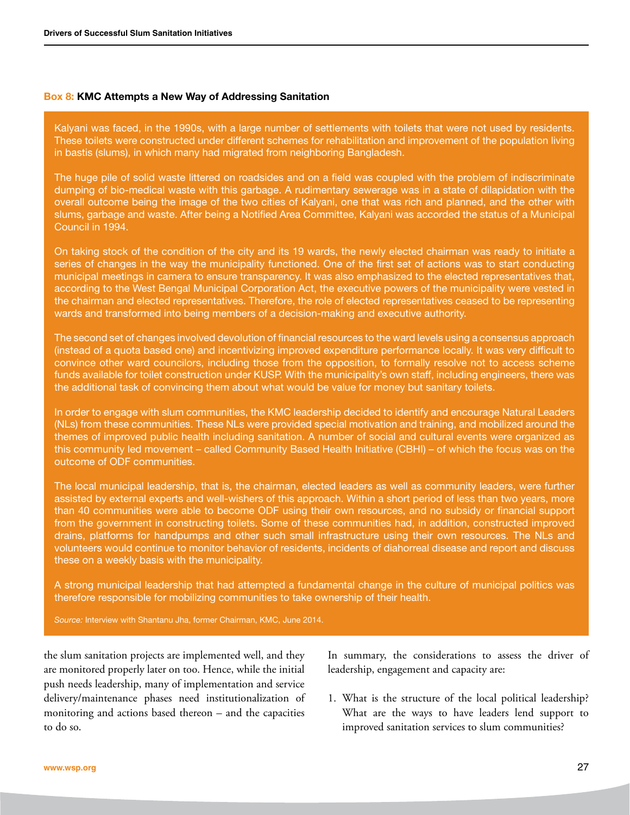#### Box 8: KMC Attempts a New Way of Addressing Sanitation

Kalyani was faced, in the 1990s, with a large number of settlements with toilets that were not used by residents. These toilets were constructed under different schemes for rehabilitation and improvement of the population living in bastis (slums), in which many had migrated from neighboring Bangladesh.

The huge pile of solid waste littered on roadsides and on a field was coupled with the problem of indiscriminate dumping of bio-medical waste with this garbage. A rudimentary sewerage was in a state of dilapidation with the overall outcome being the image of the two cities of Kalyani, one that was rich and planned, and the other with slums, garbage and waste. After being a Notified Area Committee, Kalyani was accorded the status of a Municipal Council in 1994.

On taking stock of the condition of the city and its 19 wards, the newly elected chairman was ready to initiate a series of changes in the way the municipality functioned. One of the first set of actions was to start conducting municipal meetings in camera to ensure transparency. It was also emphasized to the elected representatives that, according to the West Bengal Municipal Corporation Act, the executive powers of the municipality were vested in the chairman and elected representatives. Therefore, the role of elected representatives ceased to be representing wards and transformed into being members of a decision-making and executive authority.

The second set of changes involved devolution of financial resources to the ward levels using a consensus approach (instead of a quota based one) and incentivizing improved expenditure performance locally. It was very difficult to convince other ward councilors, including those from the opposition, to formally resolve not to access scheme funds available for toilet construction under KUSP. With the municipality's own staff, including engineers, there was the additional task of convincing them about what would be value for money but sanitary toilets.

In order to engage with slum communities, the KMC leadership decided to identify and encourage Natural Leaders (NLs) from these communities. These NLs were provided special motivation and training, and mobilized around the themes of improved public health including sanitation. A number of social and cultural events were organized as this community led movement – called Community Based Health Initiative (CBHI) – of which the focus was on the outcome of ODF communities.

The local municipal leadership, that is, the chairman, elected leaders as well as community leaders, were further assisted by external experts and well-wishers of this approach. Within a short period of less than two years, more than 40 communities were able to become ODF using their own resources, and no subsidy or financial support from the government in constructing toilets. Some of these communities had, in addition, constructed improved drains, platforms for handpumps and other such small infrastructure using their own resources. The NLs and volunteers would continue to monitor behavior of residents, incidents of diahorreal disease and report and discuss these on a weekly basis with the municipality.

A strong municipal leadership that had attempted a fundamental change in the culture of municipal politics was therefore responsible for mobilizing communities to take ownership of their health.

*Source:* Interview with Shantanu Jha, former Chairman, KMC, June 2014.

the slum sanitation projects are implemented well, and they are monitored properly later on too. Hence, while the initial push needs leadership, many of implementation and service delivery/maintenance phases need institutionalization of monitoring and actions based thereon – and the capacities to do so.

In summary, the considerations to assess the driver of leadership, engagement and capacity are:

1. What is the structure of the local political leadership? What are the ways to have leaders lend support to improved sanitation services to slum communities?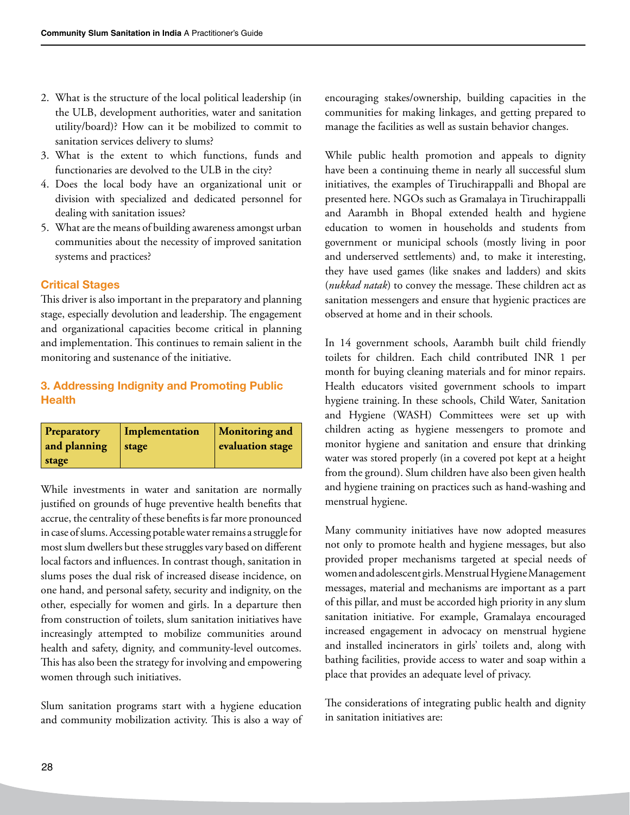- 2. What is the structure of the local political leadership (in the ULB, development authorities, water and sanitation utility/board)? How can it be mobilized to commit to sanitation services delivery to slums?
- 3. What is the extent to which functions, funds and functionaries are devolved to the ULB in the city?
- 4. Does the local body have an organizational unit or division with specialized and dedicated personnel for dealing with sanitation issues?
- 5. What are the means of building awareness amongst urban communities about the necessity of improved sanitation systems and practices?

### Critical Stages

This driver is also important in the preparatory and planning stage, especially devolution and leadership. The engagement and organizational capacities become critical in planning and implementation. This continues to remain salient in the monitoring and sustenance of the initiative.

# 3. Addressing Indignity and Promoting Public Health

| Preparatory  | Implementation | <b>Monitoring and</b> |
|--------------|----------------|-----------------------|
| and planning | stage          | evaluation stage      |
| stage        |                |                       |

While investments in water and sanitation are normally justified on grounds of huge preventive health benefits that accrue, the centrality of these benefits is far more pronounced in case of slums. Accessing potable water remains a struggle for most slum dwellers but these struggles vary based on different local factors and influences. In contrast though, sanitation in slums poses the dual risk of increased disease incidence, on one hand, and personal safety, security and indignity, on the other, especially for women and girls. In a departure then from construction of toilets, slum sanitation initiatives have increasingly attempted to mobilize communities around health and safety, dignity, and community-level outcomes. This has also been the strategy for involving and empowering women through such initiatives.

Slum sanitation programs start with a hygiene education and community mobilization activity. This is also a way of encouraging stakes/ownership, building capacities in the communities for making linkages, and getting prepared to manage the facilities as well as sustain behavior changes.

While public health promotion and appeals to dignity have been a continuing theme in nearly all successful slum initiatives, the examples of Tiruchirappalli and Bhopal are presented here. NGOs such as Gramalaya in Tiruchirappalli and Aarambh in Bhopal extended health and hygiene education to women in households and students from government or municipal schools (mostly living in poor and underserved settlements) and, to make it interesting, they have used games (like snakes and ladders) and skits (*nukkad natak*) to convey the message. These children act as sanitation messengers and ensure that hygienic practices are observed at home and in their schools.

In 14 government schools, Aarambh built child friendly toilets for children. Each child contributed INR 1 per month for buying cleaning materials and for minor repairs. Health educators visited government schools to impart hygiene training. In these schools, Child Water, Sanitation and Hygiene (WASH) Committees were set up with children acting as hygiene messengers to promote and monitor hygiene and sanitation and ensure that drinking water was stored properly (in a covered pot kept at a height from the ground). Slum children have also been given health and hygiene training on practices such as hand-washing and menstrual hygiene.

Many community initiatives have now adopted measures not only to promote health and hygiene messages, but also provided proper mechanisms targeted at special needs of women and adolescent girls. Menstrual Hygiene Management messages, material and mechanisms are important as a part of this pillar, and must be accorded high priority in any slum sanitation initiative. For example, Gramalaya encouraged increased engagement in advocacy on menstrual hygiene and installed incinerators in girls' toilets and, along with bathing facilities, provide access to water and soap within a place that provides an adequate level of privacy.

The considerations of integrating public health and dignity in sanitation initiatives are: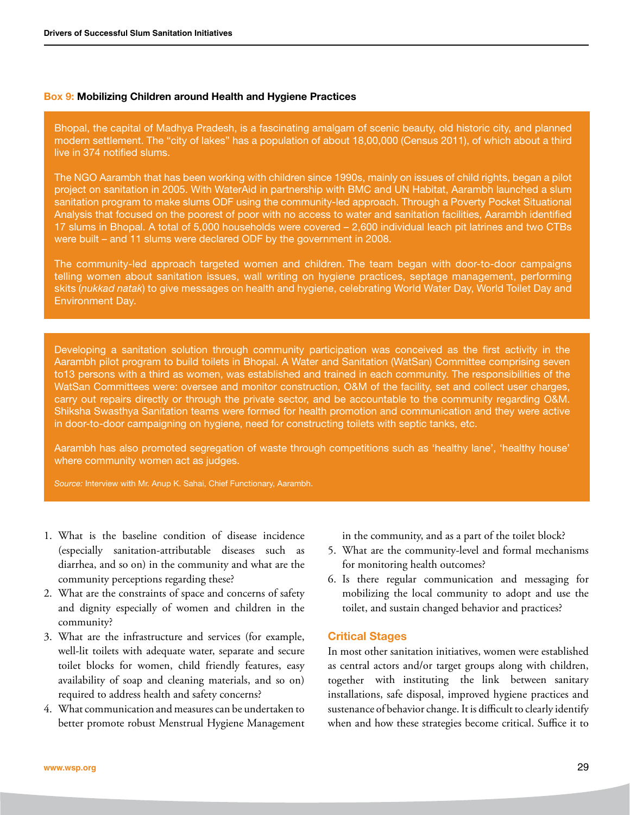#### Box 9: Mobilizing Children around Health and Hygiene Practices

Bhopal, the capital of Madhya Pradesh, is a fascinating amalgam of scenic beauty, old historic city, and planned modern settlement. The "city of lakes" has a population of about 18,00,000 (Census 2011), of which about a third live in 374 notified slums.

The NGO Aarambh that has been working with children since 1990s, mainly on issues of child rights, began a pilot project on sanitation in 2005. With WaterAid in partnership with BMC and UN Habitat, Aarambh launched a slum sanitation program to make slums ODF using the community-led approach. Through a Poverty Pocket Situational Analysis that focused on the poorest of poor with no access to water and sanitation facilities, Aarambh identified 17 slums in Bhopal. A total of 5,000 households were covered – 2,600 individual leach pit latrines and two CTBs were built – and 11 slums were declared ODF by the government in 2008.

The community-led approach targeted women and children. The team began with door-to-door campaigns telling women about sanitation issues, wall writing on hygiene practices, septage management, performing skits (*nukkad natak*) to give messages on health and hygiene, celebrating World Water Day, World Toilet Day and Environment Day.

Developing a sanitation solution through community participation was conceived as the first activity in the Aarambh pilot program to build toilets in Bhopal. A Water and Sanitation (WatSan) Committee comprising seven to13 persons with a third as women, was established and trained in each community. The responsibilities of the WatSan Committees were: oversee and monitor construction, O&M of the facility, set and collect user charges, carry out repairs directly or through the private sector, and be accountable to the community regarding O&M. Shiksha Swasthya Sanitation teams were formed for health promotion and communication and they were active in door-to-door campaigning on hygiene, need for constructing toilets with septic tanks, etc.

Aarambh has also promoted segregation of waste through competitions such as 'healthy lane', 'healthy house' where community women act as judges.

*Source:* Interview with Mr. Anup K. Sahai, Chief Functionary, Aarambh.

- 1. What is the baseline condition of disease incidence (especially sanitation-attributable diseases such as diarrhea, and so on) in the community and what are the community perceptions regarding these?
- 2. What are the constraints of space and concerns of safety and dignity especially of women and children in the community?
- 3. What are the infrastructure and services (for example, well-lit toilets with adequate water, separate and secure toilet blocks for women, child friendly features, easy availability of soap and cleaning materials, and so on) required to address health and safety concerns?
- 4. What communication and measures can be undertaken to better promote robust Menstrual Hygiene Management

in the community, and as a part of the toilet block?

- 5. What are the community-level and formal mechanisms for monitoring health outcomes?
- 6. Is there regular communication and messaging for mobilizing the local community to adopt and use the toilet, and sustain changed behavior and practices?

#### Critical Stages

In most other sanitation initiatives, women were established as central actors and/or target groups along with children, together with instituting the link between sanitary installations, safe disposal, improved hygiene practices and sustenance of behavior change. It is difficult to clearly identify when and how these strategies become critical. Suffice it to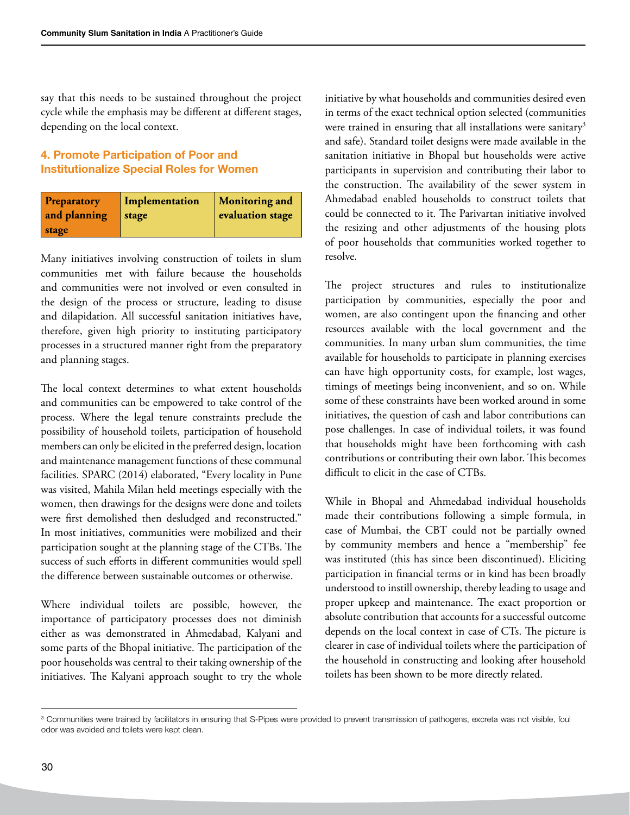say that this needs to be sustained throughout the project cycle while the emphasis may be different at different stages, depending on the local context.

# 4. Promote Participation of Poor and Institutionalize Special Roles for Women

| Preparatory  | Implementation | <b>Monitoring and</b> |
|--------------|----------------|-----------------------|
| and planning | stage          | evaluation stage      |
| stage        |                |                       |

Many initiatives involving construction of toilets in slum communities met with failure because the households and communities were not involved or even consulted in the design of the process or structure, leading to disuse and dilapidation. All successful sanitation initiatives have, therefore, given high priority to instituting participatory processes in a structured manner right from the preparatory and planning stages.

The local context determines to what extent households and communities can be empowered to take control of the process. Where the legal tenure constraints preclude the possibility of household toilets, participation of household members can only be elicited in the preferred design, location and maintenance management functions of these communal facilities. SPARC (2014) elaborated, "Every locality in Pune was visited, Mahila Milan held meetings especially with the women, then drawings for the designs were done and toilets were first demolished then desludged and reconstructed." In most initiatives, communities were mobilized and their participation sought at the planning stage of the CTBs. The success of such efforts in different communities would spell the difference between sustainable outcomes or otherwise.

Where individual toilets are possible, however, the importance of participatory processes does not diminish either as was demonstrated in Ahmedabad, Kalyani and some parts of the Bhopal initiative. The participation of the poor households was central to their taking ownership of the initiatives. The Kalyani approach sought to try the whole initiative by what households and communities desired even in terms of the exact technical option selected (communities were trained in ensuring that all installations were sanitary<sup>3</sup> and safe). Standard toilet designs were made available in the sanitation initiative in Bhopal but households were active participants in supervision and contributing their labor to the construction. The availability of the sewer system in Ahmedabad enabled households to construct toilets that could be connected to it. The Parivartan initiative involved the resizing and other adjustments of the housing plots of poor households that communities worked together to resolve.

The project structures and rules to institutionalize participation by communities, especially the poor and women, are also contingent upon the financing and other resources available with the local government and the communities. In many urban slum communities, the time available for households to participate in planning exercises can have high opportunity costs, for example, lost wages, timings of meetings being inconvenient, and so on. While some of these constraints have been worked around in some initiatives, the question of cash and labor contributions can pose challenges. In case of individual toilets, it was found that households might have been forthcoming with cash contributions or contributing their own labor. This becomes difficult to elicit in the case of CTBs.

While in Bhopal and Ahmedabad individual households made their contributions following a simple formula, in case of Mumbai, the CBT could not be partially owned by community members and hence a "membership" fee was instituted (this has since been discontinued). Eliciting participation in financial terms or in kind has been broadly understood to instill ownership, thereby leading to usage and proper upkeep and maintenance. The exact proportion or absolute contribution that accounts for a successful outcome depends on the local context in case of CTs. The picture is clearer in case of individual toilets where the participation of the household in constructing and looking after household toilets has been shown to be more directly related.

<sup>&</sup>lt;sup>3</sup> Communities were trained by facilitators in ensuring that S-Pipes were provided to prevent transmission of pathogens, excreta was not visible, foul odor was avoided and toilets were kept clean.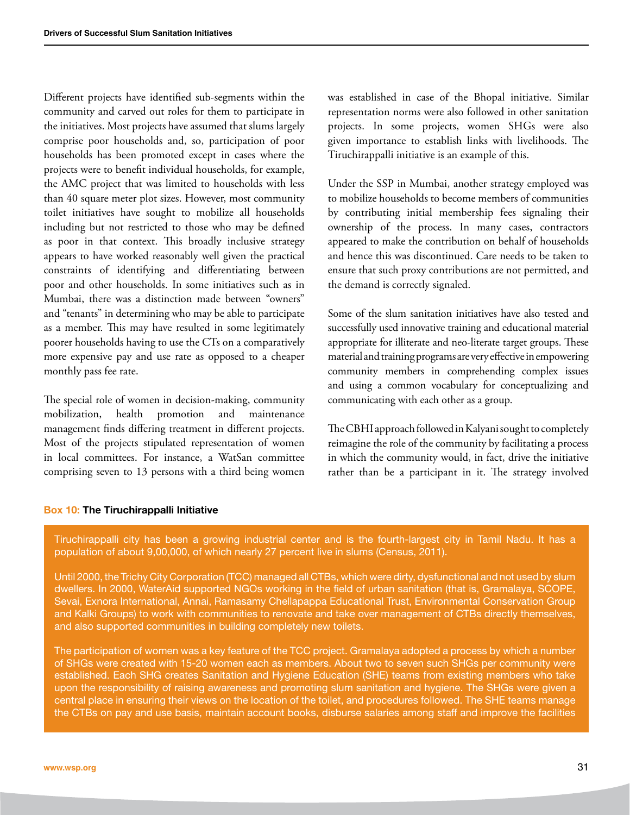Different projects have identified sub-segments within the community and carved out roles for them to participate in the initiatives. Most projects have assumed that slums largely comprise poor households and, so, participation of poor households has been promoted except in cases where the projects were to benefit individual households, for example, the AMC project that was limited to households with less than 40 square meter plot sizes. However, most community toilet initiatives have sought to mobilize all households including but not restricted to those who may be defined as poor in that context. This broadly inclusive strategy appears to have worked reasonably well given the practical constraints of identifying and differentiating between poor and other households. In some initiatives such as in Mumbai, there was a distinction made between "owners" and "tenants" in determining who may be able to participate as a member. This may have resulted in some legitimately poorer households having to use the CTs on a comparatively more expensive pay and use rate as opposed to a cheaper monthly pass fee rate.

The special role of women in decision-making, community mobilization, health promotion and maintenance management finds differing treatment in different projects. Most of the projects stipulated representation of women in local committees. For instance, a WatSan committee comprising seven to 13 persons with a third being women

was established in case of the Bhopal initiative. Similar representation norms were also followed in other sanitation projects. In some projects, women SHGs were also given importance to establish links with livelihoods. The Tiruchirappalli initiative is an example of this.

Under the SSP in Mumbai, another strategy employed was to mobilize households to become members of communities by contributing initial membership fees signaling their ownership of the process. In many cases, contractors appeared to make the contribution on behalf of households and hence this was discontinued. Care needs to be taken to ensure that such proxy contributions are not permitted, and the demand is correctly signaled.

Some of the slum sanitation initiatives have also tested and successfully used innovative training and educational material appropriate for illiterate and neo-literate target groups. These material and training programs are very effective in empowering community members in comprehending complex issues and using a common vocabulary for conceptualizing and communicating with each other as a group.

The CBHI approach followed in Kalyani sought to completely reimagine the role of the community by facilitating a process in which the community would, in fact, drive the initiative rather than be a participant in it. The strategy involved

#### Box 10: The Tiruchirappalli Initiative

Tiruchirappalli city has been a growing industrial center and is the fourth-largest city in Tamil Nadu. It has a population of about 9,00,000, of which nearly 27 percent live in slums (Census, 2011).

Until 2000, the Trichy City Corporation (TCC) managed all CTBs, which were dirty, dysfunctional and not used by slum dwellers. In 2000, WaterAid supported NGOs working in the field of urban sanitation (that is, Gramalaya, SCOPE, Sevai, Exnora International, Annai, Ramasamy Chellapappa Educational Trust, Environmental Conservation Group and Kalki Groups) to work with communities to renovate and take over management of CTBs directly themselves, and also supported communities in building completely new toilets.

The participation of women was a key feature of the TCC project. Gramalaya adopted a process by which a number of SHGs were created with 15-20 women each as members. About two to seven such SHGs per community were established. Each SHG creates Sanitation and Hygiene Education (SHE) teams from existing members who take upon the responsibility of raising awareness and promoting slum sanitation and hygiene. The SHGs were given a central place in ensuring their views on the location of the toilet, and procedures followed. The SHE teams manage the CTBs on pay and use basis, maintain account books, disburse salaries among staff and improve the facilities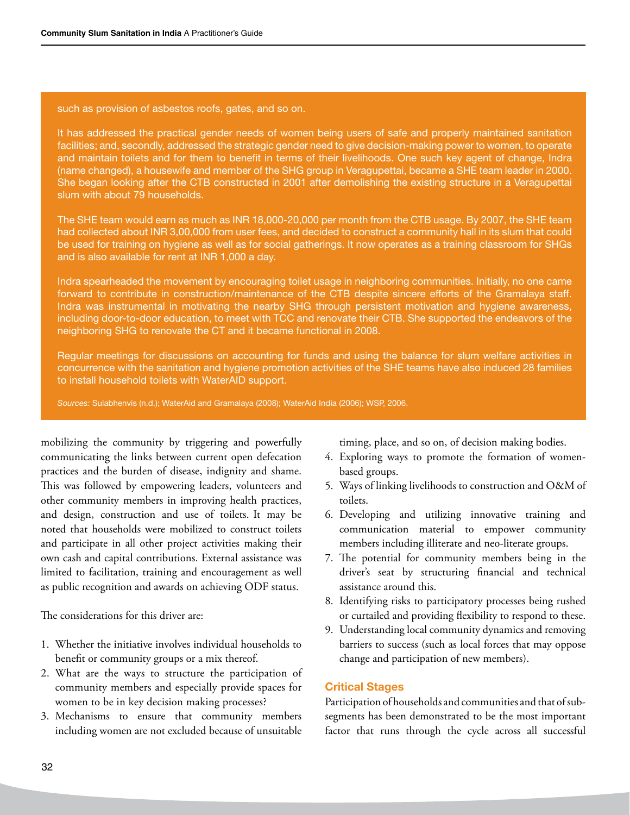such as provision of asbestos roofs, gates, and so on.

It has addressed the practical gender needs of women being users of safe and properly maintained sanitation facilities; and, secondly, addressed the strategic gender need to give decision-making power to women, to operate and maintain toilets and for them to benefit in terms of their livelihoods. One such key agent of change, Indra (name changed), a housewife and member of the SHG group in Veragupettai, became a SHE team leader in 2000. She began looking after the CTB constructed in 2001 after demolishing the existing structure in a Veragupettai slum with about 79 households.

The SHE team would earn as much as INR 18,000-20,000 per month from the CTB usage. By 2007, the SHE team had collected about INR 3,00,000 from user fees, and decided to construct a community hall in its slum that could be used for training on hygiene as well as for social gatherings. It now operates as a training classroom for SHGs and is also available for rent at INR 1,000 a day.

Indra spearheaded the movement by encouraging toilet usage in neighboring communities. Initially, no one came forward to contribute in construction/maintenance of the CTB despite sincere efforts of the Gramalaya staff. Indra was instrumental in motivating the nearby SHG through persistent motivation and hygiene awareness, including door-to-door education, to meet with TCC and renovate their CTB. She supported the endeavors of the neighboring SHG to renovate the CT and it became functional in 2008.

Regular meetings for discussions on accounting for funds and using the balance for slum welfare activities in concurrence with the sanitation and hygiene promotion activities of the SHE teams have also induced 28 families to install household toilets with WaterAID support.

*Sources:* Sulabhenvis (n.d.); WaterAid and Gramalaya (2008); WaterAid India (2006); WSP, 2006.

mobilizing the community by triggering and powerfully communicating the links between current open defecation practices and the burden of disease, indignity and shame. This was followed by empowering leaders, volunteers and other community members in improving health practices, and design, construction and use of toilets. It may be noted that households were mobilized to construct toilets and participate in all other project activities making their own cash and capital contributions. External assistance was limited to facilitation, training and encouragement as well as public recognition and awards on achieving ODF status.

The considerations for this driver are:

- 1. Whether the initiative involves individual households to benefit or community groups or a mix thereof.
- 2. What are the ways to structure the participation of community members and especially provide spaces for women to be in key decision making processes?
- 3. Mechanisms to ensure that community members including women are not excluded because of unsuitable

timing, place, and so on, of decision making bodies.

- 4. Exploring ways to promote the formation of womenbased groups.
- 5. Ways of linking livelihoods to construction and O&M of toilets.
- 6. Developing and utilizing innovative training and communication material to empower community members including illiterate and neo-literate groups.
- 7. The potential for community members being in the driver's seat by structuring financial and technical assistance around this.
- 8. Identifying risks to participatory processes being rushed or curtailed and providing flexibility to respond to these.
- 9. Understanding local community dynamics and removing barriers to success (such as local forces that may oppose change and participation of new members).

### Critical Stages

Participation of households and communities and that of subsegments has been demonstrated to be the most important factor that runs through the cycle across all successful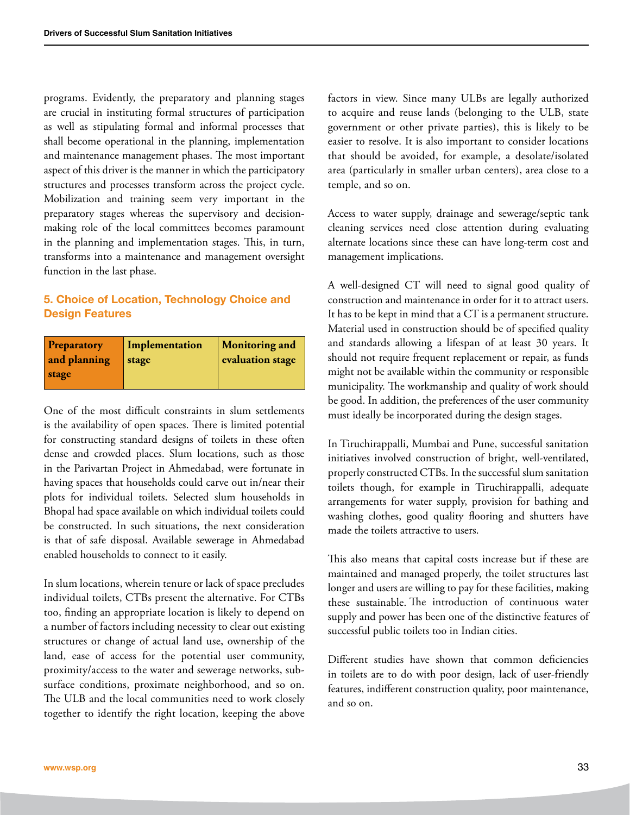programs. Evidently, the preparatory and planning stages are crucial in instituting formal structures of participation as well as stipulating formal and informal processes that shall become operational in the planning, implementation and maintenance management phases. The most important aspect of this driver is the manner in which the participatory structures and processes transform across the project cycle. Mobilization and training seem very important in the preparatory stages whereas the supervisory and decisionmaking role of the local committees becomes paramount in the planning and implementation stages. This, in turn, transforms into a maintenance and management oversight function in the last phase.

# 5. Choice of Location, Technology Choice and Design Features

| and planning<br>evaluation stage<br>stage<br>stage |
|----------------------------------------------------|
|----------------------------------------------------|

One of the most difficult constraints in slum settlements is the availability of open spaces. There is limited potential for constructing standard designs of toilets in these often dense and crowded places. Slum locations, such as those in the Parivartan Project in Ahmedabad, were fortunate in having spaces that households could carve out in/near their plots for individual toilets. Selected slum households in Bhopal had space available on which individual toilets could be constructed. In such situations, the next consideration is that of safe disposal. Available sewerage in Ahmedabad enabled households to connect to it easily.

In slum locations, wherein tenure or lack of space precludes individual toilets, CTBs present the alternative. For CTBs too, finding an appropriate location is likely to depend on a number of factors including necessity to clear out existing structures or change of actual land use, ownership of the land, ease of access for the potential user community, proximity/access to the water and sewerage networks, subsurface conditions, proximate neighborhood, and so on. The ULB and the local communities need to work closely together to identify the right location, keeping the above factors in view. Since many ULBs are legally authorized to acquire and reuse lands (belonging to the ULB, state government or other private parties), this is likely to be easier to resolve. It is also important to consider locations that should be avoided, for example, a desolate/isolated area (particularly in smaller urban centers), area close to a temple, and so on.

Access to water supply, drainage and sewerage/septic tank cleaning services need close attention during evaluating alternate locations since these can have long-term cost and management implications.

A well-designed CT will need to signal good quality of construction and maintenance in order for it to attract users. It has to be kept in mind that a CT is a permanent structure. Material used in construction should be of specified quality and standards allowing a lifespan of at least 30 years. It should not require frequent replacement or repair, as funds might not be available within the community or responsible municipality. The workmanship and quality of work should be good. In addition, the preferences of the user community must ideally be incorporated during the design stages.

In Tiruchirappalli, Mumbai and Pune, successful sanitation initiatives involved construction of bright, well-ventilated, properly constructed CTBs. In the successful slum sanitation toilets though, for example in Tiruchirappalli, adequate arrangements for water supply, provision for bathing and washing clothes, good quality flooring and shutters have made the toilets attractive to users.

This also means that capital costs increase but if these are maintained and managed properly, the toilet structures last longer and users are willing to pay for these facilities, making these sustainable. The introduction of continuous water supply and power has been one of the distinctive features of successful public toilets too in Indian cities.

Different studies have shown that common deficiencies in toilets are to do with poor design, lack of user-friendly features, indifferent construction quality, poor maintenance, and so on.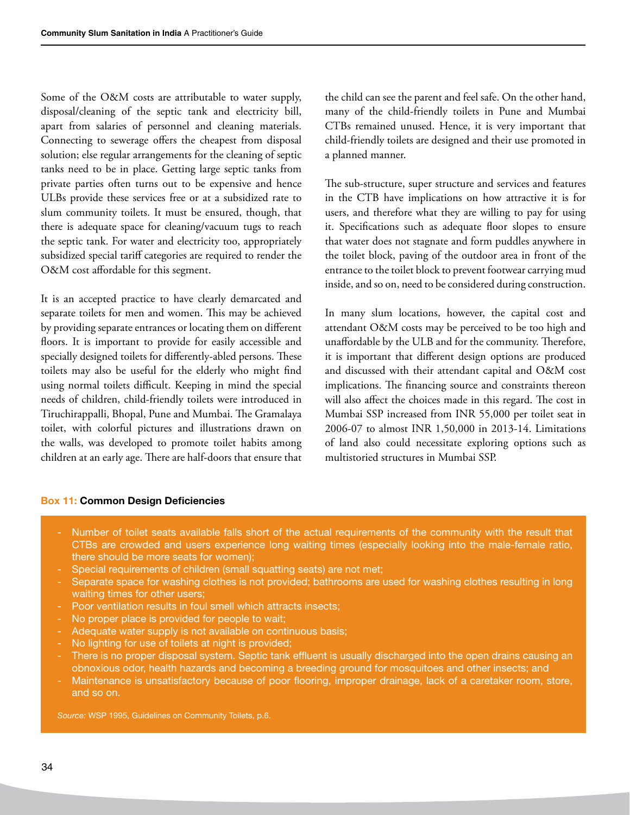Some of the O&M costs are attributable to water supply, disposal/cleaning of the septic tank and electricity bill, apart from salaries of personnel and cleaning materials. Connecting to sewerage offers the cheapest from disposal solution; else regular arrangements for the cleaning of septic tanks need to be in place. Getting large septic tanks from private parties often turns out to be expensive and hence ULBs provide these services free or at a subsidized rate to slum community toilets. It must be ensured, though, that there is adequate space for cleaning/vacuum tugs to reach the septic tank. For water and electricity too, appropriately subsidized special tariff categories are required to render the O&M cost affordable for this segment.

It is an accepted practice to have clearly demarcated and separate toilets for men and women. This may be achieved by providing separate entrances or locating them on different floors. It is important to provide for easily accessible and specially designed toilets for differently-abled persons. These toilets may also be useful for the elderly who might find using normal toilets difficult. Keeping in mind the special needs of children, child-friendly toilets were introduced in Tiruchirappalli, Bhopal, Pune and Mumbai. The Gramalaya toilet, with colorful pictures and illustrations drawn on the walls, was developed to promote toilet habits among children at an early age. There are half-doors that ensure that the child can see the parent and feel safe. On the other hand, many of the child-friendly toilets in Pune and Mumbai CTBs remained unused. Hence, it is very important that child-friendly toilets are designed and their use promoted in a planned manner.

The sub-structure, super structure and services and features in the CTB have implications on how attractive it is for users, and therefore what they are willing to pay for using it. Specifications such as adequate floor slopes to ensure that water does not stagnate and form puddles anywhere in the toilet block, paving of the outdoor area in front of the entrance to the toilet block to prevent footwear carrying mud inside, and so on, need to be considered during construction.

In many slum locations, however, the capital cost and attendant O&M costs may be perceived to be too high and unaffordable by the ULB and for the community. Therefore, it is important that different design options are produced and discussed with their attendant capital and O&M cost implications. The financing source and constraints thereon will also affect the choices made in this regard. The cost in Mumbai SSP increased from INR 55,000 per toilet seat in 2006-07 to almost INR 1,50,000 in 2013-14. Limitations of land also could necessitate exploring options such as multistoried structures in Mumbai SSP.

#### Box 11: Common Design Deficiencies

- Number of toilet seats available falls short of the actual requirements of the community with the result that CTBs are crowded and users experience long waiting times (especially looking into the male-female ratio, there should be more seats for women);
- Special requirements of children (small squatting seats) are not met;
- Separate space for washing clothes is not provided; bathrooms are used for washing clothes resulting in long waiting times for other users;
- Poor ventilation results in foul smell which attracts insects;
- No proper place is provided for people to wait;
- Adequate water supply is not available on continuous basis;
- No lighting for use of toilets at night is provided;
- There is no proper disposal system. Septic tank effluent is usually discharged into the open drains causing an obnoxious odor, health hazards and becoming a breeding ground for mosquitoes and other insects; and
- Maintenance is unsatisfactory because of poor flooring, improper drainage, lack of a caretaker room, store, and so on.

*Source:* WSP 1995, Guidelines on Community Toilets, p.6.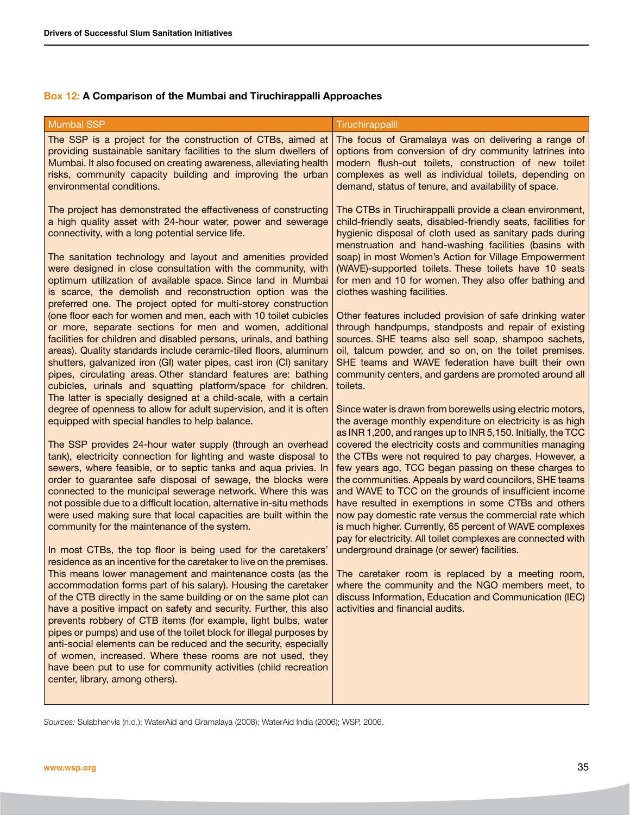## Box 12: A Comparison of the Mumbai and Tiruchirappalli Approaches

| The SSP is a project for the construction of CTBs, aimed at<br>The focus of Gramalaya was on delivering a range of<br>providing sustainable sanitary facilities to the slum dwellers of<br>options from conversion of dry community latrines into<br>modern flush-out toilets, construction of new toilet<br>Mumbai. It also focused on creating awareness, alleviating health<br>risks, community capacity building and improving the urban<br>complexes as well as individual toilets, depending on<br>environmental conditions.<br>demand, status of tenure, and availability of space.<br>The project has demonstrated the effectiveness of constructing<br>The CTBs in Tiruchirappalli provide a clean environment,<br>a high quality asset with 24-hour water, power and sewerage<br>child-friendly seats, disabled-friendly seats, facilities for<br>connectivity, with a long potential service life.<br>hygienic disposal of cloth used as sanitary pads during                                                                                                                                                                                                                                                                                                                                                                                                                                                                                                                                                                                                                                                                                                                                                                                                                                                                                                                                                                                                                                                                                                                                                                                                                                                                                                                                                                                                                                                                                                                                                                                                                                                                                                                                                                                                                                                                                                                                                                                                                                                                                                                                                                                                                                                                                                                                                                                                                                                                                                                                                                                                                                                                                                                                                                                                                                                                                                                                        |                                                       |
|-----------------------------------------------------------------------------------------------------------------------------------------------------------------------------------------------------------------------------------------------------------------------------------------------------------------------------------------------------------------------------------------------------------------------------------------------------------------------------------------------------------------------------------------------------------------------------------------------------------------------------------------------------------------------------------------------------------------------------------------------------------------------------------------------------------------------------------------------------------------------------------------------------------------------------------------------------------------------------------------------------------------------------------------------------------------------------------------------------------------------------------------------------------------------------------------------------------------------------------------------------------------------------------------------------------------------------------------------------------------------------------------------------------------------------------------------------------------------------------------------------------------------------------------------------------------------------------------------------------------------------------------------------------------------------------------------------------------------------------------------------------------------------------------------------------------------------------------------------------------------------------------------------------------------------------------------------------------------------------------------------------------------------------------------------------------------------------------------------------------------------------------------------------------------------------------------------------------------------------------------------------------------------------------------------------------------------------------------------------------------------------------------------------------------------------------------------------------------------------------------------------------------------------------------------------------------------------------------------------------------------------------------------------------------------------------------------------------------------------------------------------------------------------------------------------------------------------------------------------------------------------------------------------------------------------------------------------------------------------------------------------------------------------------------------------------------------------------------------------------------------------------------------------------------------------------------------------------------------------------------------------------------------------------------------------------------------------------------------------------------------------------------------------------------------------------------------------------------------------------------------------------------------------------------------------------------------------------------------------------------------------------------------------------------------------------------------------------------------------------------------------------------------------------------------------------------------------------------------------------------------------------------------------------|-------------------------------------------------------|
|                                                                                                                                                                                                                                                                                                                                                                                                                                                                                                                                                                                                                                                                                                                                                                                                                                                                                                                                                                                                                                                                                                                                                                                                                                                                                                                                                                                                                                                                                                                                                                                                                                                                                                                                                                                                                                                                                                                                                                                                                                                                                                                                                                                                                                                                                                                                                                                                                                                                                                                                                                                                                                                                                                                                                                                                                                                                                                                                                                                                                                                                                                                                                                                                                                                                                                                                                                                                                                                                                                                                                                                                                                                                                                                                                                                                                                                                                                                 |                                                       |
| soap) in most Women's Action for Village Empowerment<br>The sanitation technology and layout and amenities provided<br>were designed in close consultation with the community, with<br>(WAVE)-supported toilets. These toilets have 10 seats<br>optimum utilization of available space. Since land in Mumbai<br>for men and 10 for women. They also offer bathing and<br>is scarce, the demolish and reconstruction option was the<br>clothes washing facilities.<br>preferred one. The project opted for multi-storey construction<br>(one floor each for women and men, each with 10 toilet cubicles<br>Other features included provision of safe drinking water<br>or more, separate sections for men and women, additional<br>through handpumps, standposts and repair of existing<br>facilities for children and disabled persons, urinals, and bathing<br>sources. SHE teams also sell soap, shampoo sachets,<br>areas). Quality standards include ceramic-tiled floors, aluminum<br>oil, talcum powder, and so on, on the toilet premises.<br>shutters, galvanized iron (GI) water pipes, cast iron (CI) sanitary<br>SHE teams and WAVE federation have built their own<br>pipes, circulating areas. Other standard features are: bathing<br>community centers, and gardens are promoted around all<br>cubicles, urinals and squatting platform/space for children.<br>toilets.<br>The latter is specially designed at a child-scale, with a certain<br>degree of openness to allow for adult supervision, and it is often<br>Since water is drawn from borewells using electric motors,<br>equipped with special handles to help balance.<br>the average monthly expenditure on electricity is as high<br>as INR 1,200, and ranges up to INR 5,150. Initially, the TCC<br>The SSP provides 24-hour water supply (through an overhead<br>covered the electricity costs and communities managing<br>tank), electricity connection for lighting and waste disposal to<br>the CTBs were not required to pay charges. However, a<br>sewers, where feasible, or to septic tanks and aqua privies. In<br>few years ago, TCC began passing on these charges to<br>order to guarantee safe disposal of sewage, the blocks were<br>the communities. Appeals by ward councilors, SHE teams<br>connected to the municipal sewerage network. Where this was<br>and WAVE to TCC on the grounds of insufficient income<br>not possible due to a difficult location, alternative in-situ methods<br>have resulted in exemptions in some CTBs and others<br>were used making sure that local capacities are built within the<br>now pay domestic rate versus the commercial rate which<br>community for the maintenance of the system.<br>is much higher. Currently, 65 percent of WAVE complexes<br>pay for electricity. All toilet complexes are connected with<br>In most CTBs, the top floor is being used for the caretakers'<br>underground drainage (or sewer) facilities.<br>residence as an incentive for the caretaker to live on the premises.<br>The caretaker room is replaced by a meeting room,<br>This means lower management and maintenance costs (as the<br>accommodation forms part of his salary). Housing the caretaker<br>where the community and the NGO members meet, to<br>discuss Information, Education and Communication (IEC)<br>of the CTB directly in the same building or on the same plot can<br>have a positive impact on safety and security. Further, this also<br>activities and financial audits.<br>prevents robbery of CTB items (for example, light bulbs, water<br>pipes or pumps) and use of the toilet block for illegal purposes by<br>anti-social elements can be reduced and the security, especially<br>of women, increased. Where these rooms are not used, they<br>have been put to use for community activities (child recreation<br>center, library, among others). | menstruation and hand-washing facilities (basins with |

*Sources:* Sulabhenvis (n.d.); WaterAid and Gramalaya (2008); WaterAid India (2006); WSP, 2006.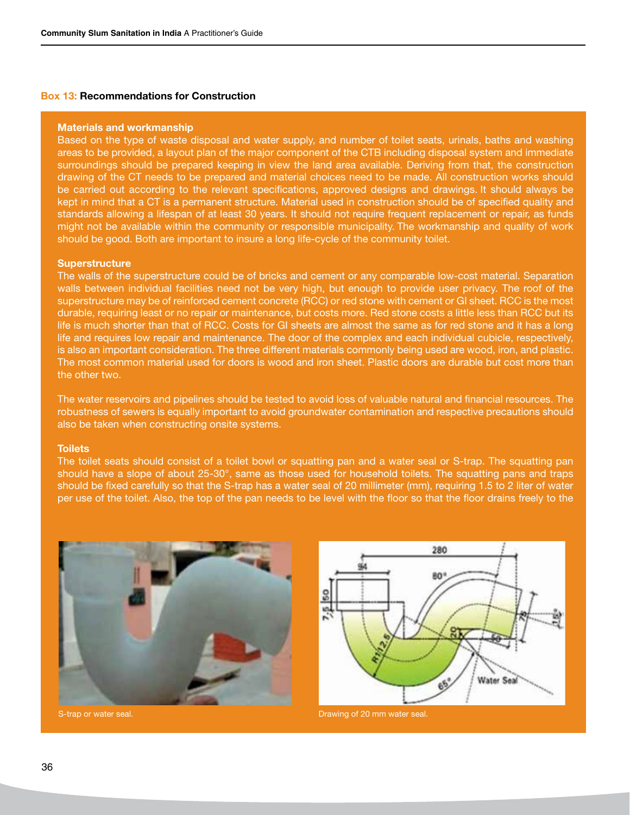## Box 13: Recommendations for Construction

#### Materials and workmanship

Based on the type of waste disposal and water supply, and number of toilet seats, urinals, baths and washing areas to be provided, a layout plan of the major component of the CTB including disposal system and immediate surroundings should be prepared keeping in view the land area available. Deriving from that, the construction drawing of the CT needs to be prepared and material choices need to be made. All construction works should be carried out according to the relevant specifications, approved designs and drawings. It should always be kept in mind that a CT is a permanent structure. Material used in construction should be of specified quality and standards allowing a lifespan of at least 30 years. It should not require frequent replacement or repair, as funds might not be available within the community or responsible municipality. The workmanship and quality of work should be good. Both are important to insure a long life-cycle of the community toilet.

#### **Superstructure**

The walls of the superstructure could be of bricks and cement or any comparable low-cost material. Separation walls between individual facilities need not be very high, but enough to provide user privacy. The roof of the superstructure may be of reinforced cement concrete (RCC) or red stone with cement or GI sheet. RCC is the most durable, requiring least or no repair or maintenance, but costs more. Red stone costs a little less than RCC but its life is much shorter than that of RCC. Costs for GI sheets are almost the same as for red stone and it has a long life and requires low repair and maintenance. The door of the complex and each individual cubicle, respectively, is also an important consideration. The three different materials commonly being used are wood, iron, and plastic. The most common material used for doors is wood and iron sheet. Plastic doors are durable but cost more than the other two.

The water reservoirs and pipelines should be tested to avoid loss of valuable natural and financial resources. The robustness of sewers is equally important to avoid groundwater contamination and respective precautions should also be taken when constructing onsite systems.

#### **Toilets**

The toilet seats should consist of a toilet bowl or squatting pan and a water seal or S-trap. The squatting pan should have a slope of about 25-30°, same as those used for household toilets. The squatting pans and traps should be fixed carefully so that the S-trap has a water seal of 20 millimeter (mm), requiring 1.5 to 2 liter of water per use of the toilet. Also, the top of the pan needs to be level with the floor so that the floor drains freely to the





S-trap or water seal. **See all and Strap of 20 mm water seal.** Drawing of 20 mm water seal.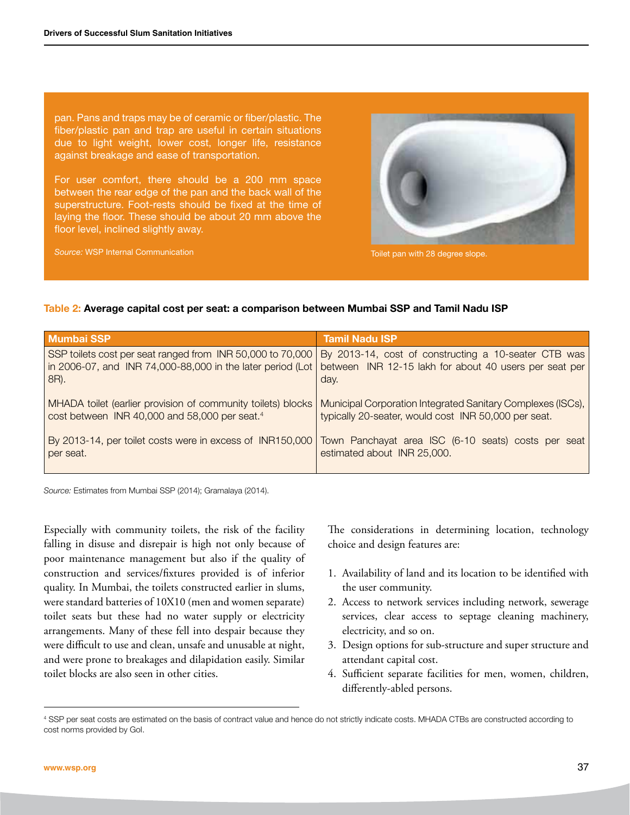pan. Pans and traps may be of ceramic or fiber/plastic. The fiber/plastic pan and trap are useful in certain situations due to light weight, lower cost, longer life, resistance against breakage and ease of transportation.

For user comfort, there should be a 200 mm space between the rear edge of the pan and the back wall of the superstructure. Foot-rests should be fixed at the time of laying the floor. These should be about 20 mm above the floor level, inclined slightly away.

**Source: WSP Internal Communication Toilet pan with 28 degree slope.** 

|  | Table 2: Average capital cost per seat: a comparison between Mumbai SSP and Tamil Nadu ISP |  |
|--|--------------------------------------------------------------------------------------------|--|
|  |                                                                                            |  |

| <b>Mumbai SSP</b>                                            | <b>Tamil Nadu ISP</b>                                       |
|--------------------------------------------------------------|-------------------------------------------------------------|
| SSP toilets cost per seat ranged from INR 50,000 to 70,000   | By 2013-14, cost of constructing a 10-seater CTB was        |
| in 2006-07, and INR 74,000-88,000 in the later period (Lot   | between INR 12-15 lakh for about 40 users per seat per      |
| 8R).                                                         | day.                                                        |
| MHADA toilet (earlier provision of community toilets) blocks | Municipal Corporation Integrated Sanitary Complexes (ISCs), |
| cost between INR 40,000 and 58,000 per seat. <sup>4</sup>    | typically 20-seater, would cost INR 50,000 per seat.        |
| By 2013-14, per toilet costs were in excess of INR150,000    | Town Panchayat area ISC (6-10 seats) costs per seat         |
| per seat.                                                    | estimated about INR 25,000.                                 |

*Source:* Estimates from Mumbai SSP (2014); Gramalaya (2014).

Especially with community toilets, the risk of the facility falling in disuse and disrepair is high not only because of poor maintenance management but also if the quality of construction and services/fixtures provided is of inferior quality. In Mumbai, the toilets constructed earlier in slums, were standard batteries of 10X10 (men and women separate) toilet seats but these had no water supply or electricity arrangements. Many of these fell into despair because they were difficult to use and clean, unsafe and unusable at night, and were prone to breakages and dilapidation easily. Similar toilet blocks are also seen in other cities.

The considerations in determining location, technology choice and design features are:

- 1. Availability of land and its location to be identified with the user community.
- 2. Access to network services including network, sewerage services, clear access to septage cleaning machinery, electricity, and so on.
- 3. Design options for sub-structure and super structure and attendant capital cost.
- 4. Sufficient separate facilities for men, women, children, differently-abled persons.



<sup>4</sup> SSP per seat costs are estimated on the basis of contract value and hence do not strictly indicate costs. MHADA CTBs are constructed according to cost norms provided by GoI.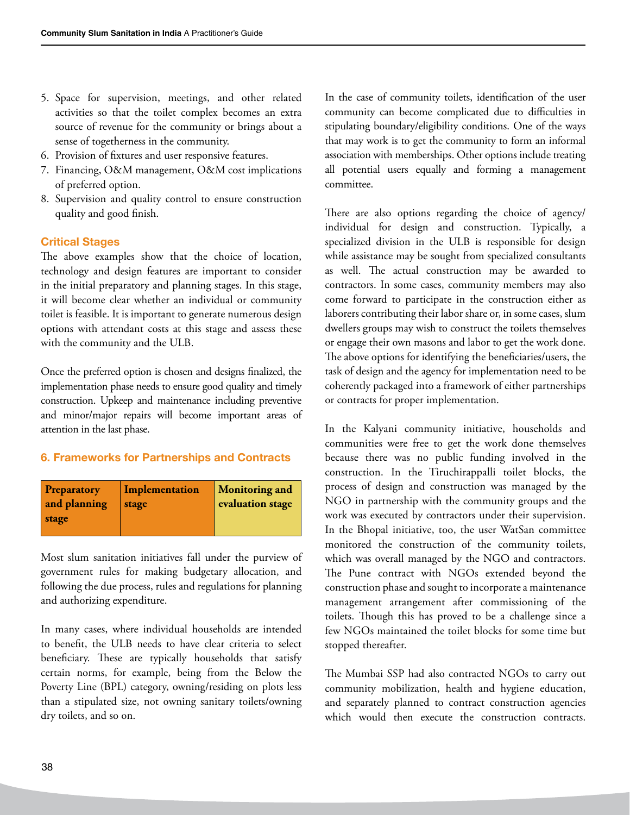- 5. Space for supervision, meetings, and other related activities so that the toilet complex becomes an extra source of revenue for the community or brings about a sense of togetherness in the community.
- 6. Provision of fixtures and user responsive features.
- 7. Financing, O&M management, O&M cost implications of preferred option.
- 8. Supervision and quality control to ensure construction quality and good finish.

### Critical Stages

The above examples show that the choice of location, technology and design features are important to consider in the initial preparatory and planning stages. In this stage, it will become clear whether an individual or community toilet is feasible. It is important to generate numerous design options with attendant costs at this stage and assess these with the community and the ULB.

Once the preferred option is chosen and designs finalized, the implementation phase needs to ensure good quality and timely construction. Upkeep and maintenance including preventive and minor/major repairs will become important areas of attention in the last phase.

## 6. Frameworks for Partnerships and Contracts

| Implementation | <b>Monitoring and</b> |
|----------------|-----------------------|
| stage          | evaluation stage      |
|                |                       |
|                |                       |

Most slum sanitation initiatives fall under the purview of government rules for making budgetary allocation, and following the due process, rules and regulations for planning and authorizing expenditure.

In many cases, where individual households are intended to benefit, the ULB needs to have clear criteria to select beneficiary. These are typically households that satisfy certain norms, for example, being from the Below the Poverty Line (BPL) category, owning/residing on plots less than a stipulated size, not owning sanitary toilets/owning dry toilets, and so on.

In the case of community toilets, identification of the user community can become complicated due to difficulties in stipulating boundary/eligibility conditions. One of the ways that may work is to get the community to form an informal association with memberships. Other options include treating all potential users equally and forming a management committee.

There are also options regarding the choice of agency/ individual for design and construction. Typically, a specialized division in the ULB is responsible for design while assistance may be sought from specialized consultants as well. The actual construction may be awarded to contractors. In some cases, community members may also come forward to participate in the construction either as laborers contributing their labor share or, in some cases, slum dwellers groups may wish to construct the toilets themselves or engage their own masons and labor to get the work done. The above options for identifying the beneficiaries/users, the task of design and the agency for implementation need to be coherently packaged into a framework of either partnerships or contracts for proper implementation.

In the Kalyani community initiative, households and communities were free to get the work done themselves because there was no public funding involved in the construction. In the Tiruchirappalli toilet blocks, the process of design and construction was managed by the NGO in partnership with the community groups and the work was executed by contractors under their supervision. In the Bhopal initiative, too, the user WatSan committee monitored the construction of the community toilets, which was overall managed by the NGO and contractors. The Pune contract with NGOs extended beyond the construction phase and sought to incorporate a maintenance management arrangement after commissioning of the toilets. Though this has proved to be a challenge since a few NGOs maintained the toilet blocks for some time but stopped thereafter.

The Mumbai SSP had also contracted NGOs to carry out community mobilization, health and hygiene education, and separately planned to contract construction agencies which would then execute the construction contracts.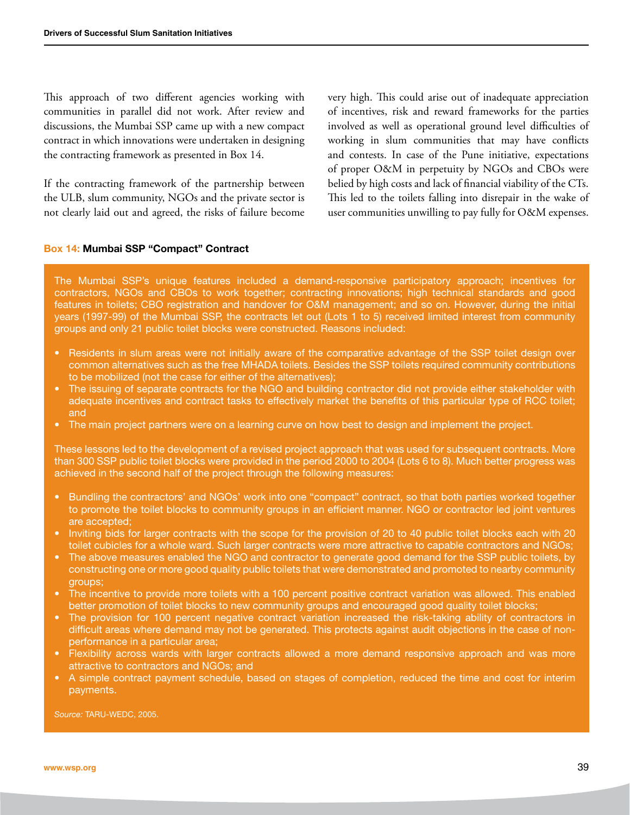This approach of two different agencies working with communities in parallel did not work. After review and discussions, the Mumbai SSP came up with a new compact contract in which innovations were undertaken in designing the contracting framework as presented in Box 14.

If the contracting framework of the partnership between the ULB, slum community, NGOs and the private sector is not clearly laid out and agreed, the risks of failure become very high. This could arise out of inadequate appreciation of incentives, risk and reward frameworks for the parties involved as well as operational ground level difficulties of working in slum communities that may have conflicts and contests. In case of the Pune initiative, expectations of proper O&M in perpetuity by NGOs and CBOs were belied by high costs and lack of financial viability of the CTs. This led to the toilets falling into disrepair in the wake of user communities unwilling to pay fully for O&M expenses.

### Box 14: Mumbai SSP "Compact" Contract

The Mumbai SSP's unique features included a demand-responsive participatory approach; incentives for contractors, NGOs and CBOs to work together; contracting innovations; high technical standards and good features in toilets; CBO registration and handover for O&M management; and so on. However, during the initial years (1997-99) of the Mumbai SSP, the contracts let out (Lots 1 to 5) received limited interest from community groups and only 21 public toilet blocks were constructed. Reasons included:

- Residents in slum areas were not initially aware of the comparative advantage of the SSP toilet design over common alternatives such as the free MHADA toilets. Besides the SSP toilets required community contributions to be mobilized (not the case for either of the alternatives);
- The issuing of separate contracts for the NGO and building contractor did not provide either stakeholder with adequate incentives and contract tasks to effectively market the benefits of this particular type of RCC toilet; and
- The main project partners were on a learning curve on how best to design and implement the project.

These lessons led to the development of a revised project approach that was used for subsequent contracts. More than 300 SSP public toilet blocks were provided in the period 2000 to 2004 (Lots 6 to 8). Much better progress was achieved in the second half of the project through the following measures:

- Bundling the contractors' and NGOs' work into one "compact" contract, so that both parties worked together to promote the toilet blocks to community groups in an efficient manner. NGO or contractor led joint ventures are accepted;
- Inviting bids for larger contracts with the scope for the provision of 20 to 40 public toilet blocks each with 20 toilet cubicles for a whole ward. Such larger contracts were more attractive to capable contractors and NGOs;
- The above measures enabled the NGO and contractor to generate good demand for the SSP public toilets, by constructing one or more good quality public toilets that were demonstrated and promoted to nearby community groups;
- The incentive to provide more toilets with a 100 percent positive contract variation was allowed. This enabled better promotion of toilet blocks to new community groups and encouraged good quality toilet blocks;
- The provision for 100 percent negative contract variation increased the risk-taking ability of contractors in difficult areas where demand may not be generated. This protects against audit objections in the case of nonperformance in a particular area;
- Flexibility across wards with larger contracts allowed a more demand responsive approach and was more attractive to contractors and NGOs; and
- A simple contract payment schedule, based on stages of completion, reduced the time and cost for interim payments.

*Source:* TARU-WEDC, 2005.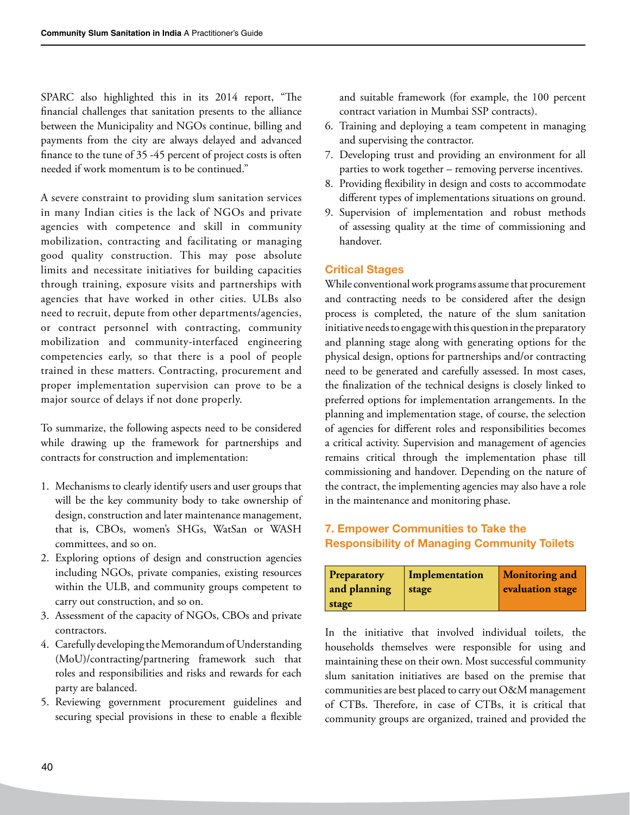SPARC also highlighted this in its 2014 report, "The financial challenges that sanitation presents to the alliance between the Municipality and NGOs continue, billing and payments from the city are always delayed and advanced finance to the tune of 35 -45 percent of project costs is often needed if work momentum is to be continued."

A severe constraint to providing slum sanitation services in many Indian cities is the lack of NGOs and private agencies with competence and skill in community mobilization, contracting and facilitating or managing good quality construction. This may pose absolute limits and necessitate initiatives for building capacities through training, exposure visits and partnerships with agencies that have worked in other cities. ULBs also need to recruit, depute from other departments/agencies, or contract personnel with contracting, community mobilization and community-interfaced engineering competencies early, so that there is a pool of people trained in these matters. Contracting, procurement and proper implementation supervision can prove to be a major source of delays if not done properly.

To summarize, the following aspects need to be considered while drawing up the framework for partnerships and contracts for construction and implementation:

- 1. Mechanisms to clearly identify users and user groups that will be the key community body to take ownership of design, construction and later maintenance management, that is, CBOs, women's SHGs, WatSan or WASH committees, and so on.
- 2. Exploring options of design and construction agencies including NGOs, private companies, existing resources within the ULB, and community groups competent to carry out construction, and so on.
- 3. Assessment of the capacity of NGOs, CBOs and private contractors.
- 4. Carefully developing the Memorandum of Understanding (MoU)/contracting/partnering framework such that roles and responsibilities and risks and rewards for each party are balanced.
- 5. Reviewing government procurement guidelines and securing special provisions in these to enable a flexible

and suitable framework (for example, the 100 percent contract variation in Mumbai SSP contracts).

- 6. Training and deploying a team competent in managing and supervising the contractor.
- 7. Developing trust and providing an environment for all parties to work together – removing perverse incentives.
- 8. Providing flexibility in design and costs to accommodate different types of implementations situations on ground.
- 9. Supervision of implementation and robust methods of assessing quality at the time of commissioning and handover.

## Critical Stages

While conventional work programs assume that procurement and contracting needs to be considered after the design process is completed, the nature of the slum sanitation initiative needs to engage with this question in the preparatory and planning stage along with generating options for the physical design, options for partnerships and/or contracting need to be generated and carefully assessed. In most cases, the finalization of the technical designs is closely linked to preferred options for implementation arrangements. In the planning and implementation stage, of course, the selection of agencies for different roles and responsibilities becomes a critical activity. Supervision and management of agencies remains critical through the implementation phase till commissioning and handover. Depending on the nature of the contract, the implementing agencies may also have a role in the maintenance and monitoring phase.

## 7. Empower Communities to Take the Responsibility of Managing Community Toilets

| <b>Preparatory</b> | Implementation | <b>Monitoring and</b> |
|--------------------|----------------|-----------------------|
| and planning       | stage          | evaluation stage      |
| stage              |                |                       |

In the initiative that involved individual toilets, the households themselves were responsible for using and maintaining these on their own. Most successful community slum sanitation initiatives are based on the premise that communities are best placed to carry out O&M management of CTBs. Therefore, in case of CTBs, it is critical that community groups are organized, trained and provided the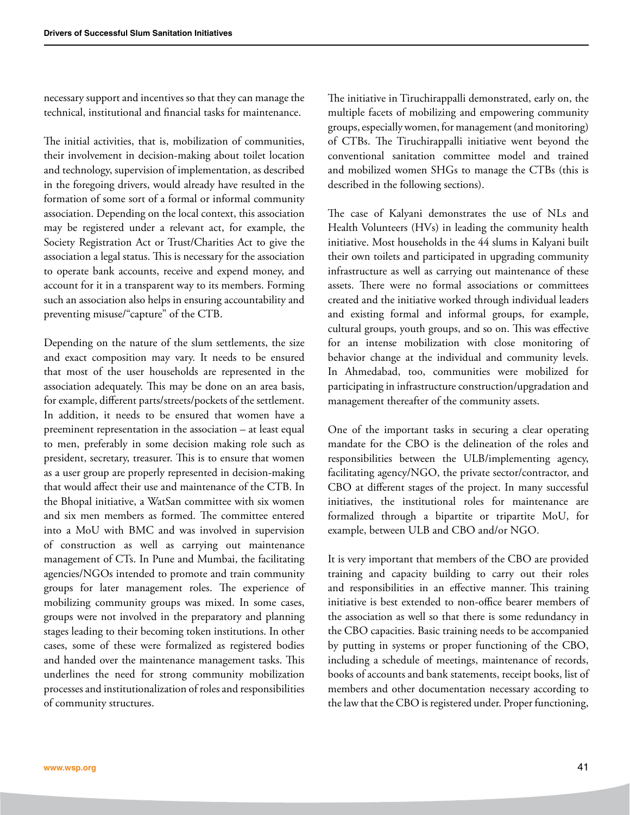necessary support and incentives so that they can manage the technical, institutional and financial tasks for maintenance.

The initial activities, that is, mobilization of communities, their involvement in decision-making about toilet location and technology, supervision of implementation, as described in the foregoing drivers, would already have resulted in the formation of some sort of a formal or informal community association. Depending on the local context, this association may be registered under a relevant act, for example, the Society Registration Act or Trust/Charities Act to give the association a legal status. This is necessary for the association to operate bank accounts, receive and expend money, and account for it in a transparent way to its members. Forming such an association also helps in ensuring accountability and preventing misuse/"capture" of the CTB.

Depending on the nature of the slum settlements, the size and exact composition may vary. It needs to be ensured that most of the user households are represented in the association adequately. This may be done on an area basis, for example, different parts/streets/pockets of the settlement. In addition, it needs to be ensured that women have a preeminent representation in the association – at least equal to men, preferably in some decision making role such as president, secretary, treasurer. This is to ensure that women as a user group are properly represented in decision-making that would affect their use and maintenance of the CTB. In the Bhopal initiative, a WatSan committee with six women and six men members as formed. The committee entered into a MoU with BMC and was involved in supervision of construction as well as carrying out maintenance management of CTs. In Pune and Mumbai, the facilitating agencies/NGOs intended to promote and train community groups for later management roles. The experience of mobilizing community groups was mixed. In some cases, groups were not involved in the preparatory and planning stages leading to their becoming token institutions. In other cases, some of these were formalized as registered bodies and handed over the maintenance management tasks. This underlines the need for strong community mobilization processes and institutionalization of roles and responsibilities of community structures.

The initiative in Tiruchirappalli demonstrated, early on, the multiple facets of mobilizing and empowering community groups, especially women, for management (and monitoring) of CTBs. The Tiruchirappalli initiative went beyond the conventional sanitation committee model and trained and mobilized women SHGs to manage the CTBs (this is described in the following sections).

The case of Kalyani demonstrates the use of NLs and Health Volunteers (HVs) in leading the community health initiative. Most households in the 44 slums in Kalyani built their own toilets and participated in upgrading community infrastructure as well as carrying out maintenance of these assets. There were no formal associations or committees created and the initiative worked through individual leaders and existing formal and informal groups, for example, cultural groups, youth groups, and so on. This was effective for an intense mobilization with close monitoring of behavior change at the individual and community levels. In Ahmedabad, too, communities were mobilized for participating in infrastructure construction/upgradation and management thereafter of the community assets.

One of the important tasks in securing a clear operating mandate for the CBO is the delineation of the roles and responsibilities between the ULB/implementing agency, facilitating agency/NGO, the private sector/contractor, and CBO at different stages of the project. In many successful initiatives, the institutional roles for maintenance are formalized through a bipartite or tripartite MoU, for example, between ULB and CBO and/or NGO.

It is very important that members of the CBO are provided training and capacity building to carry out their roles and responsibilities in an effective manner. This training initiative is best extended to non-office bearer members of the association as well so that there is some redundancy in the CBO capacities. Basic training needs to be accompanied by putting in systems or proper functioning of the CBO, including a schedule of meetings, maintenance of records, books of accounts and bank statements, receipt books, list of members and other documentation necessary according to the law that the CBO is registered under. Proper functioning,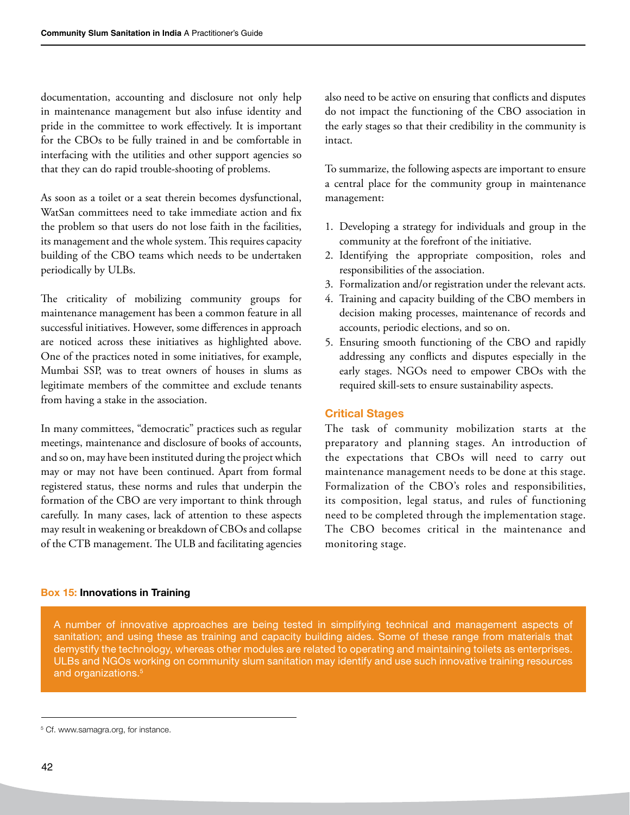documentation, accounting and disclosure not only help in maintenance management but also infuse identity and pride in the committee to work effectively. It is important for the CBOs to be fully trained in and be comfortable in interfacing with the utilities and other support agencies so that they can do rapid trouble-shooting of problems.

As soon as a toilet or a seat therein becomes dysfunctional, WatSan committees need to take immediate action and fix the problem so that users do not lose faith in the facilities, its management and the whole system. This requires capacity building of the CBO teams which needs to be undertaken periodically by ULBs.

The criticality of mobilizing community groups for maintenance management has been a common feature in all successful initiatives. However, some differences in approach are noticed across these initiatives as highlighted above. One of the practices noted in some initiatives, for example, Mumbai SSP, was to treat owners of houses in slums as legitimate members of the committee and exclude tenants from having a stake in the association.

In many committees, "democratic" practices such as regular meetings, maintenance and disclosure of books of accounts, and so on, may have been instituted during the project which may or may not have been continued. Apart from formal registered status, these norms and rules that underpin the formation of the CBO are very important to think through carefully. In many cases, lack of attention to these aspects may result in weakening or breakdown of CBOs and collapse of the CTB management. The ULB and facilitating agencies also need to be active on ensuring that conflicts and disputes do not impact the functioning of the CBO association in the early stages so that their credibility in the community is intact.

To summarize, the following aspects are important to ensure a central place for the community group in maintenance management:

- 1. Developing a strategy for individuals and group in the community at the forefront of the initiative.
- 2. Identifying the appropriate composition, roles and responsibilities of the association.
- 3. Formalization and/or registration under the relevant acts.
- 4. Training and capacity building of the CBO members in decision making processes, maintenance of records and accounts, periodic elections, and so on.
- 5. Ensuring smooth functioning of the CBO and rapidly addressing any conflicts and disputes especially in the early stages. NGOs need to empower CBOs with the required skill-sets to ensure sustainability aspects.

## Critical Stages

The task of community mobilization starts at the preparatory and planning stages. An introduction of the expectations that CBOs will need to carry out maintenance management needs to be done at this stage. Formalization of the CBO's roles and responsibilities, its composition, legal status, and rules of functioning need to be completed through the implementation stage. The CBO becomes critical in the maintenance and monitoring stage.

#### Box 15: Innovations in Training

A number of innovative approaches are being tested in simplifying technical and management aspects of sanitation; and using these as training and capacity building aides. Some of these range from materials that demystify the technology, whereas other modules are related to operating and maintaining toilets as enterprises. ULBs and NGOs working on community slum sanitation may identify and use such innovative training resources and organizations.<sup>5</sup>

<sup>5</sup> Cf. www.samagra.org, for instance.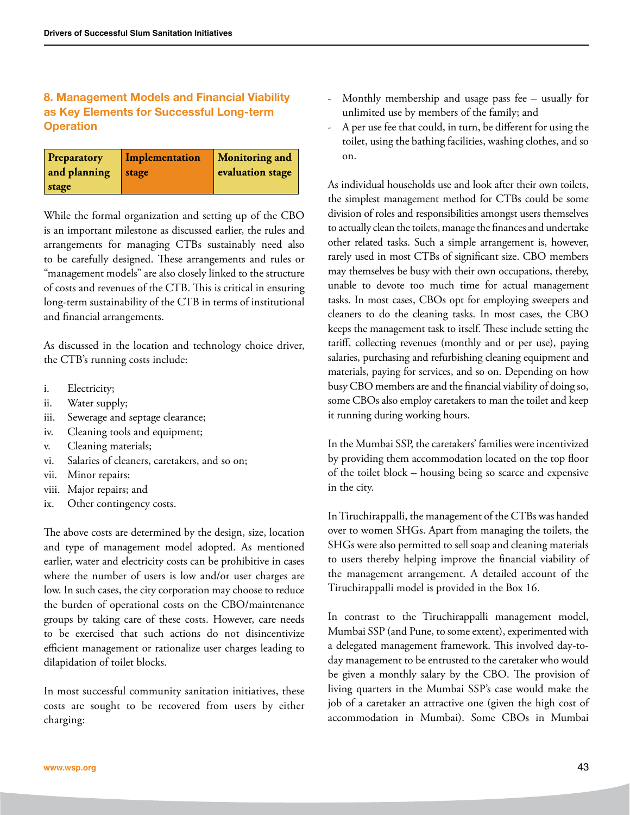## 8. Management Models and Financial Viability as Key Elements for Successful Long-term **Operation**

| <b>Preparatory</b> | Implementation | <b>Monitoring and</b> |
|--------------------|----------------|-----------------------|
| and planning       | stage          | evaluation stage      |
| stage              |                |                       |

While the formal organization and setting up of the CBO is an important milestone as discussed earlier, the rules and arrangements for managing CTBs sustainably need also to be carefully designed. These arrangements and rules or "management models" are also closely linked to the structure of costs and revenues of the CTB. This is critical in ensuring long-term sustainability of the CTB in terms of institutional and financial arrangements.

As discussed in the location and technology choice driver, the CTB's running costs include:

- i. Electricity;
- ii. Water supply;
- iii. Sewerage and septage clearance;
- iv. Cleaning tools and equipment;
- v. Cleaning materials;
- vi. Salaries of cleaners, caretakers, and so on;
- vii. Minor repairs;
- viii. Major repairs; and
- ix. Other contingency costs.

The above costs are determined by the design, size, location and type of management model adopted. As mentioned earlier, water and electricity costs can be prohibitive in cases where the number of users is low and/or user charges are low. In such cases, the city corporation may choose to reduce the burden of operational costs on the CBO/maintenance groups by taking care of these costs. However, care needs to be exercised that such actions do not disincentivize efficient management or rationalize user charges leading to dilapidation of toilet blocks.

In most successful community sanitation initiatives, these costs are sought to be recovered from users by either charging:

- Monthly membership and usage pass fee  $-$  usually for unlimited use by members of the family; and
- A per use fee that could, in turn, be different for using the toilet, using the bathing facilities, washing clothes, and so on.

As individual households use and look after their own toilets, the simplest management method for CTBs could be some division of roles and responsibilities amongst users themselves to actually clean the toilets, manage the finances and undertake other related tasks. Such a simple arrangement is, however, rarely used in most CTBs of significant size. CBO members may themselves be busy with their own occupations, thereby, unable to devote too much time for actual management tasks. In most cases, CBOs opt for employing sweepers and cleaners to do the cleaning tasks. In most cases, the CBO keeps the management task to itself. These include setting the tariff, collecting revenues (monthly and or per use), paying salaries, purchasing and refurbishing cleaning equipment and materials, paying for services, and so on. Depending on how busy CBO members are and the financial viability of doing so, some CBOs also employ caretakers to man the toilet and keep it running during working hours.

In the Mumbai SSP, the caretakers' families were incentivized by providing them accommodation located on the top floor of the toilet block – housing being so scarce and expensive in the city.

In Tiruchirappalli, the management of the CTBs was handed over to women SHGs. Apart from managing the toilets, the SHGs were also permitted to sell soap and cleaning materials to users thereby helping improve the financial viability of the management arrangement. A detailed account of the Tiruchirappalli model is provided in the Box 16.

In contrast to the Tiruchirappalli management model, Mumbai SSP (and Pune, to some extent), experimented with a delegated management framework. This involved day-today management to be entrusted to the caretaker who would be given a monthly salary by the CBO. The provision of living quarters in the Mumbai SSP's case would make the job of a caretaker an attractive one (given the high cost of accommodation in Mumbai). Some CBOs in Mumbai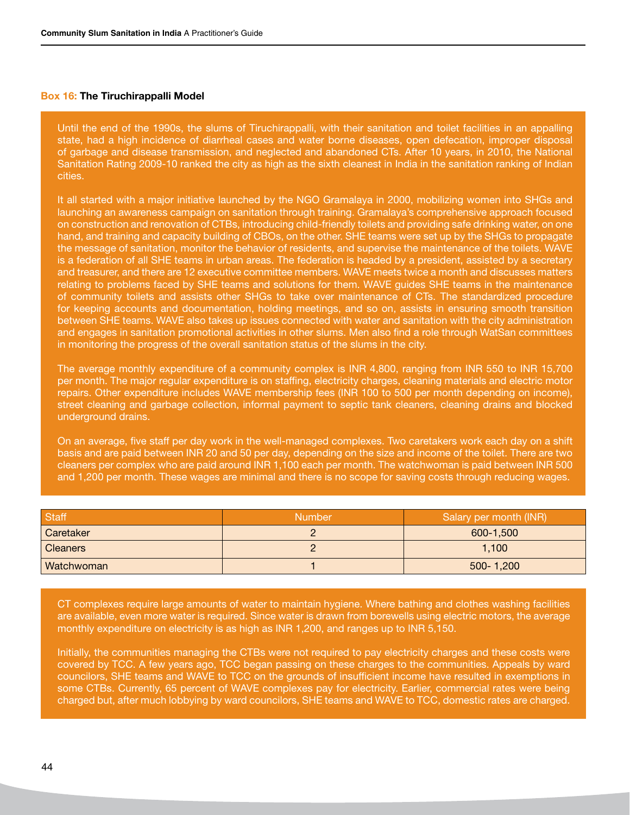#### Box 16: The Tiruchirappalli Model

Until the end of the 1990s, the slums of Tiruchirappalli, with their sanitation and toilet facilities in an appalling state, had a high incidence of diarrheal cases and water borne diseases, open defecation, improper disposal of garbage and disease transmission, and neglected and abandoned CTs. After 10 years, in 2010, the National Sanitation Rating 2009-10 ranked the city as high as the sixth cleanest in India in the sanitation ranking of Indian cities.

It all started with a major initiative launched by the NGO Gramalaya in 2000, mobilizing women into SHGs and launching an awareness campaign on sanitation through training. Gramalaya's comprehensive approach focused on construction and renovation of CTBs, introducing child-friendly toilets and providing safe drinking water, on one hand, and training and capacity building of CBOs, on the other. SHE teams were set up by the SHGs to propagate the message of sanitation, monitor the behavior of residents, and supervise the maintenance of the toilets. WAVE is a federation of all SHE teams in urban areas. The federation is headed by a president, assisted by a secretary and treasurer, and there are 12 executive committee members. WAVE meets twice a month and discusses matters relating to problems faced by SHE teams and solutions for them. WAVE guides SHE teams in the maintenance of community toilets and assists other SHGs to take over maintenance of CTs. The standardized procedure for keeping accounts and documentation, holding meetings, and so on, assists in ensuring smooth transition between SHE teams. WAVE also takes up issues connected with water and sanitation with the city administration and engages in sanitation promotional activities in other slums. Men also find a role through WatSan committees in monitoring the progress of the overall sanitation status of the slums in the city.

The average monthly expenditure of a community complex is INR 4,800, ranging from INR 550 to INR 15,700 per month. The major regular expenditure is on staffing, electricity charges, cleaning materials and electric motor repairs. Other expenditure includes WAVE membership fees (INR 100 to 500 per month depending on income), street cleaning and garbage collection, informal payment to septic tank cleaners, cleaning drains and blocked underground drains.

On an average, five staff per day work in the well-managed complexes. Two caretakers work each day on a shift basis and are paid between INR 20 and 50 per day, depending on the size and income of the toilet. There are two cleaners per complex who are paid around INR 1,100 each per month. The watchwoman is paid between INR 500 and 1,200 per month. These wages are minimal and there is no scope for saving costs through reducing wages.

| <b>Staff</b>    | <b>Number</b> | Salary per month (INR) |
|-----------------|---------------|------------------------|
| Caretaker       |               | 600-1,500              |
| <b>Cleaners</b> |               | 1.100                  |
| Watchwoman      |               | $500 - 1,200$          |

CT complexes require large amounts of water to maintain hygiene. Where bathing and clothes washing facilities are available, even more water is required. Since water is drawn from borewells using electric motors, the average monthly expenditure on electricity is as high as INR 1,200, and ranges up to INR 5,150.

Initially, the communities managing the CTBs were not required to pay electricity charges and these costs were covered by TCC. A few years ago, TCC began passing on these charges to the communities. Appeals by ward councilors, SHE teams and WAVE to TCC on the grounds of insufficient income have resulted in exemptions in some CTBs. Currently, 65 percent of WAVE complexes pay for electricity. Earlier, commercial rates were being charged but, after much lobbying by ward councilors, SHE teams and WAVE to TCC, domestic rates are charged.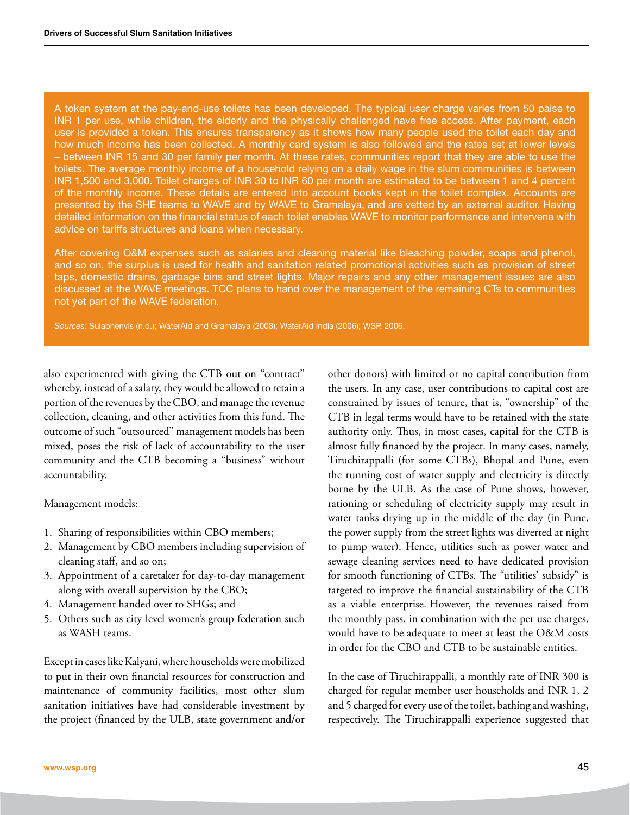A token system at the pay-and-use toilets has been developed. The typical user charge varies from 50 paise to INR 1 per use, while children, the elderly and the physically challenged have free access. After payment, each user is provided a token. This ensures transparency as it shows how many people used the toilet each day and how much income has been collected. A monthly card system is also followed and the rates set at lower levels – between INR 15 and 30 per family per month. At these rates, communities report that they are able to use the toilets. The average monthly income of a household relying on a daily wage in the slum communities is between INR 1,500 and 3,000. Toilet charges of INR 30 to INR 60 per month are estimated to be between 1 and 4 percent of the monthly income. These details are entered into account books kept in the toilet complex. Accounts are presented by the SHE teams to WAVE and by WAVE to Gramalaya, and are vetted by an external auditor. Having detailed information on the financial status of each toilet enables WAVE to monitor performance and intervene with advice on tariffs structures and loans when necessary.

After covering O&M expenses such as salaries and cleaning material like bleaching powder, soaps and phenol, and so on, the surplus is used for health and sanitation related promotional activities such as provision of street taps, domestic drains, garbage bins and street lights. Major repairs and any other management issues are also discussed at the WAVE meetings. TCC plans to hand over the management of the remaining CTs to communities not yet part of the WAVE federation.

*Sources:* Sulabhenvis (n.d.); WaterAid and Gramalaya (2008); WaterAid India (2006); WSP, 2006.

also experimented with giving the CTB out on "contract" whereby, instead of a salary, they would be allowed to retain a portion of the revenues by the CBO, and manage the revenue collection, cleaning, and other activities from this fund. The outcome of such "outsourced" management models has been mixed, poses the risk of lack of accountability to the user community and the CTB becoming a "business" without accountability.

Management models:

- 1. Sharing of responsibilities within CBO members;
- 2. Management by CBO members including supervision of cleaning staff, and so on;
- 3. Appointment of a caretaker for day-to-day management along with overall supervision by the CBO;
- 4. Management handed over to SHGs; and
- 5. Others such as city level women's group federation such as WASH teams.

Except in cases like Kalyani, where households were mobilized to put in their own financial resources for construction and maintenance of community facilities, most other slum sanitation initiatives have had considerable investment by the project (financed by the ULB, state government and/or other donors) with limited or no capital contribution from the users. In any case, user contributions to capital cost are constrained by issues of tenure, that is, "ownership" of the CTB in legal terms would have to be retained with the state authority only. Thus, in most cases, capital for the CTB is almost fully financed by the project. In many cases, namely, Tiruchirappalli (for some CTBs), Bhopal and Pune, even the running cost of water supply and electricity is directly borne by the ULB. As the case of Pune shows, however, rationing or scheduling of electricity supply may result in water tanks drying up in the middle of the day (in Pune, the power supply from the street lights was diverted at night to pump water). Hence, utilities such as power water and sewage cleaning services need to have dedicated provision for smooth functioning of CTBs. The "utilities' subsidy" is targeted to improve the financial sustainability of the CTB as a viable enterprise. However, the revenues raised from the monthly pass, in combination with the per use charges, would have to be adequate to meet at least the O&M costs in order for the CBO and CTB to be sustainable entities.

In the case of Tiruchirappalli, a monthly rate of INR 300 is charged for regular member user households and INR 1, 2 and 5 charged for every use of the toilet, bathing and washing, respectively. The Tiruchirappalli experience suggested that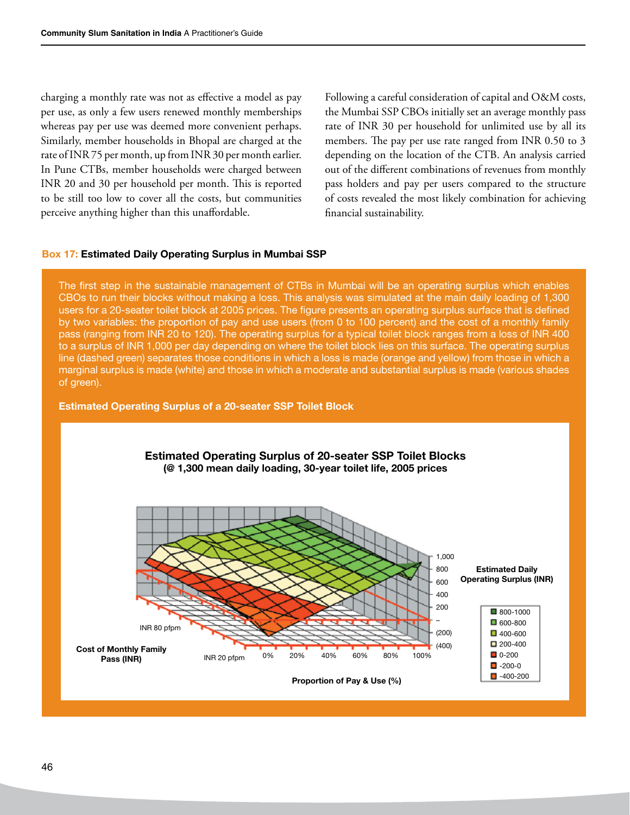charging a monthly rate was not as effective a model as pay per use, as only a few users renewed monthly memberships whereas pay per use was deemed more convenient perhaps. Similarly, member households in Bhopal are charged at the rate of INR 75 per month, up from INR 30 per month earlier. In Pune CTBs, member households were charged between INR 20 and 30 per household per month. This is reported to be still too low to cover all the costs, but communities perceive anything higher than this unaffordable.

Following a careful consideration of capital and O&M costs, the Mumbai SSP CBOs initially set an average monthly pass rate of INR 30 per household for unlimited use by all its members. The pay per use rate ranged from INR 0.50 to 3 depending on the location of the CTB. An analysis carried out of the different combinations of revenues from monthly pass holders and pay per users compared to the structure of costs revealed the most likely combination for achieving financial sustainability.

#### Box 17: Estimated Daily Operating Surplus in Mumbai SSP

The first step in the sustainable management of CTBs in Mumbai will be an operating surplus which enables CBOs to run their blocks without making a loss. This analysis was simulated at the main daily loading of 1,300 users for a 20-seater toilet block at 2005 prices. The figure presents an operating surplus surface that is defined by two variables: the proportion of pay and use users (from 0 to 100 percent) and the cost of a monthly family pass (ranging from INR 20 to 120). The operating surplus for a typical toilet block ranges from a loss of INR 400 to a surplus of INR 1,000 per day depending on where the toilet block lies on this surface. The operating surplus line (dashed green) separates those conditions in which a loss is made (orange and yellow) from those in which a marginal surplus is made (white) and those in which a moderate and substantial surplus is made (various shades of green).

#### Estimated Operating Surplus of a 20-seater SSP Toilet Block

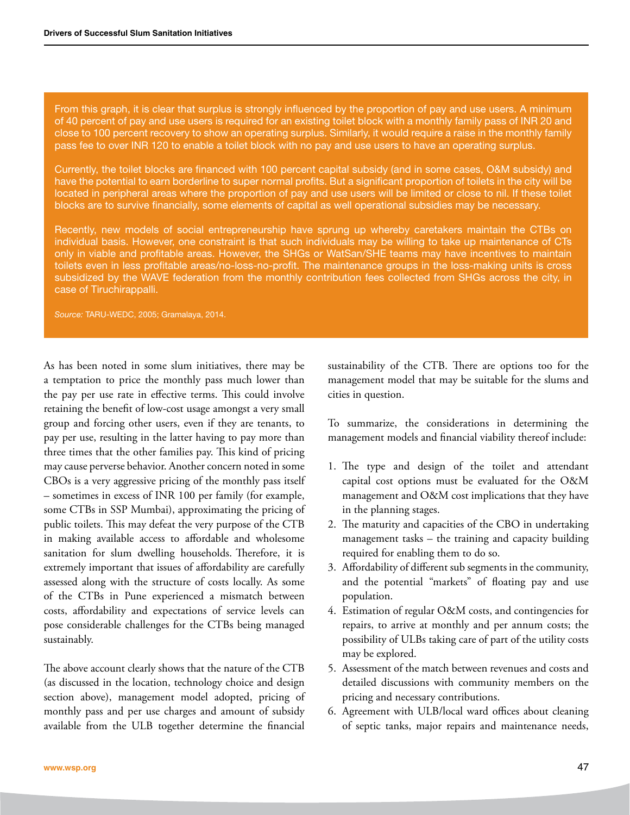From this graph, it is clear that surplus is strongly influenced by the proportion of pay and use users. A minimum of 40 percent of pay and use users is required for an existing toilet block with a monthly family pass of INR 20 and close to 100 percent recovery to show an operating surplus. Similarly, it would require a raise in the monthly family pass fee to over INR 120 to enable a toilet block with no pay and use users to have an operating surplus.

Currently, the toilet blocks are financed with 100 percent capital subsidy (and in some cases, O&M subsidy) and have the potential to earn borderline to super normal profits. But a significant proportion of toilets in the city will be located in peripheral areas where the proportion of pay and use users will be limited or close to nil. If these toilet blocks are to survive financially, some elements of capital as well operational subsidies may be necessary.

Recently, new models of social entrepreneurship have sprung up whereby caretakers maintain the CTBs on individual basis. However, one constraint is that such individuals may be willing to take up maintenance of CTs only in viable and profitable areas. However, the SHGs or WatSan/SHE teams may have incentives to maintain toilets even in less profitable areas/no-loss-no-profit. The maintenance groups in the loss-making units is cross subsidized by the WAVE federation from the monthly contribution fees collected from SHGs across the city, in case of Tiruchirappalli.

*Source:* TARU-WEDC, 2005; Gramalaya, 2014.

As has been noted in some slum initiatives, there may be a temptation to price the monthly pass much lower than the pay per use rate in effective terms. This could involve retaining the benefit of low-cost usage amongst a very small group and forcing other users, even if they are tenants, to pay per use, resulting in the latter having to pay more than three times that the other families pay. This kind of pricing may cause perverse behavior. Another concern noted in some CBOs is a very aggressive pricing of the monthly pass itself – sometimes in excess of INR 100 per family (for example, some CTBs in SSP Mumbai), approximating the pricing of public toilets. This may defeat the very purpose of the CTB in making available access to affordable and wholesome sanitation for slum dwelling households. Therefore, it is extremely important that issues of affordability are carefully assessed along with the structure of costs locally. As some of the CTBs in Pune experienced a mismatch between costs, affordability and expectations of service levels can pose considerable challenges for the CTBs being managed sustainably.

The above account clearly shows that the nature of the CTB (as discussed in the location, technology choice and design section above), management model adopted, pricing of monthly pass and per use charges and amount of subsidy available from the ULB together determine the financial sustainability of the CTB. There are options too for the management model that may be suitable for the slums and cities in question.

To summarize, the considerations in determining the management models and financial viability thereof include:

- 1. The type and design of the toilet and attendant capital cost options must be evaluated for the O&M management and O&M cost implications that they have in the planning stages.
- 2. The maturity and capacities of the CBO in undertaking management tasks – the training and capacity building required for enabling them to do so.
- 3. Affordability of different sub segments in the community, and the potential "markets" of floating pay and use population.
- 4. Estimation of regular O&M costs, and contingencies for repairs, to arrive at monthly and per annum costs; the possibility of ULBs taking care of part of the utility costs may be explored.
- 5. Assessment of the match between revenues and costs and detailed discussions with community members on the pricing and necessary contributions.
- 6. Agreement with ULB/local ward offices about cleaning of septic tanks, major repairs and maintenance needs,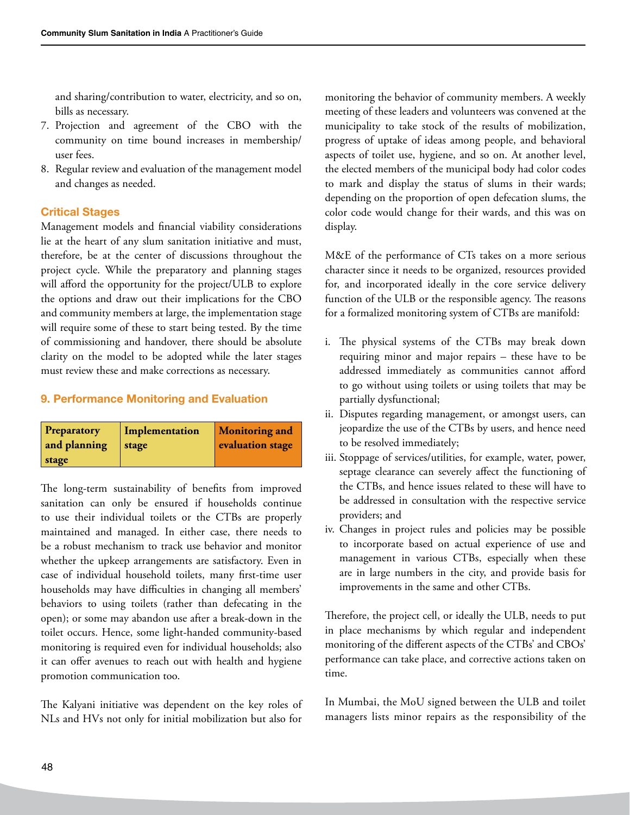and sharing/contribution to water, electricity, and so on, bills as necessary.

- 7. Projection and agreement of the CBO with the community on time bound increases in membership/ user fees.
- 8. Regular review and evaluation of the management model and changes as needed.

## Critical Stages

Management models and financial viability considerations lie at the heart of any slum sanitation initiative and must, therefore, be at the center of discussions throughout the project cycle. While the preparatory and planning stages will afford the opportunity for the project/ULB to explore the options and draw out their implications for the CBO and community members at large, the implementation stage will require some of these to start being tested. By the time of commissioning and handover, there should be absolute clarity on the model to be adopted while the later stages must review these and make corrections as necessary.

## 9. Performance Monitoring and Evaluation



The long-term sustainability of benefits from improved sanitation can only be ensured if households continue to use their individual toilets or the CTBs are properly maintained and managed. In either case, there needs to be a robust mechanism to track use behavior and monitor whether the upkeep arrangements are satisfactory. Even in case of individual household toilets, many first-time user households may have difficulties in changing all members' behaviors to using toilets (rather than defecating in the open); or some may abandon use after a break-down in the toilet occurs. Hence, some light-handed community-based monitoring is required even for individual households; also it can offer avenues to reach out with health and hygiene promotion communication too.

The Kalyani initiative was dependent on the key roles of NLs and HVs not only for initial mobilization but also for

monitoring the behavior of community members. A weekly meeting of these leaders and volunteers was convened at the municipality to take stock of the results of mobilization, progress of uptake of ideas among people, and behavioral aspects of toilet use, hygiene, and so on. At another level, the elected members of the municipal body had color codes to mark and display the status of slums in their wards; depending on the proportion of open defecation slums, the color code would change for their wards, and this was on display.

M&E of the performance of CTs takes on a more serious character since it needs to be organized, resources provided for, and incorporated ideally in the core service delivery function of the ULB or the responsible agency. The reasons for a formalized monitoring system of CTBs are manifold:

- i. The physical systems of the CTBs may break down requiring minor and major repairs – these have to be addressed immediately as communities cannot afford to go without using toilets or using toilets that may be partially dysfunctional;
- ii. Disputes regarding management, or amongst users, can jeopardize the use of the CTBs by users, and hence need to be resolved immediately;
- iii. Stoppage of services/utilities, for example, water, power, septage clearance can severely affect the functioning of the CTBs, and hence issues related to these will have to be addressed in consultation with the respective service providers; and
- iv. Changes in project rules and policies may be possible to incorporate based on actual experience of use and management in various CTBs, especially when these are in large numbers in the city, and provide basis for improvements in the same and other CTBs.

Therefore, the project cell, or ideally the ULB, needs to put in place mechanisms by which regular and independent monitoring of the different aspects of the CTBs' and CBOs' performance can take place, and corrective actions taken on time.

In Mumbai, the MoU signed between the ULB and toilet managers lists minor repairs as the responsibility of the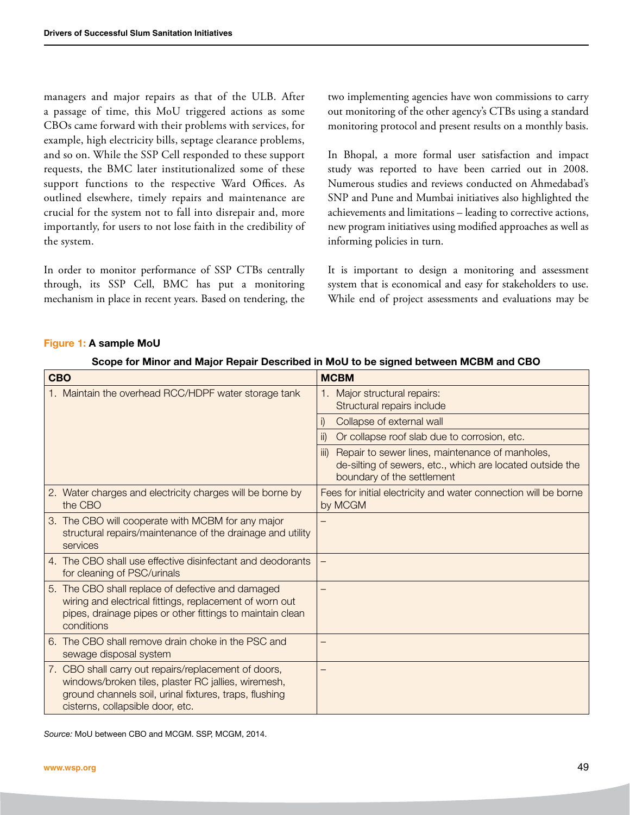managers and major repairs as that of the ULB. After a passage of time, this MoU triggered actions as some CBOs came forward with their problems with services, for example, high electricity bills, septage clearance problems, and so on. While the SSP Cell responded to these support requests, the BMC later institutionalized some of these support functions to the respective Ward Offices. As outlined elsewhere, timely repairs and maintenance are crucial for the system not to fall into disrepair and, more importantly, for users to not lose faith in the credibility of the system.

In order to monitor performance of SSP CTBs centrally through, its SSP Cell, BMC has put a monitoring mechanism in place in recent years. Based on tendering, the

two implementing agencies have won commissions to carry out monitoring of the other agency's CTBs using a standard monitoring protocol and present results on a monthly basis.

In Bhopal, a more formal user satisfaction and impact study was reported to have been carried out in 2008. Numerous studies and reviews conducted on Ahmedabad's SNP and Pune and Mumbai initiatives also highlighted the achievements and limitations – leading to corrective actions, new program initiatives using modified approaches as well as informing policies in turn.

It is important to design a monitoring and assessment system that is economical and easy for stakeholders to use. While end of project assessments and evaluations may be

#### Figure 1: A sample MoU

| Scope for Minor and Major Repair Described in MoU to be signed between MCBM and CBO |
|-------------------------------------------------------------------------------------|
|-------------------------------------------------------------------------------------|

| <b>CBO</b>                                                                                                                                                                                                | <b>MCBM</b>                                                                                                                                        |
|-----------------------------------------------------------------------------------------------------------------------------------------------------------------------------------------------------------|----------------------------------------------------------------------------------------------------------------------------------------------------|
| 1. Maintain the overhead RCC/HDPF water storage tank                                                                                                                                                      | Major structural repairs:<br>Structural repairs include                                                                                            |
|                                                                                                                                                                                                           | Collapse of external wall                                                                                                                          |
|                                                                                                                                                                                                           | Or collapse roof slab due to corrosion, etc.<br>ii)                                                                                                |
|                                                                                                                                                                                                           | Repair to sewer lines, maintenance of manholes,<br>iii)<br>de-silting of sewers, etc., which are located outside the<br>boundary of the settlement |
| 2. Water charges and electricity charges will be borne by<br>the CBO                                                                                                                                      | Fees for initial electricity and water connection will be borne<br>by MCGM                                                                         |
| 3. The CBO will cooperate with MCBM for any major<br>structural repairs/maintenance of the drainage and utility<br>services                                                                               |                                                                                                                                                    |
| 4. The CBO shall use effective disinfectant and deodorants<br>for cleaning of PSC/urinals                                                                                                                 |                                                                                                                                                    |
| 5. The CBO shall replace of defective and damaged<br>wiring and electrical fittings, replacement of worn out<br>pipes, drainage pipes or other fittings to maintain clean<br>conditions                   |                                                                                                                                                    |
| The CBO shall remove drain choke in the PSC and<br>6.<br>sewage disposal system                                                                                                                           |                                                                                                                                                    |
| 7. CBO shall carry out repairs/replacement of doors,<br>windows/broken tiles, plaster RC jallies, wiremesh,<br>ground channels soil, urinal fixtures, traps, flushing<br>cisterns, collapsible door, etc. | $\overline{\phantom{0}}$                                                                                                                           |

*Source:* MoU between CBO and MCGM. SSP, MCGM, 2014.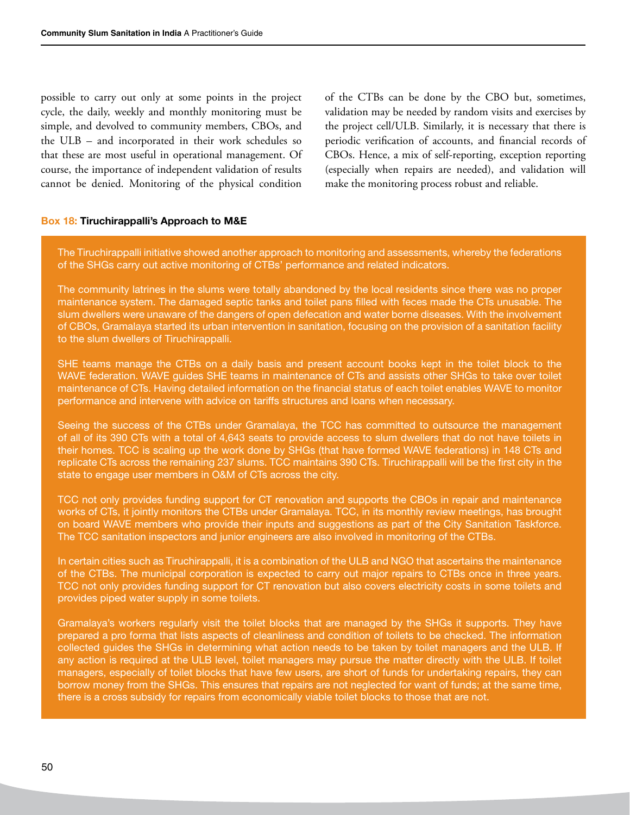possible to carry out only at some points in the project cycle, the daily, weekly and monthly monitoring must be simple, and devolved to community members, CBOs, and the ULB – and incorporated in their work schedules so that these are most useful in operational management. Of course, the importance of independent validation of results cannot be denied. Monitoring of the physical condition

of the CTBs can be done by the CBO but, sometimes, validation may be needed by random visits and exercises by the project cell/ULB. Similarly, it is necessary that there is periodic verification of accounts, and financial records of CBOs. Hence, a mix of self-reporting, exception reporting (especially when repairs are needed), and validation will make the monitoring process robust and reliable.

#### Box 18: Tiruchirappalli's Approach to M&E

The Tiruchirappalli initiative showed another approach to monitoring and assessments, whereby the federations of the SHGs carry out active monitoring of CTBs' performance and related indicators.

The community latrines in the slums were totally abandoned by the local residents since there was no proper maintenance system. The damaged septic tanks and toilet pans filled with feces made the CTs unusable. The slum dwellers were unaware of the dangers of open defecation and water borne diseases. With the involvement of CBOs, Gramalaya started its urban intervention in sanitation, focusing on the provision of a sanitation facility to the slum dwellers of Tiruchirappalli.

SHE teams manage the CTBs on a daily basis and present account books kept in the toilet block to the WAVE federation. WAVE guides SHE teams in maintenance of CTs and assists other SHGs to take over toilet maintenance of CTs. Having detailed information on the financial status of each toilet enables WAVE to monitor performance and intervene with advice on tariffs structures and loans when necessary.

Seeing the success of the CTBs under Gramalaya, the TCC has committed to outsource the management of all of its 390 CTs with a total of 4,643 seats to provide access to slum dwellers that do not have toilets in their homes. TCC is scaling up the work done by SHGs (that have formed WAVE federations) in 148 CTs and replicate CTs across the remaining 237 slums. TCC maintains 390 CTs. Tiruchirappalli will be the first city in the state to engage user members in O&M of CTs across the city.

TCC not only provides funding support for CT renovation and supports the CBOs in repair and maintenance works of CTs, it jointly monitors the CTBs under Gramalaya. TCC, in its monthly review meetings, has brought on board WAVE members who provide their inputs and suggestions as part of the City Sanitation Taskforce. The TCC sanitation inspectors and junior engineers are also involved in monitoring of the CTBs.

In certain cities such as Tiruchirappalli, it is a combination of the ULB and NGO that ascertains the maintenance of the CTBs. The municipal corporation is expected to carry out major repairs to CTBs once in three years. TCC not only provides funding support for CT renovation but also covers electricity costs in some toilets and provides piped water supply in some toilets.

Gramalaya's workers regularly visit the toilet blocks that are managed by the SHGs it supports. They have prepared a pro forma that lists aspects of cleanliness and condition of toilets to be checked. The information collected guides the SHGs in determining what action needs to be taken by toilet managers and the ULB. If any action is required at the ULB level, toilet managers may pursue the matter directly with the ULB. If toilet managers, especially of toilet blocks that have few users, are short of funds for undertaking repairs, they can borrow money from the SHGs. This ensures that repairs are not neglected for want of funds; at the same time, there is a cross subsidy for repairs from economically viable toilet blocks to those that are not.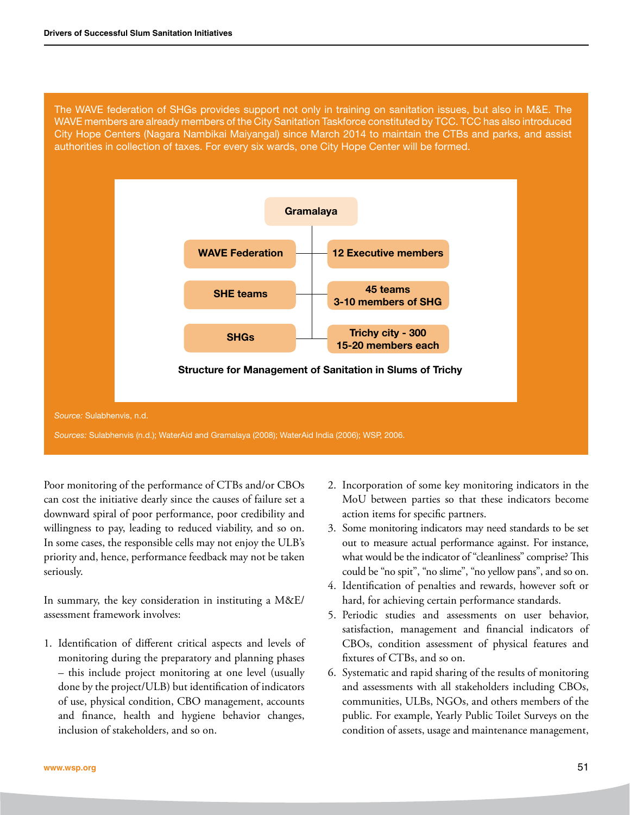The WAVE federation of SHGs provides support not only in training on sanitation issues, but also in M&E. The WAVE members are already members of the City Sanitation Taskforce constituted by TCC. TCC has also introduced City Hope Centers (Nagara Nambikai Maiyangal) since March 2014 to maintain the CTBs and parks, and assist authorities in collection of taxes. For every six wards, one City Hope Center will be formed.



Poor monitoring of the performance of CTBs and/or CBOs can cost the initiative dearly since the causes of failure set a downward spiral of poor performance, poor credibility and willingness to pay, leading to reduced viability, and so on. In some cases, the responsible cells may not enjoy the ULB's priority and, hence, performance feedback may not be taken seriously.

In summary, the key consideration in instituting a M&E/ assessment framework involves:

1. Identification of different critical aspects and levels of monitoring during the preparatory and planning phases – this include project monitoring at one level (usually done by the project/ULB) but identification of indicators of use, physical condition, CBO management, accounts and finance, health and hygiene behavior changes, inclusion of stakeholders, and so on.

- 2. Incorporation of some key monitoring indicators in the MoU between parties so that these indicators become action items for specific partners.
- 3. Some monitoring indicators may need standards to be set out to measure actual performance against. For instance, what would be the indicator of "cleanliness" comprise? This could be "no spit", "no slime", "no yellow pans", and so on.
- 4. Identification of penalties and rewards, however soft or hard, for achieving certain performance standards.
- 5. Periodic studies and assessments on user behavior, satisfaction, management and financial indicators of CBOs, condition assessment of physical features and fixtures of CTBs, and so on.
- 6. Systematic and rapid sharing of the results of monitoring and assessments with all stakeholders including CBOs, communities, ULBs, NGOs, and others members of the public. For example, Yearly Public Toilet Surveys on the condition of assets, usage and maintenance management,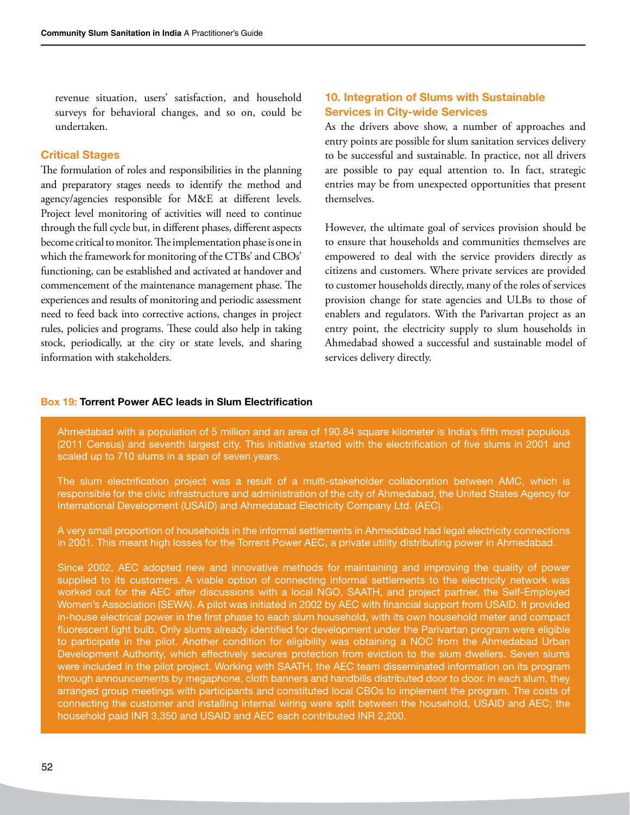revenue situation, users' satisfaction, and household surveys for behavioral changes, and so on, could be undertaken.

#### Critical Stages

The formulation of roles and responsibilities in the planning and preparatory stages needs to identify the method and agency/agencies responsible for M&E at different levels. Project level monitoring of activities will need to continue through the full cycle but, in different phases, different aspects become critical to monitor. The implementation phase is one in which the framework for monitoring of the CTBs' and CBOs' functioning, can be established and activated at handover and commencement of the maintenance management phase. The experiences and results of monitoring and periodic assessment need to feed back into corrective actions, changes in project rules, policies and programs. These could also help in taking stock, periodically, at the city or state levels, and sharing information with stakeholders.

## 10. Integration of Slums with Sustainable Services in City-wide Services

As the drivers above show, a number of approaches and entry points are possible for slum sanitation services delivery to be successful and sustainable. In practice, not all drivers are possible to pay equal attention to. In fact, strategic entries may be from unexpected opportunities that present themselves.

However, the ultimate goal of services provision should be to ensure that households and communities themselves are empowered to deal with the service providers directly as citizens and customers. Where private services are provided to customer households directly, many of the roles of services provision change for state agencies and ULBs to those of enablers and regulators. With the Parivartan project as an entry point, the electricity supply to slum households in Ahmedabad showed a successful and sustainable model of services delivery directly.

## Box 19: Torrent Power AEC leads in Slum Electrification

Ahmedabad with a population of 5 million and an area of 190.84 square kilometer is India's fifth most populous (2011 Census) and seventh largest city. This initiative started with the electrification of five slums in 2001 and scaled up to 710 slums in a span of seven years.

The slum electrification project was a result of a multi-stakeholder collaboration between AMC, which is responsible for the civic infrastructure and administration of the city of Ahmedabad, the United States Agency for International Development (USAID) and Ahmedabad Electricity Company Ltd. (AEC).

A very small proportion of households in the informal settlements in Ahmedabad had legal electricity connections in 2001. This meant high losses for the Torrent Power AEC, a private utility distributing power in Ahmedabad.

Since 2002, AEC adopted new and innovative methods for maintaining and improving the quality of power supplied to its customers. A viable option of connecting informal settlements to the electricity network was worked out for the AEC after discussions with a local NGO, SAATH, and project partner, the Self-Employed Women's Association (SEWA). A pilot was initiated in 2002 by AEC with financial support from USAID. It provided in-house electrical power in the first phase to each slum household, with its own household meter and compact fluorescent light bulb. Only slums already identified for development under the Parivartan program were eligible to participate in the pilot. Another condition for eligibility was obtaining a NOC from the Ahmedabad Urban Development Authority, which effectively secures protection from eviction to the slum dwellers. Seven slums were included in the pilot project. Working with SAATH, the AEC team disseminated information on its program through announcements by megaphone, cloth banners and handbills distributed door to door. In each slum, they arranged group meetings with participants and constituted local CBOs to implement the program. The costs of connecting the customer and installing internal wiring were split between the household, USAID and AEC; the household paid INR 3,350 and USAID and AEC each contributed INR 2,200.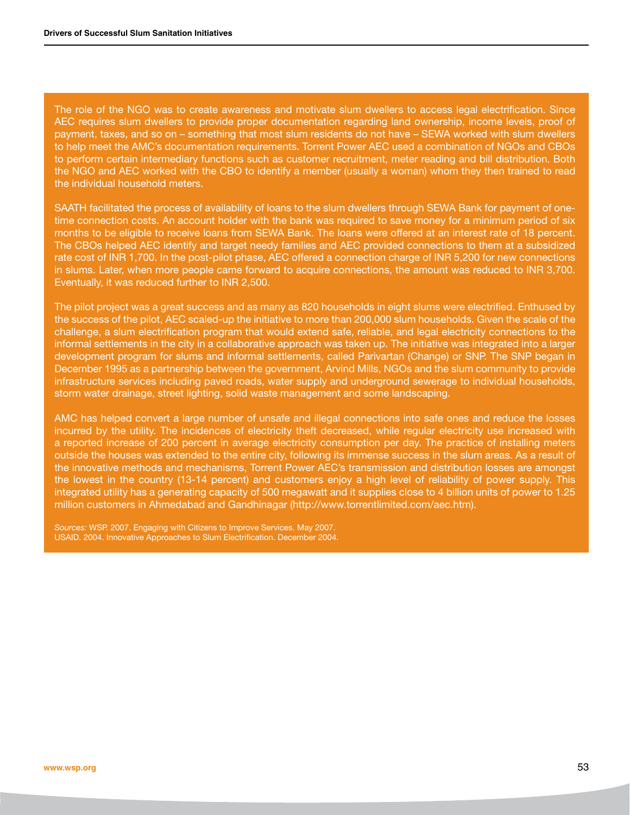The role of the NGO was to create awareness and motivate slum dwellers to access legal electrification. Since AEC requires slum dwellers to provide proper documentation regarding land ownership, income levels, proof of payment, taxes, and so on – something that most slum residents do not have – SEWA worked with slum dwellers to help meet the AMC's documentation requirements. Torrent Power AEC used a combination of NGOs and CBOs to perform certain intermediary functions such as customer recruitment, meter reading and bill distribution. Both the NGO and AEC worked with the CBO to identify a member (usually a woman) whom they then trained to read the individual household meters.

SAATH facilitated the process of availability of loans to the slum dwellers through SEWA Bank for payment of one‐ time connection costs. An account holder with the bank was required to save money for a minimum period of six months to be eligible to receive loans from SEWA Bank. The loans were offered at an interest rate of 18 percent. The CBOs helped AEC identify and target needy families and AEC provided connections to them at a subsidized rate cost of INR 1,700. In the post‐pilot phase, AEC offered a connection charge of INR 5,200 for new connections in slums. Later, when more people came forward to acquire connections, the amount was reduced to INR 3,700. Eventually, it was reduced further to INR 2,500.

The pilot project was a great success and as many as 820 households in eight slums were electrified. Enthused by the success of the pilot, AEC scaled-up the initiative to more than 200,000 slum households. Given the scale of the challenge, a slum electrification program that would extend safe, reliable, and legal electricity connections to the informal settlements in the city in a collaborative approach was taken up. The initiative was integrated into a larger development program for slums and informal settlements, called Parivartan (Change) or SNP. The SNP began in December 1995 as a partnership between the government, Arvind Mills, NGOs and the slum community to provide infrastructure services including paved roads, water supply and underground sewerage to individual households, storm water drainage, street lighting, solid waste management and some landscaping.

AMC has helped convert a large number of unsafe and illegal connections into safe ones and reduce the losses incurred by the utility. The incidences of electricity theft decreased, while regular electricity use increased with a reported increase of 200 percent in average electricity consumption per day. The practice of installing meters outside the houses was extended to the entire city, following its immense success in the slum areas. As a result of the innovative methods and mechanisms, Torrent Power AEC's transmission and distribution losses are amongst the lowest in the country (13-14 percent) and customers enjoy a high level of reliability of power supply. This integrated utility has a generating capacity of 500 megawatt and it supplies close to 4 billion units of power to 1.25 million customers in Ahmedabad and Gandhinagar (http://www.torrentlimited.com/aec.htm).

*Sources:* WSP. 2007. Engaging with Citizens to Improve Services. May 2007. USAID. 2004. Innovative Approaches to Slum Electrification. December 2004.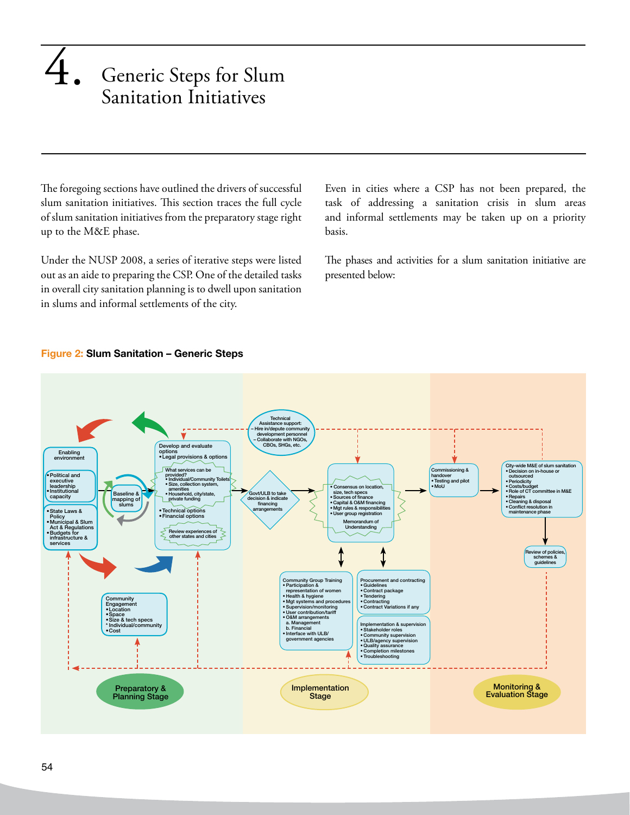## $\mathbf 4_\bullet$  Generic Steps for Slum Sanitation Initiatives

The foregoing sections have outlined the drivers of successful slum sanitation initiatives. This section traces the full cycle of slum sanitation initiatives from the preparatory stage right up to the M&E phase.

Under the NUSP 2008, a series of iterative steps were listed out as an aide to preparing the CSP. One of the detailed tasks in overall city sanitation planning is to dwell upon sanitation in slums and informal settlements of the city.

Even in cities where a CSP has not been prepared, the task of addressing a sanitation crisis in slum areas and informal settlements may be taken up on a priority basis.

The phases and activities for a slum sanitation initiative are presented below:

## Figure 2: Slum Sanitation – Generic Steps

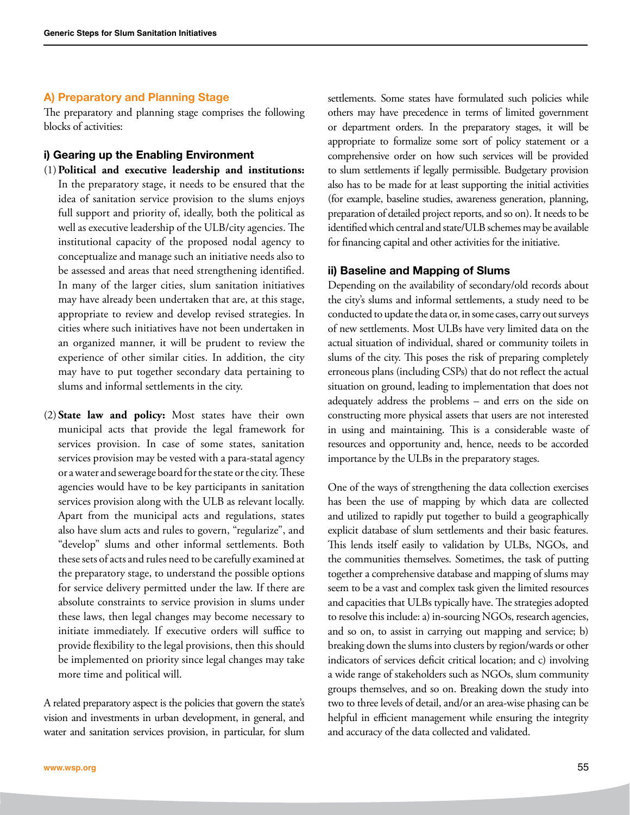#### A) Preparatory and Planning Stage

The preparatory and planning stage comprises the following blocks of activities:

## i) Gearing up the Enabling Environment

- (1)**Political and executive leadership and institutions:**  In the preparatory stage, it needs to be ensured that the idea of sanitation service provision to the slums enjoys full support and priority of, ideally, both the political as well as executive leadership of the ULB/city agencies. The institutional capacity of the proposed nodal agency to conceptualize and manage such an initiative needs also to be assessed and areas that need strengthening identified. In many of the larger cities, slum sanitation initiatives may have already been undertaken that are, at this stage, appropriate to review and develop revised strategies. In cities where such initiatives have not been undertaken in an organized manner, it will be prudent to review the experience of other similar cities. In addition, the city may have to put together secondary data pertaining to slums and informal settlements in the city.
- (2) **State law and policy:** Most states have their own municipal acts that provide the legal framework for services provision. In case of some states, sanitation services provision may be vested with a para-statal agency or a water and sewerage board for the state or the city. These agencies would have to be key participants in sanitation services provision along with the ULB as relevant locally. Apart from the municipal acts and regulations, states also have slum acts and rules to govern, "regularize", and "develop" slums and other informal settlements. Both these sets of acts and rules need to be carefully examined at the preparatory stage, to understand the possible options for service delivery permitted under the law. If there are absolute constraints to service provision in slums under these laws, then legal changes may become necessary to initiate immediately. If executive orders will suffice to provide flexibility to the legal provisions, then this should be implemented on priority since legal changes may take more time and political will.

A related preparatory aspect is the policies that govern the state's vision and investments in urban development, in general, and water and sanitation services provision, in particular, for slum settlements. Some states have formulated such policies while others may have precedence in terms of limited government or department orders. In the preparatory stages, it will be appropriate to formalize some sort of policy statement or a comprehensive order on how such services will be provided to slum settlements if legally permissible. Budgetary provision also has to be made for at least supporting the initial activities (for example, baseline studies, awareness generation, planning, preparation of detailed project reports, and so on). It needs to be identified which central and state/ULB schemes may be available for financing capital and other activities for the initiative.

## ii) Baseline and Mapping of Slums

Depending on the availability of secondary/old records about the city's slums and informal settlements, a study need to be conducted to update the data or, in some cases, carry out surveys of new settlements. Most ULBs have very limited data on the actual situation of individual, shared or community toilets in slums of the city. This poses the risk of preparing completely erroneous plans (including CSPs) that do not reflect the actual situation on ground, leading to implementation that does not adequately address the problems – and errs on the side on constructing more physical assets that users are not interested in using and maintaining. This is a considerable waste of resources and opportunity and, hence, needs to be accorded importance by the ULBs in the preparatory stages.

One of the ways of strengthening the data collection exercises has been the use of mapping by which data are collected and utilized to rapidly put together to build a geographically explicit database of slum settlements and their basic features. This lends itself easily to validation by ULBs, NGOs, and the communities themselves. Sometimes, the task of putting together a comprehensive database and mapping of slums may seem to be a vast and complex task given the limited resources and capacities that ULBs typically have. The strategies adopted to resolve this include: a) in-sourcing NGOs, research agencies, and so on, to assist in carrying out mapping and service; b) breaking down the slums into clusters by region/wards or other indicators of services deficit critical location; and c) involving a wide range of stakeholders such as NGOs, slum community groups themselves, and so on. Breaking down the study into two to three levels of detail, and/or an area-wise phasing can be helpful in efficient management while ensuring the integrity and accuracy of the data collected and validated.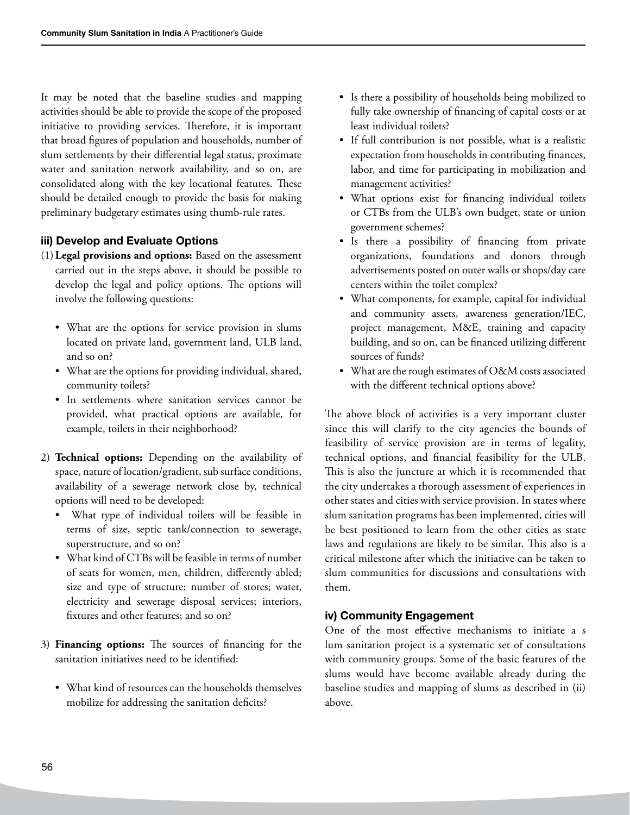It may be noted that the baseline studies and mapping activities should be able to provide the scope of the proposed initiative to providing services. Therefore, it is important that broad figures of population and households, number of slum settlements by their differential legal status, proximate water and sanitation network availability, and so on, are consolidated along with the key locational features. These should be detailed enough to provide the basis for making preliminary budgetary estimates using thumb-rule rates.

## iii) Develop and Evaluate Options

- (1)**Legal provisions and options:** Based on the assessment carried out in the steps above, it should be possible to develop the legal and policy options. The options will involve the following questions:
	- What are the options for service provision in slums located on private land, government land, ULB land, and so on?
	- What are the options for providing individual, shared, community toilets?
	- In settlements where sanitation services cannot be provided, what practical options are available, for example, toilets in their neighborhood?
- 2) **Technical options:** Depending on the availability of space, nature of location/gradient, sub surface conditions, availability of a sewerage network close by, technical options will need to be developed:
	- • What type of individual toilets will be feasible in terms of size, septic tank/connection to sewerage, superstructure, and so on?
	- What kind of CTBs will be feasible in terms of number of seats for women, men, children, differently abled; size and type of structure; number of stores; water, electricity and sewerage disposal services; interiors, fixtures and other features; and so on?
- 3) **Financing options:** The sources of financing for the sanitation initiatives need to be identified:
	- What kind of resources can the households themselves mobilize for addressing the sanitation deficits?
- Is there a possibility of households being mobilized to fully take ownership of financing of capital costs or at least individual toilets?
- • If full contribution is not possible, what is a realistic expectation from households in contributing finances, labor, and time for participating in mobilization and management activities?
- • What options exist for financing individual toilets or CTBs from the ULB's own budget, state or union government schemes?
- Is there a possibility of financing from private organizations, foundations and donors through advertisements posted on outer walls or shops/day care centers within the toilet complex?
- What components, for example, capital for individual and community assets, awareness generation/IEC, project management, M&E, training and capacity building, and so on, can be financed utilizing different sources of funds?
- What are the rough estimates of O&M costs associated with the different technical options above?

The above block of activities is a very important cluster since this will clarify to the city agencies the bounds of feasibility of service provision are in terms of legality, technical options, and financial feasibility for the ULB. This is also the juncture at which it is recommended that the city undertakes a thorough assessment of experiences in other states and cities with service provision. In states where slum sanitation programs has been implemented, cities will be best positioned to learn from the other cities as state laws and regulations are likely to be similar. This also is a critical milestone after which the initiative can be taken to slum communities for discussions and consultations with them.

## iv) Community Engagement

One of the most effective mechanisms to initiate a s lum sanitation project is a systematic set of consultations with community groups. Some of the basic features of the slums would have become available already during the baseline studies and mapping of slums as described in (ii) above.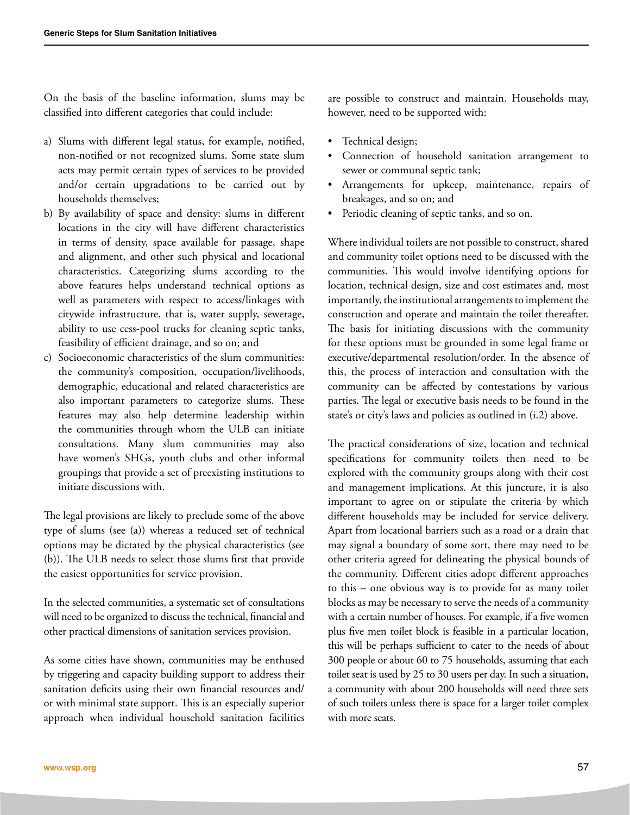On the basis of the baseline information, slums may be classified into different categories that could include:

- a) Slums with different legal status, for example, notified, non-notified or not recognized slums. Some state slum acts may permit certain types of services to be provided and/or certain upgradations to be carried out by households themselves;
- b) By availability of space and density: slums in different locations in the city will have different characteristics in terms of density, space available for passage, shape and alignment, and other such physical and locational characteristics. Categorizing slums according to the above features helps understand technical options as well as parameters with respect to access/linkages with citywide infrastructure, that is, water supply, sewerage, ability to use cess-pool trucks for cleaning septic tanks, feasibility of efficient drainage, and so on; and
- c) Socioeconomic characteristics of the slum communities: the community's composition, occupation/livelihoods, demographic, educational and related characteristics are also important parameters to categorize slums. These features may also help determine leadership within the communities through whom the ULB can initiate consultations. Many slum communities may also have women's SHGs, youth clubs and other informal groupings that provide a set of preexisting institutions to initiate discussions with.

The legal provisions are likely to preclude some of the above type of slums (see (a)) whereas a reduced set of technical options may be dictated by the physical characteristics (see (b)). The ULB needs to select those slums first that provide the easiest opportunities for service provision.

In the selected communities, a systematic set of consultations will need to be organized to discuss the technical, financial and other practical dimensions of sanitation services provision.

As some cities have shown, communities may be enthused by triggering and capacity building support to address their sanitation deficits using their own financial resources and/ or with minimal state support. This is an especially superior approach when individual household sanitation facilities are possible to construct and maintain. Households may, however, need to be supported with:

- Technical design;
- • Connection of household sanitation arrangement to sewer or communal septic tank;
- • Arrangements for upkeep, maintenance, repairs of breakages, and so on; and
- • Periodic cleaning of septic tanks, and so on.

Where individual toilets are not possible to construct, shared and community toilet options need to be discussed with the communities. This would involve identifying options for location, technical design, size and cost estimates and, most importantly, the institutional arrangements to implement the construction and operate and maintain the toilet thereafter. The basis for initiating discussions with the community for these options must be grounded in some legal frame or executive/departmental resolution/order. In the absence of this, the process of interaction and consultation with the community can be affected by contestations by various parties. The legal or executive basis needs to be found in the state's or city's laws and policies as outlined in (i.2) above.

The practical considerations of size, location and technical specifications for community toilets then need to be explored with the community groups along with their cost and management implications. At this juncture, it is also important to agree on or stipulate the criteria by which different households may be included for service delivery. Apart from locational barriers such as a road or a drain that may signal a boundary of some sort, there may need to be other criteria agreed for delineating the physical bounds of the community. Different cities adopt different approaches to this – one obvious way is to provide for as many toilet blocks as may be necessary to serve the needs of a community with a certain number of houses. For example, if a five women plus five men toilet block is feasible in a particular location, this will be perhaps sufficient to cater to the needs of about 300 people or about 60 to 75 households, assuming that each toilet seat is used by 25 to 30 users per day. In such a situation, a community with about 200 households will need three sets of such toilets unless there is space for a larger toilet complex with more seats.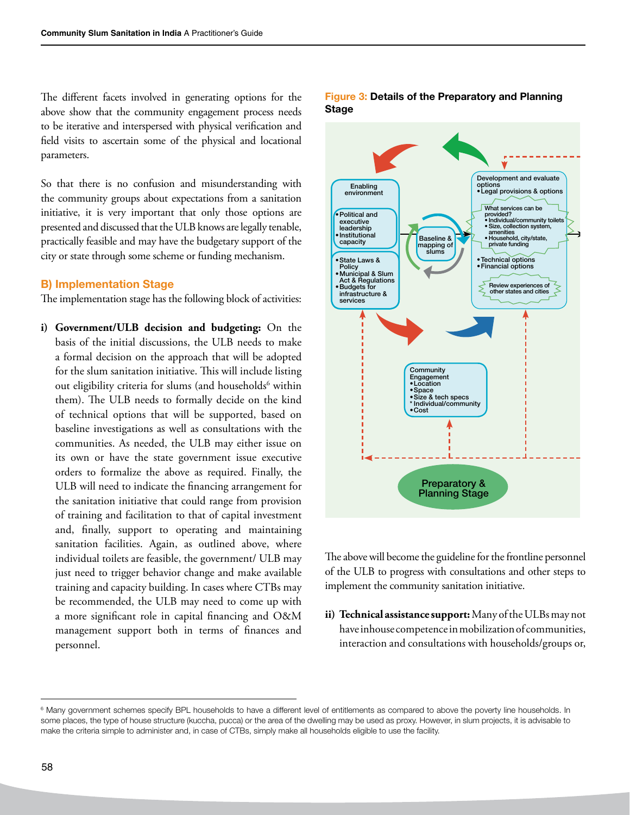The different facets involved in generating options for the above show that the community engagement process needs to be iterative and interspersed with physical verification and field visits to ascertain some of the physical and locational parameters.

So that there is no confusion and misunderstanding with the community groups about expectations from a sanitation initiative, it is very important that only those options are presented and discussed that the ULB knows are legally tenable, practically feasible and may have the budgetary support of the city or state through some scheme or funding mechanism.

#### B) Implementation Stage

The implementation stage has the following block of activities:

**i) Government/ULB decision and budgeting:** On the basis of the initial discussions, the ULB needs to make a formal decision on the approach that will be adopted for the slum sanitation initiative. This will include listing out eligibility criteria for slums (and households<sup>6</sup> within them). The ULB needs to formally decide on the kind of technical options that will be supported, based on baseline investigations as well as consultations with the communities. As needed, the ULB may either issue on its own or have the state government issue executive orders to formalize the above as required. Finally, the ULB will need to indicate the financing arrangement for the sanitation initiative that could range from provision of training and facilitation to that of capital investment and, finally, support to operating and maintaining sanitation facilities. Again, as outlined above, where individual toilets are feasible, the government/ ULB may just need to trigger behavior change and make available training and capacity building. In cases where CTBs may be recommended, the ULB may need to come up with a more significant role in capital financing and O&M management support both in terms of finances and personnel.





The above will become the guideline for the frontline personnel of the ULB to progress with consultations and other steps to implement the community sanitation initiative.

**ii) Technical assistance support:** Many of the ULBs may not have inhouse competence in mobilization of communities, interaction and consultations with households/groups or,

<sup>&</sup>lt;sup>6</sup> Many government schemes specify BPL households to have a different level of entitlements as compared to above the poverty line households. In some places, the type of house structure (kuccha, pucca) or the area of the dwelling may be used as proxy. However, in slum projects, it is advisable to make the criteria simple to administer and, in case of CTBs, simply make all households eligible to use the facility.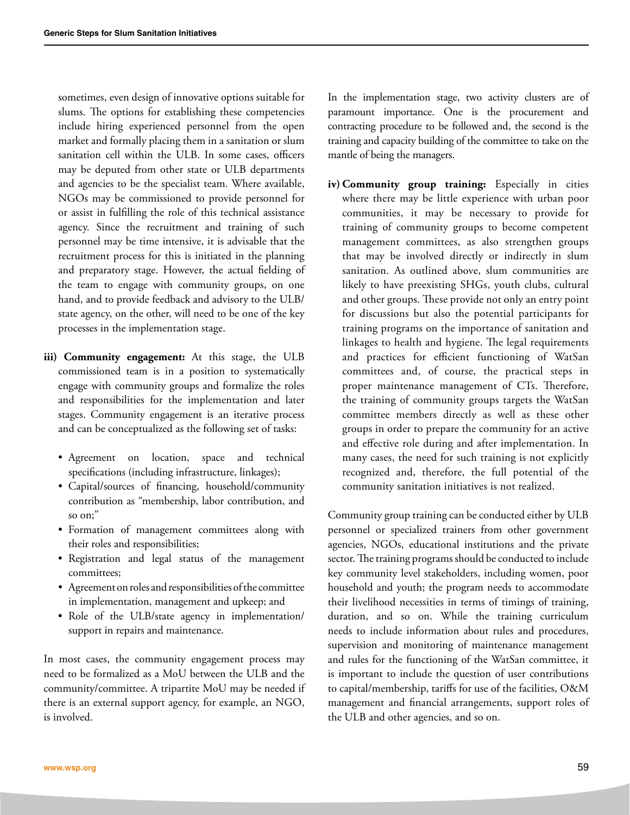sometimes, even design of innovative options suitable for slums. The options for establishing these competencies include hiring experienced personnel from the open market and formally placing them in a sanitation or slum sanitation cell within the ULB. In some cases, officers may be deputed from other state or ULB departments and agencies to be the specialist team. Where available, NGOs may be commissioned to provide personnel for or assist in fulfilling the role of this technical assistance agency. Since the recruitment and training of such personnel may be time intensive, it is advisable that the recruitment process for this is initiated in the planning and preparatory stage. However, the actual fielding of the team to engage with community groups, on one hand, and to provide feedback and advisory to the ULB/ state agency, on the other, will need to be one of the key processes in the implementation stage.

- **iii) Community engagement:** At this stage, the ULB commissioned team is in a position to systematically engage with community groups and formalize the roles and responsibilities for the implementation and later stages. Community engagement is an iterative process and can be conceptualized as the following set of tasks:
	- Agreement on location, space and technical specifications (including infrastructure, linkages);
	- • Capital/sources of financing, household/community contribution as "membership, labor contribution, and so on;"
	- • Formation of management committees along with their roles and responsibilities;
	- Registration and legal status of the management committees;
	- Agreement on roles and responsibilities of the committee in implementation, management and upkeep; and
	- • Role of the ULB/state agency in implementation/ support in repairs and maintenance.

In most cases, the community engagement process may need to be formalized as a MoU between the ULB and the community/committee. A tripartite MoU may be needed if there is an external support agency, for example, an NGO, is involved.

In the implementation stage, two activity clusters are of paramount importance. One is the procurement and contracting procedure to be followed and, the second is the training and capacity building of the committee to take on the mantle of being the managers.

**iv)Community group training:** Especially in cities where there may be little experience with urban poor communities, it may be necessary to provide for training of community groups to become competent management committees, as also strengthen groups that may be involved directly or indirectly in slum sanitation. As outlined above, slum communities are likely to have preexisting SHGs, youth clubs, cultural and other groups. These provide not only an entry point for discussions but also the potential participants for training programs on the importance of sanitation and linkages to health and hygiene. The legal requirements and practices for efficient functioning of WatSan committees and, of course, the practical steps in proper maintenance management of CTs. Therefore, the training of community groups targets the WatSan committee members directly as well as these other groups in order to prepare the community for an active and effective role during and after implementation. In many cases, the need for such training is not explicitly recognized and, therefore, the full potential of the community sanitation initiatives is not realized.

Community group training can be conducted either by ULB personnel or specialized trainers from other government agencies, NGOs, educational institutions and the private sector. The training programs should be conducted to include key community level stakeholders, including women, poor household and youth; the program needs to accommodate their livelihood necessities in terms of timings of training, duration, and so on. While the training curriculum needs to include information about rules and procedures, supervision and monitoring of maintenance management and rules for the functioning of the WatSan committee, it is important to include the question of user contributions to capital/membership, tariffs for use of the facilities, O&M management and financial arrangements, support roles of the ULB and other agencies, and so on.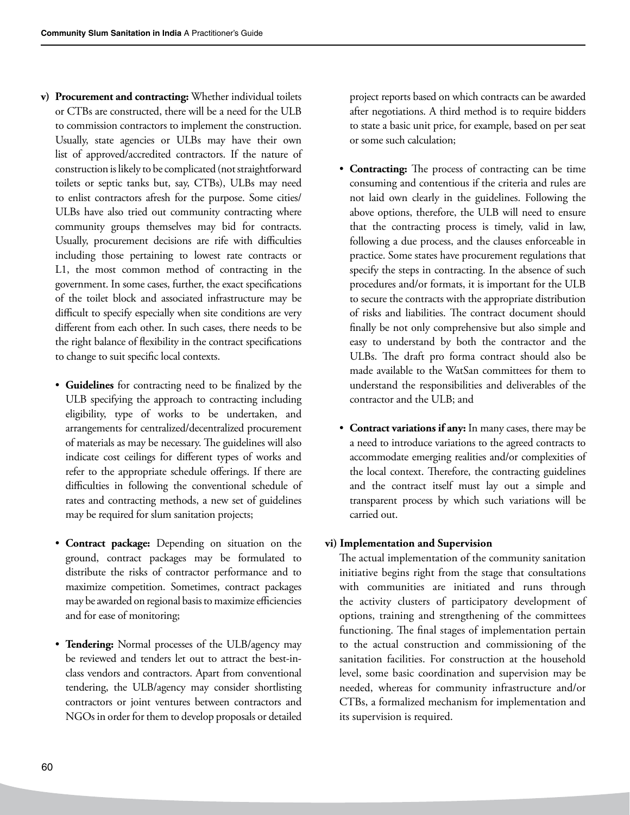- **v) Procurement and contracting:** Whether individual toilets or CTBs are constructed, there will be a need for the ULB to commission contractors to implement the construction. Usually, state agencies or ULBs may have their own list of approved/accredited contractors. If the nature of construction is likely to be complicated (not straightforward toilets or septic tanks but, say, CTBs), ULBs may need to enlist contractors afresh for the purpose. Some cities/ ULBs have also tried out community contracting where community groups themselves may bid for contracts. Usually, procurement decisions are rife with difficulties including those pertaining to lowest rate contracts or L1, the most common method of contracting in the government. In some cases, further, the exact specifications of the toilet block and associated infrastructure may be difficult to specify especially when site conditions are very different from each other. In such cases, there needs to be the right balance of flexibility in the contract specifications to change to suit specific local contexts.
	- • **Guidelines** for contracting need to be finalized by the ULB specifying the approach to contracting including eligibility, type of works to be undertaken, and arrangements for centralized/decentralized procurement of materials as may be necessary. The guidelines will also indicate cost ceilings for different types of works and refer to the appropriate schedule offerings. If there are difficulties in following the conventional schedule of rates and contracting methods, a new set of guidelines may be required for slum sanitation projects;
	- • **Contract package:** Depending on situation on the ground, contract packages may be formulated to distribute the risks of contractor performance and to maximize competition. Sometimes, contract packages may be awarded on regional basis to maximize efficiencies and for ease of monitoring;
	- • **Tendering:** Normal processes of the ULB/agency may be reviewed and tenders let out to attract the best-inclass vendors and contractors. Apart from conventional tendering, the ULB/agency may consider shortlisting contractors or joint ventures between contractors and NGOs in order for them to develop proposals or detailed

project reports based on which contracts can be awarded after negotiations. A third method is to require bidders to state a basic unit price, for example, based on per seat or some such calculation;

- • **Contracting:** The process of contracting can be time consuming and contentious if the criteria and rules are not laid own clearly in the guidelines. Following the above options, therefore, the ULB will need to ensure that the contracting process is timely, valid in law, following a due process, and the clauses enforceable in practice. Some states have procurement regulations that specify the steps in contracting. In the absence of such procedures and/or formats, it is important for the ULB to secure the contracts with the appropriate distribution of risks and liabilities. The contract document should finally be not only comprehensive but also simple and easy to understand by both the contractor and the ULBs. The draft pro forma contract should also be made available to the WatSan committees for them to understand the responsibilities and deliverables of the contractor and the ULB; and
- **Contract variations if any:** In many cases, there may be a need to introduce variations to the agreed contracts to accommodate emerging realities and/or complexities of the local context. Therefore, the contracting guidelines and the contract itself must lay out a simple and transparent process by which such variations will be carried out.

## **vi) Implementation and Supervision**

The actual implementation of the community sanitation initiative begins right from the stage that consultations with communities are initiated and runs through the activity clusters of participatory development of options, training and strengthening of the committees functioning. The final stages of implementation pertain to the actual construction and commissioning of the sanitation facilities. For construction at the household level, some basic coordination and supervision may be needed, whereas for community infrastructure and/or CTBs, a formalized mechanism for implementation and its supervision is required.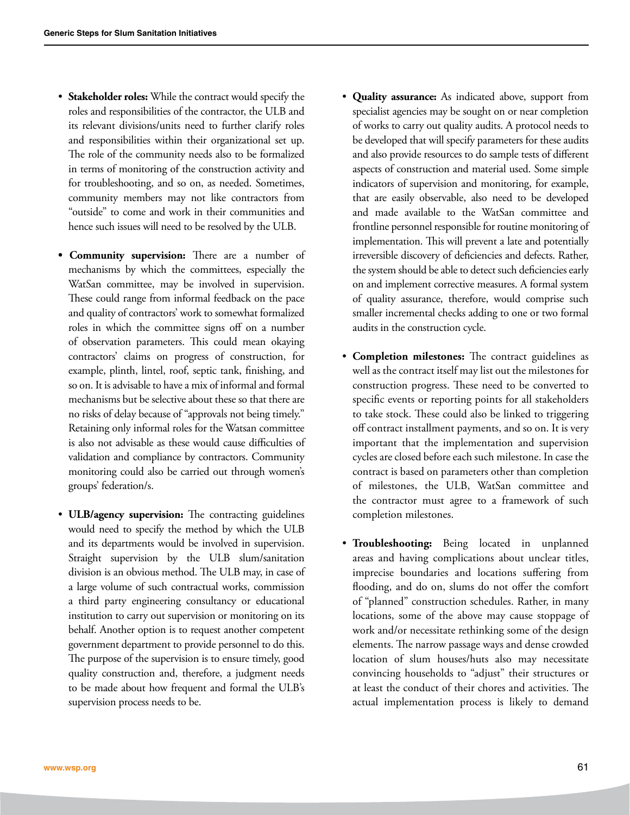- • **Stakeholder roles:** While the contract would specify the roles and responsibilities of the contractor, the ULB and its relevant divisions/units need to further clarify roles and responsibilities within their organizational set up. The role of the community needs also to be formalized in terms of monitoring of the construction activity and for troubleshooting, and so on, as needed. Sometimes, community members may not like contractors from "outside" to come and work in their communities and hence such issues will need to be resolved by the ULB.
- **Community supervision:** There are a number of mechanisms by which the committees, especially the WatSan committee, may be involved in supervision. These could range from informal feedback on the pace and quality of contractors' work to somewhat formalized roles in which the committee signs off on a number of observation parameters. This could mean okaying contractors' claims on progress of construction, for example, plinth, lintel, roof, septic tank, finishing, and so on. It is advisable to have a mix of informal and formal mechanisms but be selective about these so that there are no risks of delay because of "approvals not being timely." Retaining only informal roles for the Watsan committee is also not advisable as these would cause difficulties of validation and compliance by contractors. Community monitoring could also be carried out through women's groups' federation/s.
- • **ULB/agency supervision:** The contracting guidelines would need to specify the method by which the ULB and its departments would be involved in supervision. Straight supervision by the ULB slum/sanitation division is an obvious method. The ULB may, in case of a large volume of such contractual works, commission a third party engineering consultancy or educational institution to carry out supervision or monitoring on its behalf. Another option is to request another competent government department to provide personnel to do this. The purpose of the supervision is to ensure timely, good quality construction and, therefore, a judgment needs to be made about how frequent and formal the ULB's supervision process needs to be.
- • **Quality assurance:** As indicated above, support from specialist agencies may be sought on or near completion of works to carry out quality audits. A protocol needs to be developed that will specify parameters for these audits and also provide resources to do sample tests of different aspects of construction and material used. Some simple indicators of supervision and monitoring, for example, that are easily observable, also need to be developed and made available to the WatSan committee and frontline personnel responsible for routine monitoring of implementation. This will prevent a late and potentially irreversible discovery of deficiencies and defects. Rather, the system should be able to detect such deficiencies early on and implement corrective measures. A formal system of quality assurance, therefore, would comprise such smaller incremental checks adding to one or two formal audits in the construction cycle.
- • **Completion milestones:** The contract guidelines as well as the contract itself may list out the milestones for construction progress. These need to be converted to specific events or reporting points for all stakeholders to take stock. These could also be linked to triggering off contract installment payments, and so on. It is very important that the implementation and supervision cycles are closed before each such milestone. In case the contract is based on parameters other than completion of milestones, the ULB, WatSan committee and the contractor must agree to a framework of such completion milestones.
- • **Troubleshooting:** Being located in unplanned areas and having complications about unclear titles, imprecise boundaries and locations suffering from flooding, and do on, slums do not offer the comfort of "planned" construction schedules. Rather, in many locations, some of the above may cause stoppage of work and/or necessitate rethinking some of the design elements. The narrow passage ways and dense crowded location of slum houses/huts also may necessitate convincing households to "adjust" their structures or at least the conduct of their chores and activities. The actual implementation process is likely to demand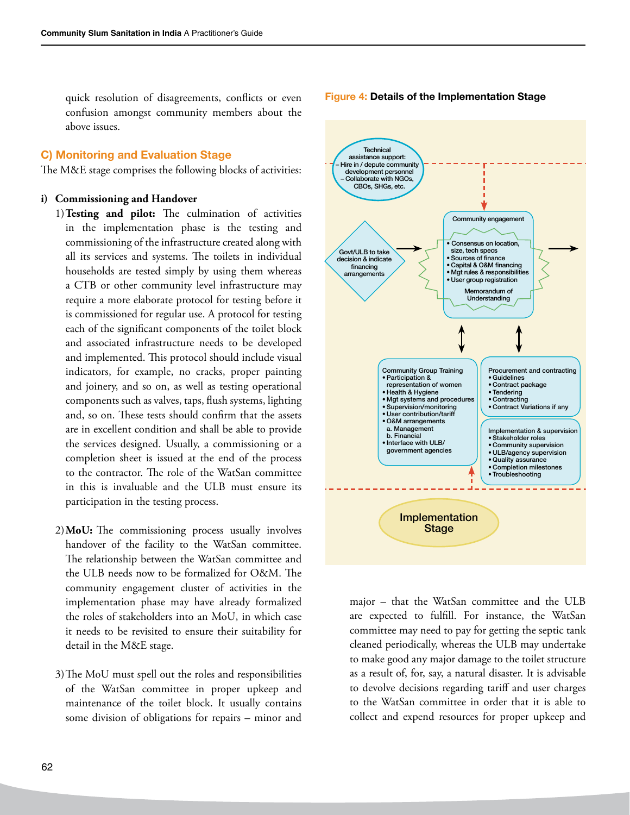quick resolution of disagreements, conflicts or even confusion amongst community members about the above issues.

#### C) Monitoring and Evaluation Stage

The M&E stage comprises the following blocks of activities:

#### **i) Commissioning and Handover**

- 1)**Testing and pilot:** The culmination of activities in the implementation phase is the testing and commissioning of the infrastructure created along with all its services and systems. The toilets in individual households are tested simply by using them whereas a CTB or other community level infrastructure may require a more elaborate protocol for testing before it is commissioned for regular use. A protocol for testing each of the significant components of the toilet block and associated infrastructure needs to be developed and implemented. This protocol should include visual indicators, for example, no cracks, proper painting and joinery, and so on, as well as testing operational components such as valves, taps, flush systems, lighting and, so on. These tests should confirm that the assets are in excellent condition and shall be able to provide the services designed. Usually, a commissioning or a completion sheet is issued at the end of the process to the contractor. The role of the WatSan committee in this is invaluable and the ULB must ensure its participation in the testing process.
- 2)**MoU:** The commissioning process usually involves handover of the facility to the WatSan committee. The relationship between the WatSan committee and the ULB needs now to be formalized for O&M. The community engagement cluster of activities in the implementation phase may have already formalized the roles of stakeholders into an MoU, in which case it needs to be revisited to ensure their suitability for detail in the M&E stage.
- 3)The MoU must spell out the roles and responsibilities of the WatSan committee in proper upkeep and maintenance of the toilet block. It usually contains some division of obligations for repairs – minor and



Figure 4: Details of the Implementation Stage

major – that the WatSan committee and the ULB are expected to fulfill. For instance, the WatSan committee may need to pay for getting the septic tank cleaned periodically, whereas the ULB may undertake to make good any major damage to the toilet structure as a result of, for, say, a natural disaster. It is advisable to devolve decisions regarding tariff and user charges to the WatSan committee in order that it is able to collect and expend resources for proper upkeep and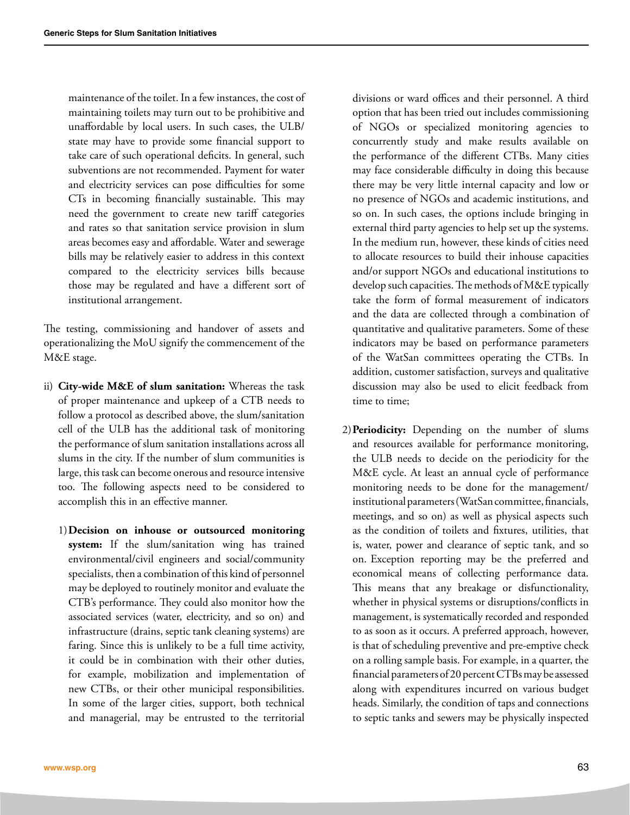maintenance of the toilet. In a few instances, the cost of maintaining toilets may turn out to be prohibitive and unaffordable by local users. In such cases, the ULB/ state may have to provide some financial support to take care of such operational deficits. In general, such subventions are not recommended. Payment for water and electricity services can pose difficulties for some CTs in becoming financially sustainable. This may need the government to create new tariff categories and rates so that sanitation service provision in slum areas becomes easy and affordable. Water and sewerage bills may be relatively easier to address in this context compared to the electricity services bills because those may be regulated and have a different sort of institutional arrangement.

The testing, commissioning and handover of assets and operationalizing the MoU signify the commencement of the M&E stage.

- ii) **City-wide M&E of slum sanitation:** Whereas the task of proper maintenance and upkeep of a CTB needs to follow a protocol as described above, the slum/sanitation cell of the ULB has the additional task of monitoring the performance of slum sanitation installations across all slums in the city. If the number of slum communities is large, this task can become onerous and resource intensive too. The following aspects need to be considered to accomplish this in an effective manner.
	- 1)**Decision on inhouse or outsourced monitoring system:** If the slum/sanitation wing has trained environmental/civil engineers and social/community specialists, then a combination of this kind of personnel may be deployed to routinely monitor and evaluate the CTB's performance. They could also monitor how the associated services (water, electricity, and so on) and infrastructure (drains, septic tank cleaning systems) are faring. Since this is unlikely to be a full time activity, it could be in combination with their other duties, for example, mobilization and implementation of new CTBs, or their other municipal responsibilities. In some of the larger cities, support, both technical and managerial, may be entrusted to the territorial

divisions or ward offices and their personnel. A third option that has been tried out includes commissioning of NGOs or specialized monitoring agencies to concurrently study and make results available on the performance of the different CTBs. Many cities may face considerable difficulty in doing this because there may be very little internal capacity and low or no presence of NGOs and academic institutions, and so on. In such cases, the options include bringing in external third party agencies to help set up the systems. In the medium run, however, these kinds of cities need to allocate resources to build their inhouse capacities and/or support NGOs and educational institutions to develop such capacities. The methods of M&E typically take the form of formal measurement of indicators and the data are collected through a combination of quantitative and qualitative parameters. Some of these indicators may be based on performance parameters of the WatSan committees operating the CTBs. In addition, customer satisfaction, surveys and qualitative discussion may also be used to elicit feedback from time to time;

2)**Periodicity:** Depending on the number of slums and resources available for performance monitoring, the ULB needs to decide on the periodicity for the M&E cycle. At least an annual cycle of performance monitoring needs to be done for the management/ institutional parameters (WatSan committee, financials, meetings, and so on) as well as physical aspects such as the condition of toilets and fixtures, utilities, that is, water, power and clearance of septic tank, and so on. Exception reporting may be the preferred and economical means of collecting performance data. This means that any breakage or disfunctionality, whether in physical systems or disruptions/conflicts in management, is systematically recorded and responded to as soon as it occurs. A preferred approach, however, is that of scheduling preventive and pre-emptive check on a rolling sample basis. For example, in a quarter, the financial parameters of 20 percent CTBs may be assessed along with expenditures incurred on various budget heads. Similarly, the condition of taps and connections to septic tanks and sewers may be physically inspected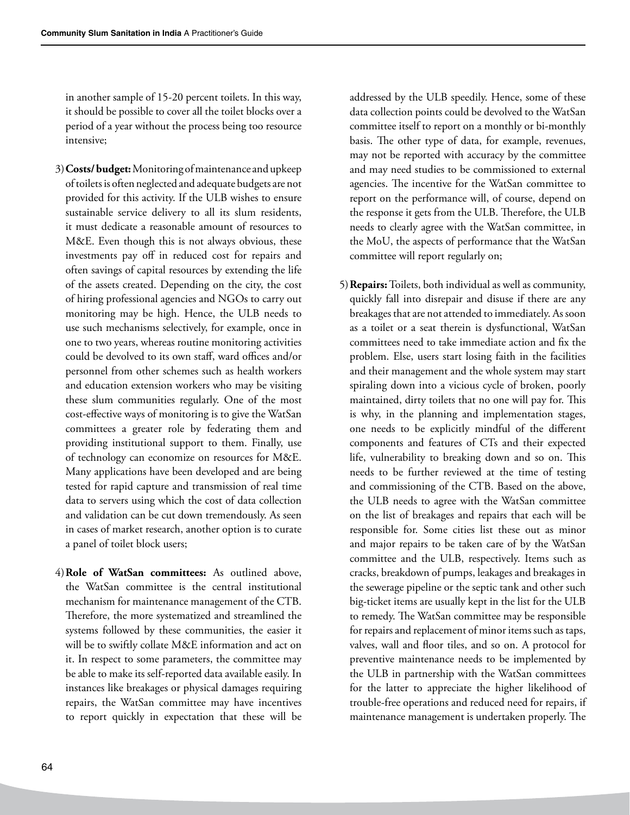in another sample of 15-20 percent toilets. In this way, it should be possible to cover all the toilet blocks over a period of a year without the process being too resource intensive;

- 3)**Costs/ budget:** Monitoring of maintenance and upkeep of toilets is often neglected and adequate budgets are not provided for this activity. If the ULB wishes to ensure sustainable service delivery to all its slum residents, it must dedicate a reasonable amount of resources to M&E. Even though this is not always obvious, these investments pay off in reduced cost for repairs and often savings of capital resources by extending the life of the assets created. Depending on the city, the cost of hiring professional agencies and NGOs to carry out monitoring may be high. Hence, the ULB needs to use such mechanisms selectively, for example, once in one to two years, whereas routine monitoring activities could be devolved to its own staff, ward offices and/or personnel from other schemes such as health workers and education extension workers who may be visiting these slum communities regularly. One of the most cost-effective ways of monitoring is to give the WatSan committees a greater role by federating them and providing institutional support to them. Finally, use of technology can economize on resources for M&E. Many applications have been developed and are being tested for rapid capture and transmission of real time data to servers using which the cost of data collection and validation can be cut down tremendously. As seen in cases of market research, another option is to curate a panel of toilet block users;
- 4)**Role of WatSan committees:** As outlined above, the WatSan committee is the central institutional mechanism for maintenance management of the CTB. Therefore, the more systematized and streamlined the systems followed by these communities, the easier it will be to swiftly collate M&E information and act on it. In respect to some parameters, the committee may be able to make its self-reported data available easily. In instances like breakages or physical damages requiring repairs, the WatSan committee may have incentives to report quickly in expectation that these will be

addressed by the ULB speedily. Hence, some of these data collection points could be devolved to the WatSan committee itself to report on a monthly or bi-monthly basis. The other type of data, for example, revenues, may not be reported with accuracy by the committee and may need studies to be commissioned to external agencies. The incentive for the WatSan committee to report on the performance will, of course, depend on the response it gets from the ULB. Therefore, the ULB needs to clearly agree with the WatSan committee, in the MoU, the aspects of performance that the WatSan committee will report regularly on;

5)**Repairs:** Toilets, both individual as well as community, quickly fall into disrepair and disuse if there are any breakages that are not attended to immediately. As soon as a toilet or a seat therein is dysfunctional, WatSan committees need to take immediate action and fix the problem. Else, users start losing faith in the facilities and their management and the whole system may start spiraling down into a vicious cycle of broken, poorly maintained, dirty toilets that no one will pay for. This is why, in the planning and implementation stages, one needs to be explicitly mindful of the different components and features of CTs and their expected life, vulnerability to breaking down and so on. This needs to be further reviewed at the time of testing and commissioning of the CTB. Based on the above, the ULB needs to agree with the WatSan committee on the list of breakages and repairs that each will be responsible for. Some cities list these out as minor and major repairs to be taken care of by the WatSan committee and the ULB, respectively. Items such as cracks, breakdown of pumps, leakages and breakages in the sewerage pipeline or the septic tank and other such big-ticket items are usually kept in the list for the ULB to remedy. The WatSan committee may be responsible for repairs and replacement of minor items such as taps, valves, wall and floor tiles, and so on. A protocol for preventive maintenance needs to be implemented by the ULB in partnership with the WatSan committees for the latter to appreciate the higher likelihood of trouble-free operations and reduced need for repairs, if maintenance management is undertaken properly. The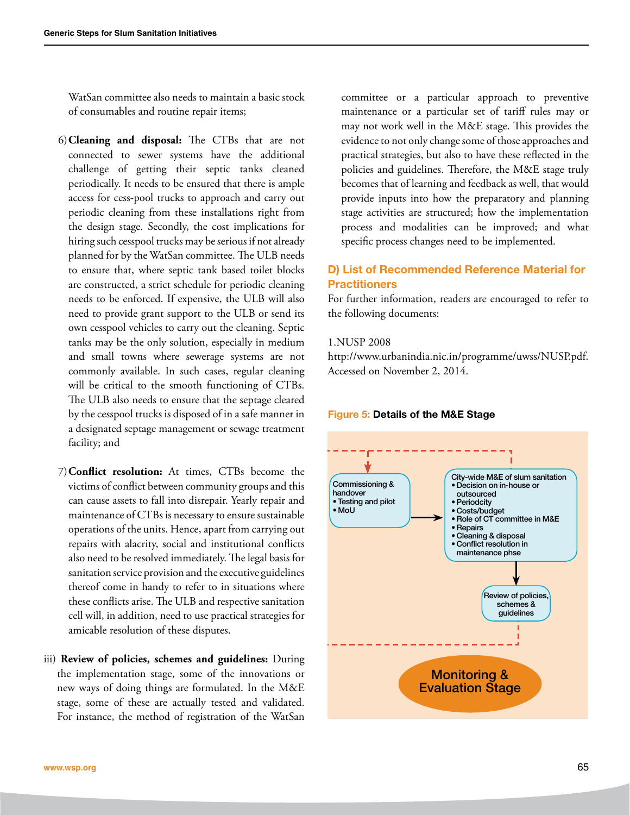WatSan committee also needs to maintain a basic stock of consumables and routine repair items;

- 6)**Cleaning and disposal:** The CTBs that are not connected to sewer systems have the additional challenge of getting their septic tanks cleaned periodically. It needs to be ensured that there is ample access for cess-pool trucks to approach and carry out periodic cleaning from these installations right from the design stage. Secondly, the cost implications for hiring such cesspool trucks may be serious if not already planned for by the WatSan committee. The ULB needs to ensure that, where septic tank based toilet blocks are constructed, a strict schedule for periodic cleaning needs to be enforced. If expensive, the ULB will also need to provide grant support to the ULB or send its own cesspool vehicles to carry out the cleaning. Septic tanks may be the only solution, especially in medium and small towns where sewerage systems are not commonly available. In such cases, regular cleaning will be critical to the smooth functioning of CTBs. The ULB also needs to ensure that the septage cleared by the cesspool trucks is disposed of in a safe manner in a designated septage management or sewage treatment facility; and
- 7)**Conflict resolution:** At times, CTBs become the victims of conflict between community groups and this can cause assets to fall into disrepair. Yearly repair and maintenance of CTBs is necessary to ensure sustainable operations of the units. Hence, apart from carrying out repairs with alacrity, social and institutional conflicts also need to be resolved immediately. The legal basis for sanitation service provision and the executive guidelines thereof come in handy to refer to in situations where these conflicts arise. The ULB and respective sanitation cell will, in addition, need to use practical strategies for amicable resolution of these disputes.
- iii) **Review of policies, schemes and guidelines:** During the implementation stage, some of the innovations or new ways of doing things are formulated. In the M&E stage, some of these are actually tested and validated. For instance, the method of registration of the WatSan

committee or a particular approach to preventive maintenance or a particular set of tariff rules may or may not work well in the M&E stage. This provides the evidence to not only change some of those approaches and practical strategies, but also to have these reflected in the policies and guidelines. Therefore, the M&E stage truly becomes that of learning and feedback as well, that would provide inputs into how the preparatory and planning stage activities are structured; how the implementation process and modalities can be improved; and what specific process changes need to be implemented.

## D) List of Recommended Reference Material for **Practitioners**

For further information, readers are encouraged to refer to the following documents:

#### 1.NUSP 2008

http://www.urbanindia.nic.in/programme/uwss/NUSP.pdf. Accessed on November 2, 2014.

#### Figure 5: Details of the M&E Stage

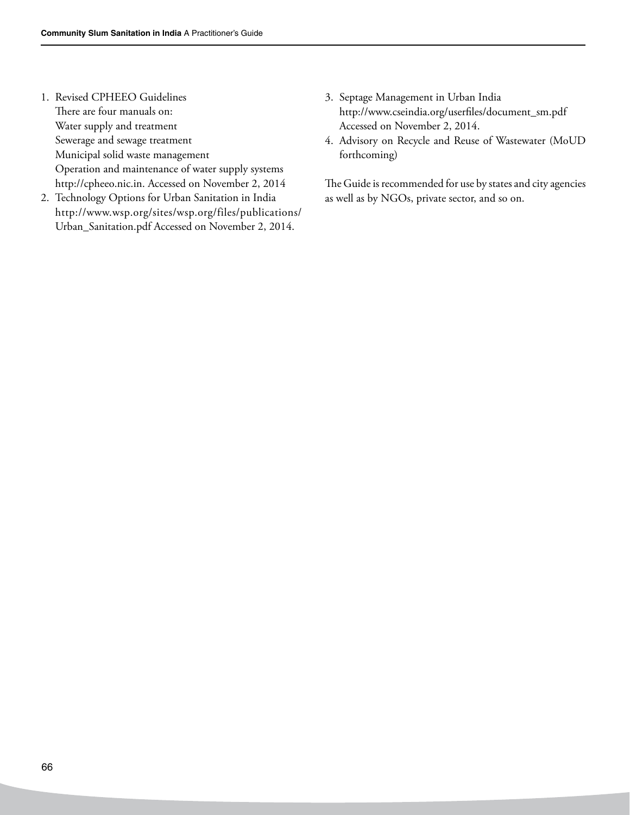- 1. Revised CPHEEO Guidelines There are four manuals on: Water supply and treatment Sewerage and sewage treatment Municipal solid waste management Operation and maintenance of water supply systems http://cpheeo.nic.in. Accessed on November 2, 2014
- 2. Technology Options for Urban Sanitation in India http://www.wsp.org/sites/wsp.org/files/publications/ Urban\_Sanitation.pdf Accessed on November 2, 2014.
- 3. Septage Management in Urban India http://www.cseindia.org/userfiles/document\_sm.pdf Accessed on November 2, 2014.
- 4. Advisory on Recycle and Reuse of Wastewater (MoUD forthcoming)

The Guide is recommended for use by states and city agencies as well as by NGOs, private sector, and so on.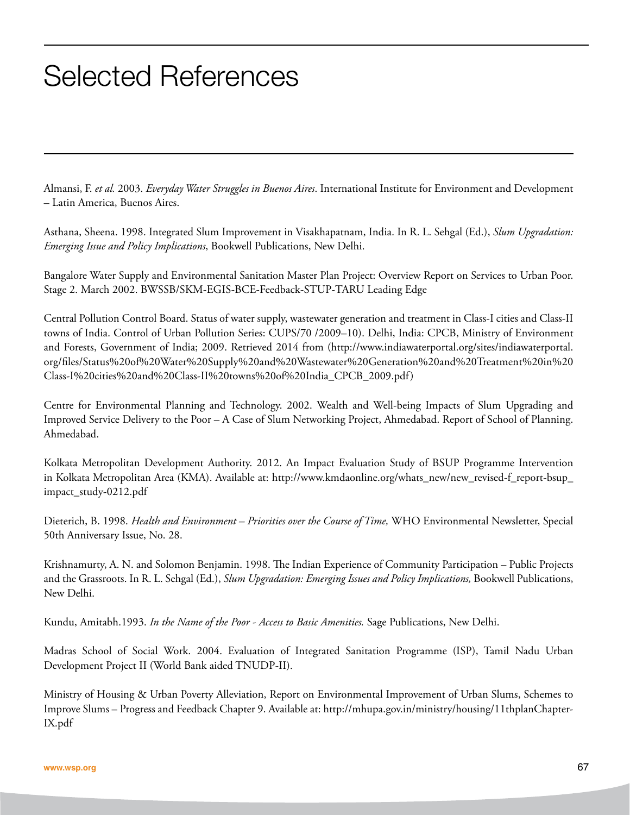## Selected References

Almansi, F. *et al.* 2003. *Everyday Water Struggles in Buenos Aires*. International Institute for Environment and Development – Latin America, Buenos Aires.

Asthana, Sheena. 1998. Integrated Slum Improvement in Visakhapatnam, India. In R. L. Sehgal (Ed.), *Slum Upgradation: Emerging Issue and Policy Implications*, Bookwell Publications, New Delhi.

Bangalore Water Supply and Environmental Sanitation Master Plan Project: Overview Report on Services to Urban Poor. Stage 2. March 2002. BWSSB/SKM-EGIS-BCE-Feedback-STUP-TARU Leading Edge

Central Pollution Control Board. Status of water supply, wastewater generation and treatment in Class-I cities and Class-II towns of India. Control of Urban Pollution Series: CUPS/70 /2009–10). Delhi, India: CPCB, Ministry of Environment and Forests, Government of India; 2009. Retrieved 2014 from (http://www.indiawaterportal.org/sites/indiawaterportal. org/files/Status%20of%20Water%20Supply%20and%20Wastewater%20Generation%20and%20Treatment%20in%20 Class-I%20cities%20and%20Class-II%20towns%20of%20India\_CPCB\_2009.pdf)

Centre for Environmental Planning and Technology. 2002. Wealth and Well-being Impacts of Slum Upgrading and Improved Service Delivery to the Poor – A Case of Slum Networking Project, Ahmedabad. Report of School of Planning. Ahmedabad.

Kolkata Metropolitan Development Authority. 2012. An Impact Evaluation Study of BSUP Programme Intervention in Kolkata Metropolitan Area (KMA). Available at: http://www.kmdaonline.org/whats\_new/new\_revised-f\_report-bsup\_ impact\_study-0212.pdf

Dieterich, B. 1998. *Health and Environment – Priorities over the Course of Time,* WHO Environmental Newsletter, Special 50th Anniversary Issue, No. 28.

Krishnamurty, A. N. and Solomon Benjamin. 1998. The Indian Experience of Community Participation – Public Projects and the Grassroots. In R. L. Sehgal (Ed.), *Slum Upgradation: Emerging Issues and Policy Implications,* Bookwell Publications, New Delhi.

Kundu, Amitabh.1993. *In the Name of the Poor - Access to Basic Amenities.* Sage Publications, New Delhi.

Madras School of Social Work. 2004. Evaluation of Integrated Sanitation Programme (ISP), Tamil Nadu Urban Development Project II (World Bank aided TNUDP-II).

Ministry of Housing & Urban Poverty Alleviation, Report on Environmental Improvement of Urban Slums, Schemes to Improve Slums – Progress and Feedback Chapter 9. Available at: http://mhupa.gov.in/ministry/housing/11thplanChapter-IX.pdf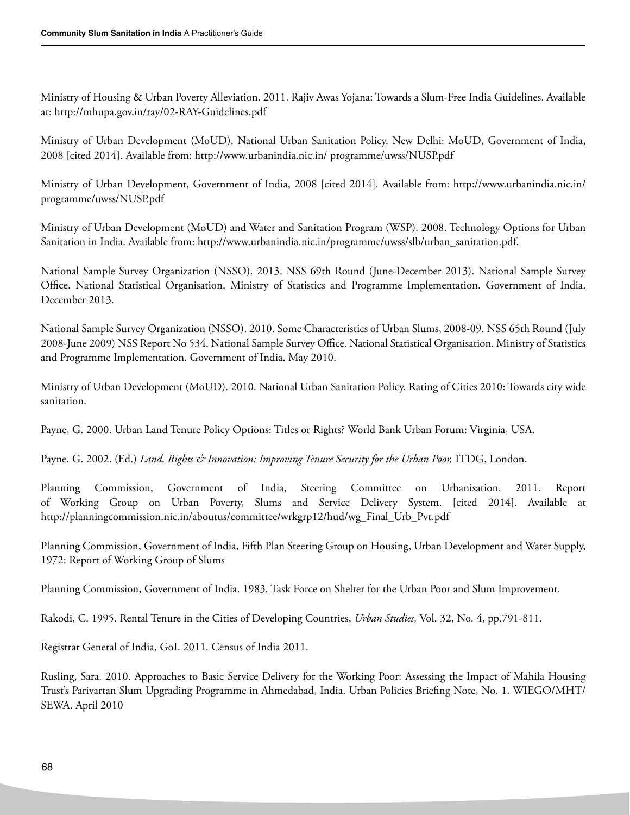Ministry of Housing & Urban Poverty Alleviation. 2011. Rajiv Awas Yojana: Towards a Slum-Free India Guidelines. Available at: http://mhupa.gov.in/ray/02-RAY-Guidelines.pdf

Ministry of Urban Development (MoUD). National Urban Sanitation Policy. New Delhi: MoUD, Government of India, 2008 [cited 2014]. Available from: http://www.urbanindia.nic.in/ programme/uwss/NUSP.pdf

Ministry of Urban Development, Government of India, 2008 [cited 2014]. Available from: http://www.urbanindia.nic.in/ programme/uwss/NUSP.pdf

Ministry of Urban Development (MoUD) and Water and Sanitation Program (WSP). 2008. Technology Options for Urban Sanitation in India. Available from: http://www.urbanindia.nic.in/programme/uwss/slb/urban\_sanitation.pdf.

National Sample Survey Organization (NSSO). 2013. NSS 69th Round (June-December 2013). National Sample Survey Office. National Statistical Organisation. Ministry of Statistics and Programme Implementation. Government of India. December 2013.

National Sample Survey Organization (NSSO). 2010. Some Characteristics of Urban Slums, 2008-09. NSS 65th Round (July 2008-June 2009) NSS Report No 534. National Sample Survey Office. National Statistical Organisation. Ministry of Statistics and Programme Implementation. Government of India. May 2010.

Ministry of Urban Development (MoUD). 2010. National Urban Sanitation Policy. Rating of Cities 2010: Towards city wide sanitation.

Payne, G. 2000. Urban Land Tenure Policy Options: Titles or Rights? World Bank Urban Forum: Virginia, USA.

Payne, G. 2002. (Ed.) *Land, Rights & Innovation: Improving Tenure Security for the Urban Poor,* ITDG, London.

Planning Commission, Government of India, Steering Committee on Urbanisation. 2011. Report of Working Group on Urban Poverty, Slums and Service Delivery System. [cited 2014]. Available at http://planningcommission.nic.in/aboutus/committee/wrkgrp12/hud/wg\_Final\_Urb\_Pvt.pdf

Planning Commission, Government of India, Fifth Plan Steering Group on Housing, Urban Development and Water Supply, 1972: Report of Working Group of Slums

Planning Commission, Government of India. 1983. Task Force on Shelter for the Urban Poor and Slum Improvement.

Rakodi, C. 1995. Rental Tenure in the Cities of Developing Countries, *Urban Studies,* Vol. 32, No. 4, pp.791-811.

Registrar General of India, GoI. 2011. Census of India 2011.

Rusling, Sara. 2010. Approaches to Basic Service Delivery for the Working Poor: Assessing the Impact of Mahila Housing Trust's Parivartan Slum Upgrading Programme in Ahmedabad, India. Urban Policies Briefing Note, No. 1. WIEGO/MHT/ SEWA. April 2010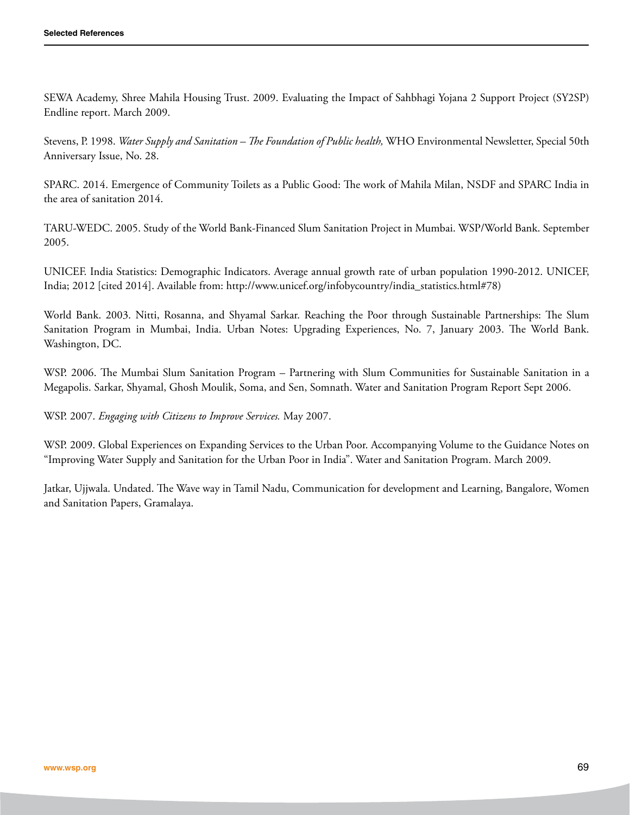SEWA Academy, Shree Mahila Housing Trust. 2009. Evaluating the Impact of Sahbhagi Yojana 2 Support Project (SY2SP) Endline report. March 2009.

Stevens, P. 1998. *Water Supply and Sanitation – The Foundation of Public health,* WHO Environmental Newsletter, Special 50th Anniversary Issue, No. 28.

SPARC. 2014. Emergence of Community Toilets as a Public Good: The work of Mahila Milan, NSDF and SPARC India in the area of sanitation 2014.

TARU-WEDC. 2005. Study of the World Bank-Financed Slum Sanitation Project in Mumbai. WSP/World Bank. September 2005.

UNICEF. India Statistics: Demographic Indicators. Average annual growth rate of urban population 1990-2012. UNICEF, India; 2012 [cited 2014]. Available from: http://www.unicef.org/infobycountry/india\_statistics.html#78)

World Bank. 2003. Nitti, Rosanna, and Shyamal Sarkar. Reaching the Poor through Sustainable Partnerships: The Slum Sanitation Program in Mumbai, India. Urban Notes: Upgrading Experiences, No. 7, January 2003. The World Bank. Washington, DC.

WSP. 2006. The Mumbai Slum Sanitation Program – Partnering with Slum Communities for Sustainable Sanitation in a Megapolis. Sarkar, Shyamal, Ghosh Moulik, Soma, and Sen, Somnath. Water and Sanitation Program Report Sept 2006.

WSP. 2007. *Engaging with Citizens to Improve Services.* May 2007.

WSP. 2009. Global Experiences on Expanding Services to the Urban Poor. Accompanying Volume to the Guidance Notes on "Improving Water Supply and Sanitation for the Urban Poor in India". Water and Sanitation Program. March 2009.

Jatkar, Ujjwala. Undated. The Wave way in Tamil Nadu, Communication for development and Learning, Bangalore, Women and Sanitation Papers, Gramalaya.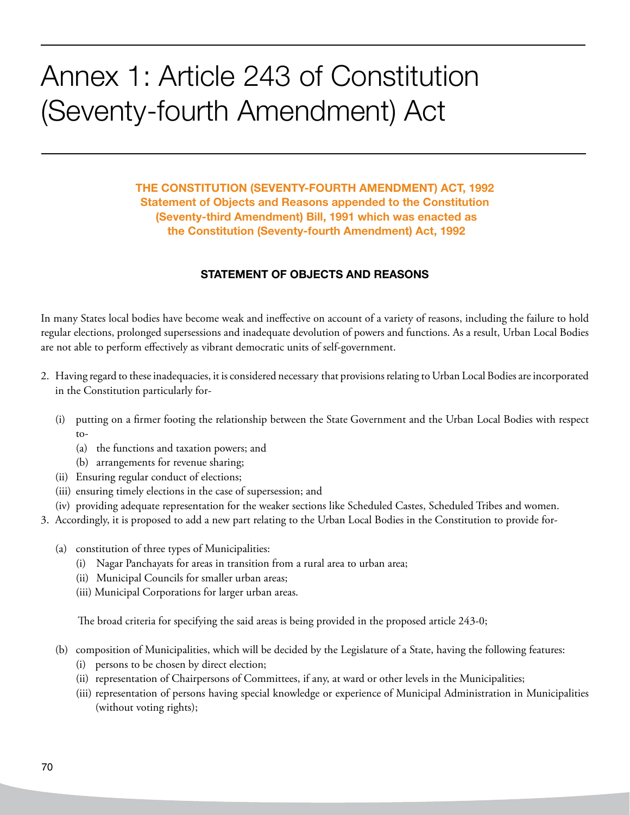# Annex 1: Article 243 of Constitution (Seventy-fourth Amendment) Act

THE CONSTITUTION (SEVENTY-FOURTH AMENDMENT) ACT, 1992 Statement of Objects and Reasons appended to the Constitution (Seventy-third Amendment) Bill, 1991 which was enacted as the Constitution (Seventy-fourth Amendment) Act, 1992

## STATEMENT OF OBJECTS AND REASONS

In many States local bodies have become weak and ineffective on account of a variety of reasons, including the failure to hold regular elections, prolonged supersessions and inadequate devolution of powers and functions. As a result, Urban Local Bodies are not able to perform effectively as vibrant democratic units of self-government.

- 2. Having regard to these inadequacies, it is considered necessary that provisions relating to Urban Local Bodies are incorporated in the Constitution particularly for-
	- (i) putting on a firmer footing the relationship between the State Government and the Urban Local Bodies with respect to-
		- (a) the functions and taxation powers; and
		- (b) arrangements for revenue sharing;
	- (ii) Ensuring regular conduct of elections;
	- (iii) ensuring timely elections in the case of supersession; and
	- (iv) providing adequate representation for the weaker sections like Scheduled Castes, Scheduled Tribes and women.
- 3. Accordingly, it is proposed to add a new part relating to the Urban Local Bodies in the Constitution to provide for-
	- (a) constitution of three types of Municipalities:
		- (i) Nagar Panchayats for areas in transition from a rural area to urban area;
		- (ii) Municipal Councils for smaller urban areas;
		- (iii) Municipal Corporations for larger urban areas.

The broad criteria for specifying the said areas is being provided in the proposed article 243-0;

- (b) composition of Municipalities, which will be decided by the Legislature of a State, having the following features:
	- (i) persons to be chosen by direct election;
	- (ii) representation of Chairpersons of Committees, if any, at ward or other levels in the Municipalities;
	- (iii) representation of persons having special knowledge or experience of Municipal Administration in Municipalities (without voting rights);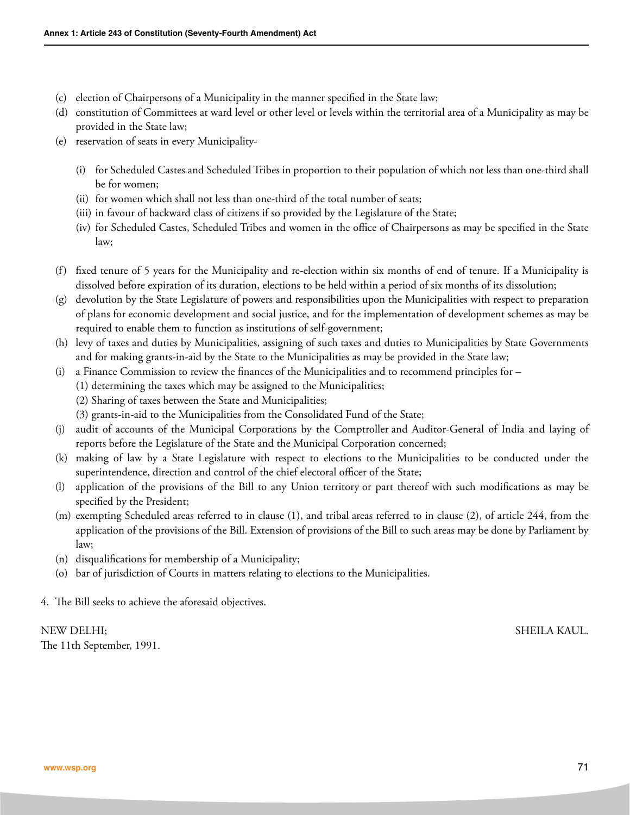- (c) election of Chairpersons of a Municipality in the manner specified in the State law;
- (d) constitution of Committees at ward level or other level or levels within the territorial area of a Municipality as may be provided in the State law;
- (e) reservation of seats in every Municipality-
	- (i) for Scheduled Castes and Scheduled Tribes in proportion to their population of which not less than one-third shall be for women;
	- (ii) for women which shall not less than one-third of the total number of seats;
	- (iii) in favour of backward class of citizens if so provided by the Legislature of the State;
	- (iv) for Scheduled Castes, Scheduled Tribes and women in the office of Chairpersons as may be specified in the State law;
- (f) fixed tenure of 5 years for the Municipality and re-election within six months of end of tenure. If a Municipality is dissolved before expiration of its duration, elections to be held within a period of six months of its dissolution;
- (g) devolution by the State Legislature of powers and responsibilities upon the Municipalities with respect to preparation of plans for economic development and social justice, and for the implementation of development schemes as may be required to enable them to function as institutions of self-government;
- (h) levy of taxes and duties by Municipalities, assigning of such taxes and duties to Municipalities by State Governments and for making grants-in-aid by the State to the Municipalities as may be provided in the State law;
- (i) a Finance Commission to review the finances of the Municipalities and to recommend principles for
	- (1) determining the taxes which may be assigned to the Municipalities;
		- (2) Sharing of taxes between the State and Municipalities;
		- (3) grants-in-aid to the Municipalities from the Consolidated Fund of the State;
- (j) audit of accounts of the Municipal Corporations by the Comptroller and Auditor-General of India and laying of reports before the Legislature of the State and the Municipal Corporation concerned;
- (k) making of law by a State Legislature with respect to elections to the Municipalities to be conducted under the superintendence, direction and control of the chief electoral officer of the State;
- (l) application of the provisions of the Bill to any Union territory or part thereof with such modifications as may be specified by the President;
- (m) exempting Scheduled areas referred to in clause (1), and tribal areas referred to in clause (2), of article 244, from the application of the provisions of the Bill. Extension of provisions of the Bill to such areas may be done by Parliament by law;
- (n) disqualifications for membership of a Municipality;
- (o) bar of jurisdiction of Courts in matters relating to elections to the Municipalities.
- 4. The Bill seeks to achieve the aforesaid objectives.

NEW DELHI; SHEILA KAUL. The 11th September, 1991.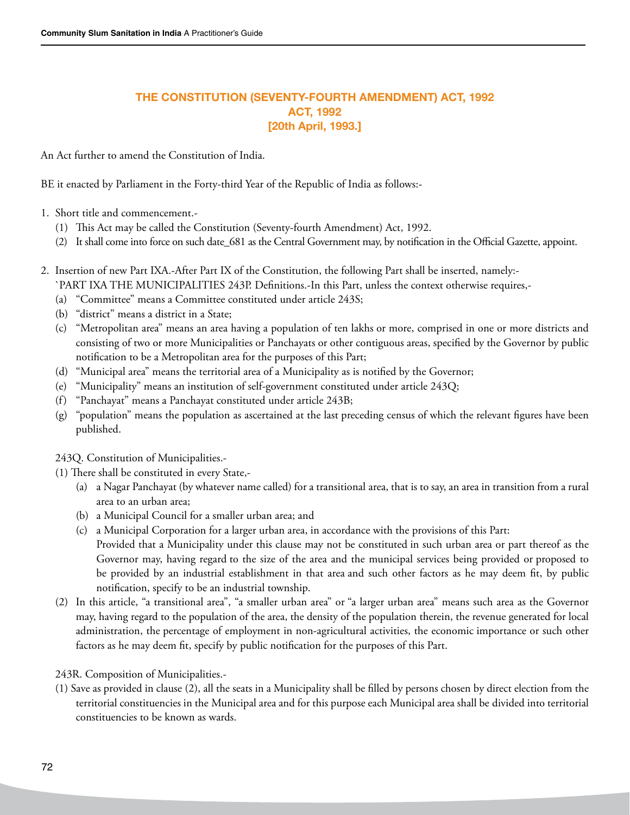# THE CONSTITUTION (SEVENTY-FOURTH AMENDMENT) ACT, 1992 ACT, 1992 [20th April, 1993.]

An Act further to amend the Constitution of India.

BE it enacted by Parliament in the Forty-third Year of the Republic of India as follows:-

- 1. Short title and commencement.-
	- (1) This Act may be called the Constitution (Seventy-fourth Amendment) Act, 1992.
	- (2) It shall come into force on such date\_681 as the Central Government may, by notification in the Official Gazette, appoint.
- 2. Insertion of new Part IXA.-After Part IX of the Constitution, the following Part shall be inserted, namely:- `PART IXA THE MUNICIPALITIES 243P. Definitions.-In this Part, unless the context otherwise requires,-
	- (a) "Committee" means a Committee constituted under article 243S;
	- (b) "district" means a district in a State;
	- (c) "Metropolitan area" means an area having a population of ten lakhs or more, comprised in one or more districts and consisting of two or more Municipalities or Panchayats or other contiguous areas, specified by the Governor by public notification to be a Metropolitan area for the purposes of this Part;
	- (d) "Municipal area" means the territorial area of a Municipality as is notified by the Governor;
	- (e) "Municipality" means an institution of self-government constituted under article 243Q;
	- (f) "Panchayat" means a Panchayat constituted under article 243B;
	- (g) "population" means the population as ascertained at the last preceding census of which the relevant figures have been published.
	- 243Q. Constitution of Municipalities.-
	- (1) There shall be constituted in every State,-
		- (a) a Nagar Panchayat (by whatever name called) for a transitional area, that is to say, an area in transition from a rural area to an urban area;
		- (b) a Municipal Council for a smaller urban area; and
		- (c) a Municipal Corporation for a larger urban area, in accordance with the provisions of this Part:
			- Provided that a Municipality under this clause may not be constituted in such urban area or part thereof as the Governor may, having regard to the size of the area and the municipal services being provided or proposed to be provided by an industrial establishment in that area and such other factors as he may deem fit, by public notification, specify to be an industrial township.
	- (2) In this article, "a transitional area", "a smaller urban area" or "a larger urban area" means such area as the Governor may, having regard to the population of the area, the density of the population therein, the revenue generated for local administration, the percentage of employment in non-agricultural activities, the economic importance or such other factors as he may deem fit, specify by public notification for the purposes of this Part.
	- 243R. Composition of Municipalities.-
	- (1) Save as provided in clause (2), all the seats in a Municipality shall be filled by persons chosen by direct election from the territorial constituencies in the Municipal area and for this purpose each Municipal area shall be divided into territorial constituencies to be known as wards.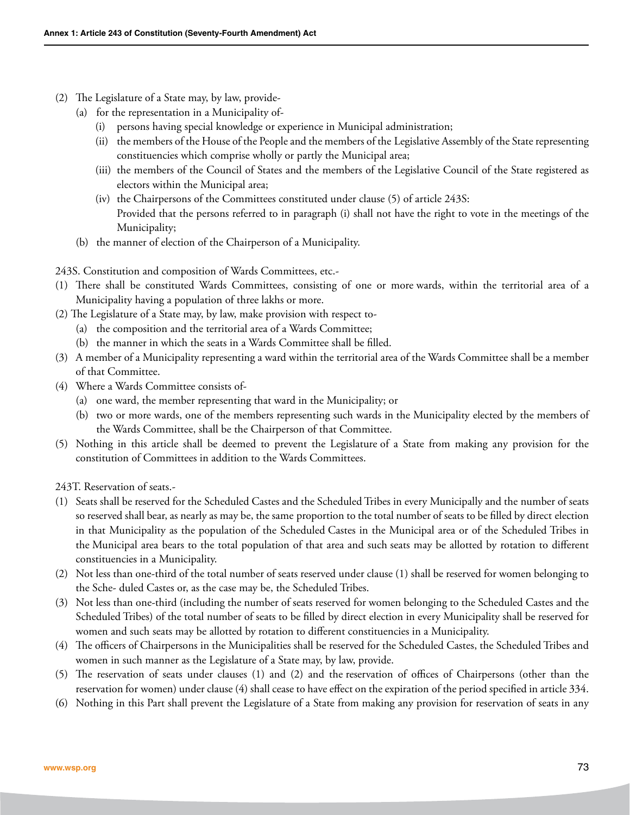- (2) The Legislature of a State may, by law, provide-
	- (a) for the representation in a Municipality of-
		- (i) persons having special knowledge or experience in Municipal administration;
		- (ii) the members of the House of the People and the members of the Legislative Assembly of the State representing constituencies which comprise wholly or partly the Municipal area;
		- (iii) the members of the Council of States and the members of the Legislative Council of the State registered as electors within the Municipal area;
		- (iv) the Chairpersons of the Committees constituted under clause (5) of article 243S: Provided that the persons referred to in paragraph (i) shall not have the right to vote in the meetings of the Municipality;
	- (b) the manner of election of the Chairperson of a Municipality.
- 243S. Constitution and composition of Wards Committees, etc.-
- (1) There shall be constituted Wards Committees, consisting of one or more wards, within the territorial area of a Municipality having a population of three lakhs or more.
- (2) The Legislature of a State may, by law, make provision with respect to-
	- (a) the composition and the territorial area of a Wards Committee;
	- (b) the manner in which the seats in a Wards Committee shall be filled.
- (3) A member of a Municipality representing a ward within the territorial area of the Wards Committee shall be a member of that Committee.
- (4) Where a Wards Committee consists of-
	- (a) one ward, the member representing that ward in the Municipality; or
	- (b) two or more wards, one of the members representing such wards in the Municipality elected by the members of the Wards Committee, shall be the Chairperson of that Committee.
- (5) Nothing in this article shall be deemed to prevent the Legislature of a State from making any provision for the constitution of Committees in addition to the Wards Committees.

243T. Reservation of seats.-

- (1) Seats shall be reserved for the Scheduled Castes and the Scheduled Tribes in every Municipally and the number of seats so reserved shall bear, as nearly as may be, the same proportion to the total number of seats to be filled by direct election in that Municipality as the population of the Scheduled Castes in the Municipal area or of the Scheduled Tribes in the Municipal area bears to the total population of that area and such seats may be allotted by rotation to different constituencies in a Municipality.
- (2) Not less than one-third of the total number of seats reserved under clause (1) shall be reserved for women belonging to the Sche- duled Castes or, as the case may be, the Scheduled Tribes.
- (3) Not less than one-third (including the number of seats reserved for women belonging to the Scheduled Castes and the Scheduled Tribes) of the total number of seats to be filled by direct election in every Municipality shall be reserved for women and such seats may be allotted by rotation to different constituencies in a Municipality.
- (4) The officers of Chairpersons in the Municipalities shall be reserved for the Scheduled Castes, the Scheduled Tribes and women in such manner as the Legislature of a State may, by law, provide.
- (5) The reservation of seats under clauses (1) and (2) and the reservation of offices of Chairpersons (other than the reservation for women) under clause (4) shall cease to have effect on the expiration of the period specified in article 334.
- (6) Nothing in this Part shall prevent the Legislature of a State from making any provision for reservation of seats in any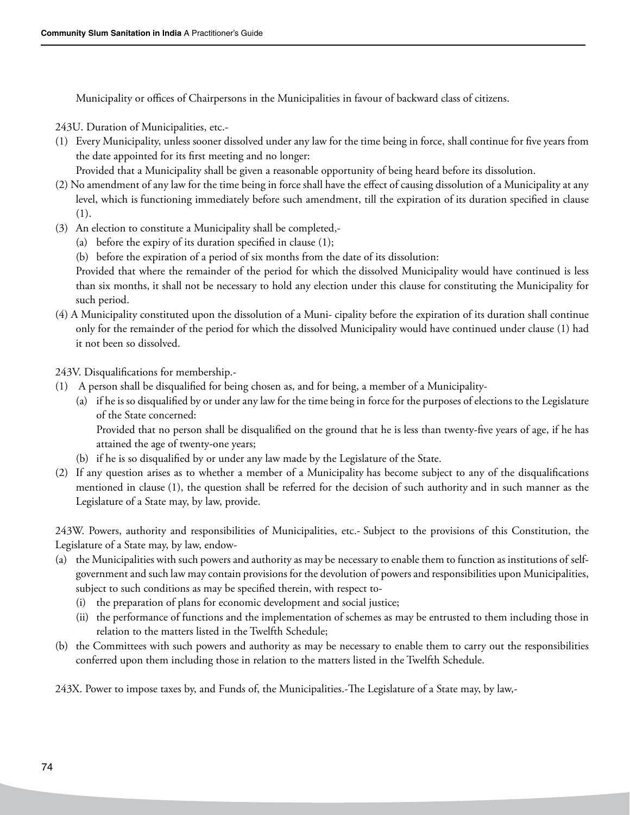Municipality or offices of Chairpersons in the Municipalities in favour of backward class of citizens.

- 243U. Duration of Municipalities, etc.-
- (1) Every Municipality, unless sooner dissolved under any law for the time being in force, shall continue for five years from the date appointed for its first meeting and no longer:
	- Provided that a Municipality shall be given a reasonable opportunity of being heard before its dissolution.
- (2) No amendment of any law for the time being in force shall have the effect of causing dissolution of a Municipality at any level, which is functioning immediately before such amendment, till the expiration of its duration specified in clause (1).
- (3) An election to constitute a Municipality shall be completed,-
	- (a) before the expiry of its duration specified in clause (1);
	- (b) before the expiration of a period of six months from the date of its dissolution:

 Provided that where the remainder of the period for which the dissolved Municipality would have continued is less than six months, it shall not be necessary to hold any election under this clause for constituting the Municipality for such period.

(4) A Municipality constituted upon the dissolution of a Muni- cipality before the expiration of its duration shall continue only for the remainder of the period for which the dissolved Municipality would have continued under clause (1) had it not been so dissolved.

243V. Disqualifications for membership.-

- (1) A person shall be disqualified for being chosen as, and for being, a member of a Municipality-
	- (a) if he is so disqualified by or under any law for the time being in force for the purposes of elections to the Legislature of the State concerned:

 Provided that no person shall be disqualified on the ground that he is less than twenty-five years of age, if he has attained the age of twenty-one years;

- (b) if he is so disqualified by or under any law made by the Legislature of the State.
- (2) If any question arises as to whether a member of a Municipality has become subject to any of the disqualifications mentioned in clause (1), the question shall be referred for the decision of such authority and in such manner as the Legislature of a State may, by law, provide.

243W. Powers, authority and responsibilities of Municipalities, etc.- Subject to the provisions of this Constitution, the Legislature of a State may, by law, endow-

- (a) the Municipalities with such powers and authority as may be necessary to enable them to function as institutions of selfgovernment and such law may contain provisions for the devolution of powers and responsibilities upon Municipalities, subject to such conditions as may be specified therein, with respect to-
	- (i) the preparation of plans for economic development and social justice;
	- (ii) the performance of functions and the implementation of schemes as may be entrusted to them including those in relation to the matters listed in the Twelfth Schedule;
- (b) the Committees with such powers and authority as may be necessary to enable them to carry out the responsibilities conferred upon them including those in relation to the matters listed in the Twelfth Schedule.

243X. Power to impose taxes by, and Funds of, the Municipalities.-The Legislature of a State may, by law,-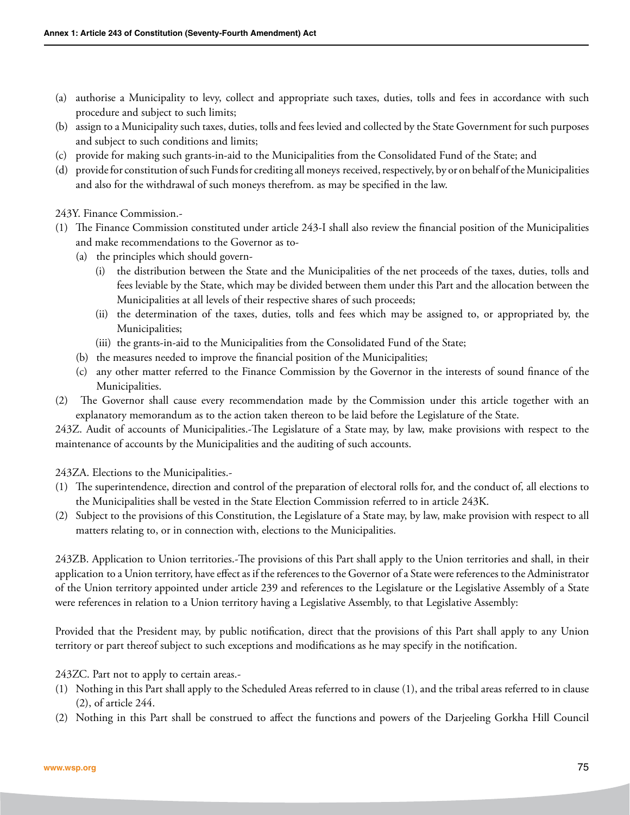- (a) authorise a Municipality to levy, collect and appropriate such taxes, duties, tolls and fees in accordance with such procedure and subject to such limits;
- (b) assign to a Municipality such taxes, duties, tolls and fees levied and collected by the State Government for such purposes and subject to such conditions and limits;
- (c) provide for making such grants-in-aid to the Municipalities from the Consolidated Fund of the State; and
- (d) provide for constitution of such Funds for crediting all moneys received, respectively, by or on behalf of the Municipalities and also for the withdrawal of such moneys therefrom. as may be specified in the law.

243Y. Finance Commission.-

- (1) The Finance Commission constituted under article 243-I shall also review the financial position of the Municipalities and make recommendations to the Governor as to-
	- (a) the principles which should govern-
		- (i) the distribution between the State and the Municipalities of the net proceeds of the taxes, duties, tolls and fees leviable by the State, which may be divided between them under this Part and the allocation between the Municipalities at all levels of their respective shares of such proceeds;
		- (ii) the determination of the taxes, duties, tolls and fees which may be assigned to, or appropriated by, the Municipalities;
		- (iii) the grants-in-aid to the Municipalities from the Consolidated Fund of the State;
	- (b) the measures needed to improve the financial position of the Municipalities;
	- (c) any other matter referred to the Finance Commission by the Governor in the interests of sound finance of the Municipalities.
- (2) The Governor shall cause every recommendation made by the Commission under this article together with an explanatory memorandum as to the action taken thereon to be laid before the Legislature of the State.

243Z. Audit of accounts of Municipalities.-The Legislature of a State may, by law, make provisions with respect to the maintenance of accounts by the Municipalities and the auditing of such accounts.

243ZA. Elections to the Municipalities.-

- (1) The superintendence, direction and control of the preparation of electoral rolls for, and the conduct of, all elections to the Municipalities shall be vested in the State Election Commission referred to in article 243K.
- (2) Subject to the provisions of this Constitution, the Legislature of a State may, by law, make provision with respect to all matters relating to, or in connection with, elections to the Municipalities.

243ZB. Application to Union territories.-The provisions of this Part shall apply to the Union territories and shall, in their application to a Union territory, have effect as if the references to the Governor of a State were references to the Administrator of the Union territory appointed under article 239 and references to the Legislature or the Legislative Assembly of a State were references in relation to a Union territory having a Legislative Assembly, to that Legislative Assembly:

Provided that the President may, by public notification, direct that the provisions of this Part shall apply to any Union territory or part thereof subject to such exceptions and modifications as he may specify in the notification.

243ZC. Part not to apply to certain areas.-

- (1) Nothing in this Part shall apply to the Scheduled Areas referred to in clause (1), and the tribal areas referred to in clause (2), of article 244.
- (2) Nothing in this Part shall be construed to affect the functions and powers of the Darjeeling Gorkha Hill Council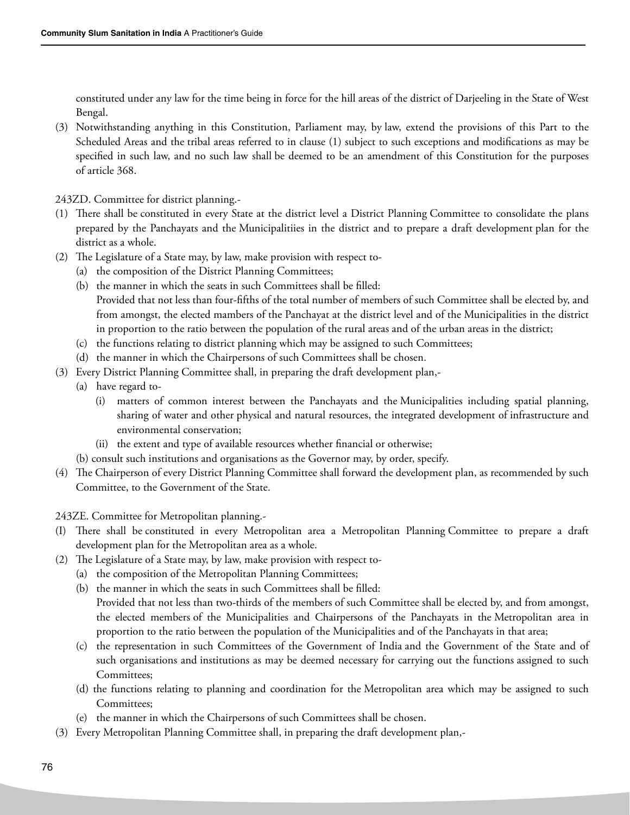constituted under any law for the time being in force for the hill areas of the district of Darjeeling in the State of West Bengal.

(3) Notwithstanding anything in this Constitution, Parliament may, by law, extend the provisions of this Part to the Scheduled Areas and the tribal areas referred to in clause (1) subject to such exceptions and modifications as may be specified in such law, and no such law shall be deemed to be an amendment of this Constitution for the purposes of article 368.

243ZD. Committee for district planning.-

- (1) There shall be constituted in every State at the district level a District Planning Committee to consolidate the plans prepared by the Panchayats and the Municipalitiies in the district and to prepare a draft development plan for the district as a whole.
- (2) The Legislature of a State may, by law, make provision with respect to-
	- (a) the composition of the District Planning Committees;
	- (b) the manner in which the seats in such Committees shall be filled: Provided that not less than four-fifths of the total number of members of such Committee shall be elected by, and from amongst, the elected mambers of the Panchayat at the district level and of the Municipalities in the district in proportion to the ratio between the population of the rural areas and of the urban areas in the district;
	- (c) the functions relating to district planning which may be assigned to such Committees;
	- (d) the manner in which the Chairpersons of such Committees shall be chosen.
- (3) Every District Planning Committee shall, in preparing the draft development plan,-
	- (a) have regard to-
		- (i) matters of common interest between the Panchayats and the Municipalities including spatial planning, sharing of water and other physical and natural resources, the integrated development of infrastructure and environmental conservation;
		- (ii) the extent and type of available resources whether financial or otherwise;
	- (b) consult such institutions and organisations as the Governor may, by order, specify.
- (4) The Chairperson of every District Planning Committee shall forward the development plan, as recommended by such Committee, to the Government of the State.

243ZE. Committee for Metropolitan planning.-

- (I) There shall be constituted in every Metropolitan area a Metropolitan Planning Committee to prepare a draft development plan for the Metropolitan area as a whole.
- (2) The Legislature of a State may, by law, make provision with respect to-
	- (a) the composition of the Metropolitan Planning Committees;
	- (b) the manner in which the seats in such Committees shall be filled: Provided that not less than two-thirds of the members of such Committee shall be elected by, and from amongst, the elected members of the Municipalities and Chairpersons of the Panchayats in the Metropolitan area in proportion to the ratio between the population of the Municipalities and of the Panchayats in that area;
	- (c) the representation in such Committees of the Government of India and the Government of the State and of such organisations and institutions as may be deemed necessary for carrying out the functions assigned to such Committees;
	- (d) the functions relating to planning and coordination for the Metropolitan area which may be assigned to such Committees;
	- (e) the manner in which the Chairpersons of such Committees shall be chosen.
- (3) Every Metropolitan Planning Committee shall, in preparing the draft development plan,-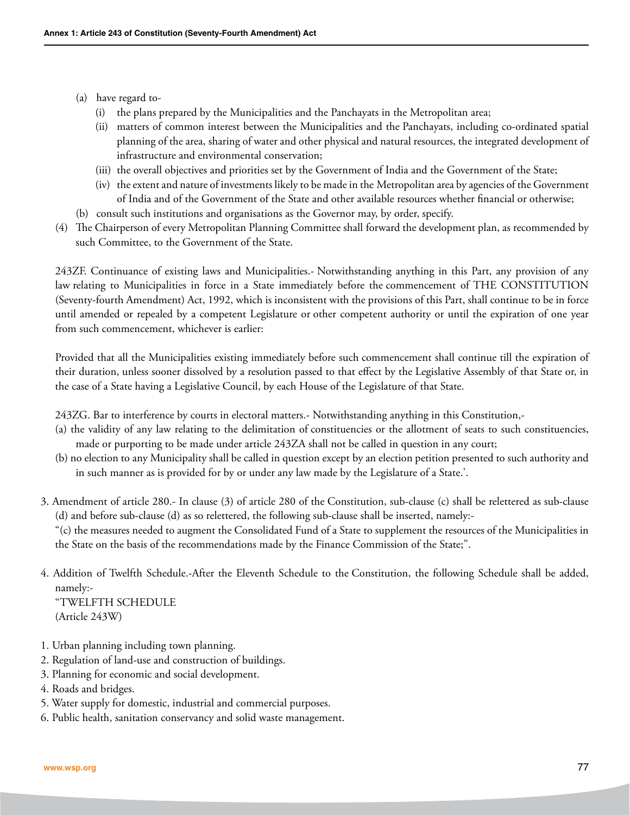- (a) have regard to-
	- (i) the plans prepared by the Municipalities and the Panchayats in the Metropolitan area;
	- (ii) matters of common interest between the Municipalities and the Panchayats, including co-ordinated spatial planning of the area, sharing of water and other physical and natural resources, the integrated development of infrastructure and environmental conservation;
	- (iii) the overall objectives and priorities set by the Government of India and the Government of the State;
	- (iv) the extent and nature of investments likely to be made in the Metropolitan area by agencies of the Government of India and of the Government of the State and other available resources whether financial or otherwise;
- (b) consult such institutions and organisations as the Governor may, by order, specify.
- (4) The Chairperson of every Metropolitan Planning Committee shall forward the development plan, as recommended by such Committee, to the Government of the State.

243ZF. Continuance of existing laws and Municipalities.- Notwithstanding anything in this Part, any provision of any law relating to Municipalities in force in a State immediately before the commencement of THE CONSTITUTION (Seventy-fourth Amendment) Act, 1992, which is inconsistent with the provisions of this Part, shall continue to be in force until amended or repealed by a competent Legislature or other competent authority or until the expiration of one year from such commencement, whichever is earlier:

Provided that all the Municipalities existing immediately before such commencement shall continue till the expiration of their duration, unless sooner dissolved by a resolution passed to that effect by the Legislative Assembly of that State or, in the case of a State having a Legislative Council, by each House of the Legislature of that State.

243ZG. Bar to interference by courts in electoral matters.- Notwithstanding anything in this Constitution,-

- (a) the validity of any law relating to the delimitation of constituencies or the allotment of seats to such constituencies, made or purporting to be made under article 243ZA shall not be called in question in any court;
- (b) no election to any Municipality shall be called in question except by an election petition presented to such authority and in such manner as is provided for by or under any law made by the Legislature of a State.'.
- 3. Amendment of article 280.- In clause (3) of article 280 of the Constitution, sub-clause (c) shall be relettered as sub-clause (d) and before sub-clause (d) as so relettered, the following sub-clause shall be inserted, namely:-

"(c) the measures needed to augment the Consolidated Fund of a State to supplement the resources of the Municipalities in the State on the basis of the recommendations made by the Finance Commission of the State;".

4. Addition of Twelfth Schedule.-After the Eleventh Schedule to the Constitution, the following Schedule shall be added, namely:-

"TWELFTH SCHEDULE (Article 243W)

- 1. Urban planning including town planning.
- 2. Regulation of land-use and construction of buildings.
- 3. Planning for economic and social development.
- 4. Roads and bridges.
- 5. Water supply for domestic, industrial and commercial purposes.
- 6. Public health, sanitation conservancy and solid waste management.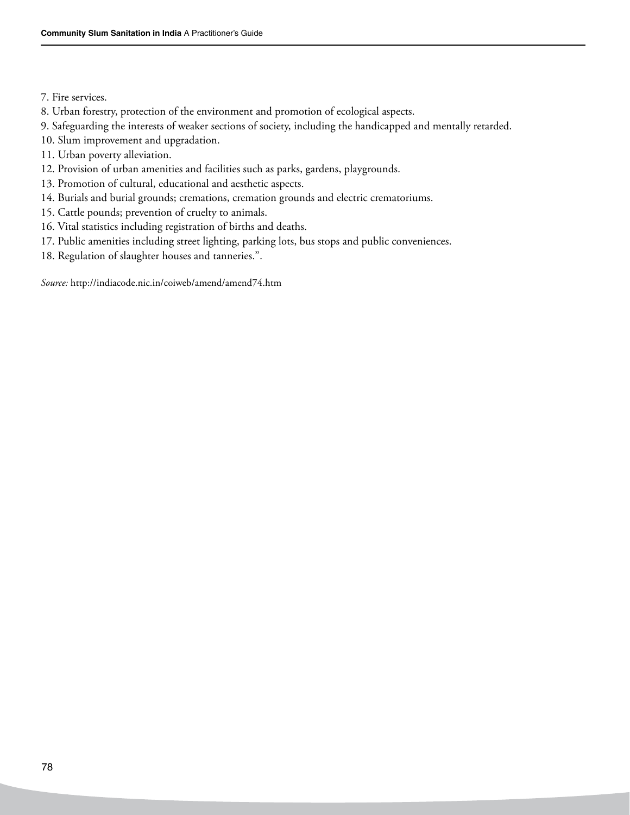## 7. Fire services.

- 8. Urban forestry, protection of the environment and promotion of ecological aspects.
- 9. Safeguarding the interests of weaker sections of society, including the handicapped and mentally retarded.
- 10. Slum improvement and upgradation.
- 11. Urban poverty alleviation.
- 12. Provision of urban amenities and facilities such as parks, gardens, playgrounds.
- 13. Promotion of cultural, educational and aesthetic aspects.
- 14. Burials and burial grounds; cremations, cremation grounds and electric crematoriums.
- 15. Cattle pounds; prevention of cruelty to animals.
- 16. Vital statistics including registration of births and deaths.
- 17. Public amenities including street lighting, parking lots, bus stops and public conveniences.
- 18. Regulation of slaughter houses and tanneries.''.

*Source:* http://indiacode.nic.in/coiweb/amend/amend74.htm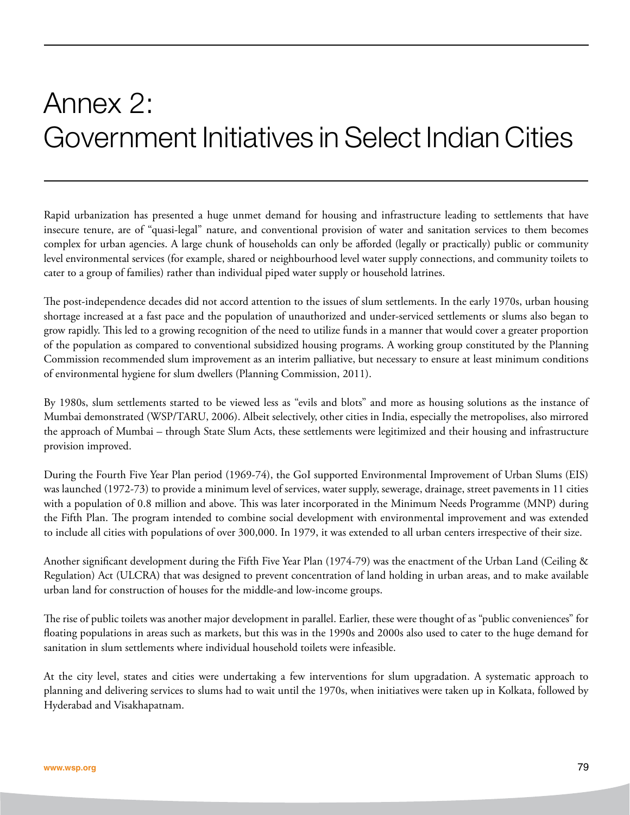# Annex 2: Government Initiatives in Select Indian Cities

Rapid urbanization has presented a huge unmet demand for housing and infrastructure leading to settlements that have insecure tenure, are of "quasi-legal" nature, and conventional provision of water and sanitation services to them becomes complex for urban agencies. A large chunk of households can only be afforded (legally or practically) public or community level environmental services (for example, shared or neighbourhood level water supply connections, and community toilets to cater to a group of families) rather than individual piped water supply or household latrines.

The post-independence decades did not accord attention to the issues of slum settlements. In the early 1970s, urban housing shortage increased at a fast pace and the population of unauthorized and under-serviced settlements or slums also began to grow rapidly. This led to a growing recognition of the need to utilize funds in a manner that would cover a greater proportion of the population as compared to conventional subsidized housing programs. A working group constituted by the Planning Commission recommended slum improvement as an interim palliative, but necessary to ensure at least minimum conditions of environmental hygiene for slum dwellers (Planning Commission, 2011).

By 1980s, slum settlements started to be viewed less as "evils and blots" and more as housing solutions as the instance of Mumbai demonstrated (WSP/TARU, 2006). Albeit selectively, other cities in India, especially the metropolises, also mirrored the approach of Mumbai – through State Slum Acts, these settlements were legitimized and their housing and infrastructure provision improved.

During the Fourth Five Year Plan period (1969-74), the GoI supported Environmental Improvement of Urban Slums (EIS) was launched (1972-73) to provide a minimum level of services, water supply, sewerage, drainage, street pavements in 11 cities with a population of 0.8 million and above. This was later incorporated in the Minimum Needs Programme (MNP) during the Fifth Plan. The program intended to combine social development with environmental improvement and was extended to include all cities with populations of over 300,000. In 1979, it was extended to all urban centers irrespective of their size.

Another significant development during the Fifth Five Year Plan (1974-79) was the enactment of the Urban Land (Ceiling & Regulation) Act (ULCRA) that was designed to prevent concentration of land holding in urban areas, and to make available urban land for construction of houses for the middle-and low-income groups.

The rise of public toilets was another major development in parallel. Earlier, these were thought of as "public conveniences" for floating populations in areas such as markets, but this was in the 1990s and 2000s also used to cater to the huge demand for sanitation in slum settlements where individual household toilets were infeasible.

At the city level, states and cities were undertaking a few interventions for slum upgradation. A systematic approach to planning and delivering services to slums had to wait until the 1970s, when initiatives were taken up in Kolkata, followed by Hyderabad and Visakhapatnam.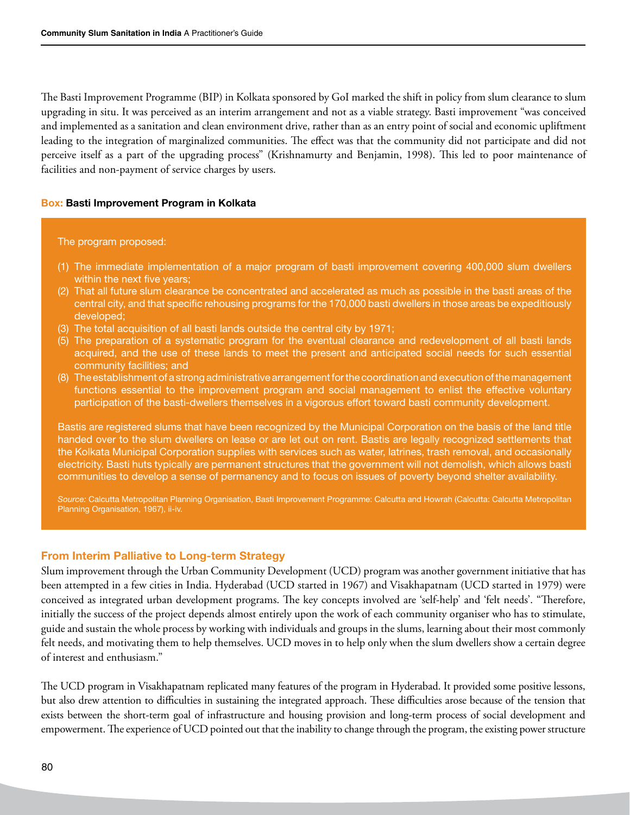The Basti Improvement Programme (BIP) in Kolkata sponsored by GoI marked the shift in policy from slum clearance to slum upgrading in situ. It was perceived as an interim arrangement and not as a viable strategy. Basti improvement "was conceived and implemented as a sanitation and clean environment drive, rather than as an entry point of social and economic upliftment leading to the integration of marginalized communities. The effect was that the community did not participate and did not perceive itself as a part of the upgrading process" (Krishnamurty and Benjamin, 1998). This led to poor maintenance of facilities and non-payment of service charges by users.

## Box: Basti Improvement Program in Kolkata

#### The program proposed:

- (1) The immediate implementation of a major program of basti improvement covering 400,000 slum dwellers within the next five years;
- (2) That all future slum clearance be concentrated and accelerated as much as possible in the basti areas of the central city, and that specific rehousing programs for the 170,000 basti dwellers in those areas be expeditiously developed;
- (3) The total acquisition of all basti lands outside the central city by 1971;
- (5) The preparation of a systematic program for the eventual clearance and redevelopment of all basti lands acquired, and the use of these lands to meet the present and anticipated social needs for such essential community facilities; and
- (8) The establishment of a strong administrative arrangement for the coordination and execution of the management functions essential to the improvement program and social management to enlist the effective voluntary participation of the basti-dwellers themselves in a vigorous effort toward basti community development.

Bastis are registered slums that have been recognized by the Municipal Corporation on the basis of the land title handed over to the slum dwellers on lease or are let out on rent. Bastis are legally recognized settlements that the Kolkata Municipal Corporation supplies with services such as water, latrines, trash removal, and occasionally electricity. Basti huts typically are permanent structures that the government will not demolish, which allows basti communities to develop a sense of permanency and to focus on issues of poverty beyond shelter availability.

*Source:* Calcutta Metropolitan Planning Organisation, Basti Improvement Programme: Calcutta and Howrah (Calcutta: Calcutta Metropolitan Planning Organisation, 1967), ii-iv.

### From Interim Palliative to Long-term Strategy

Slum improvement through the Urban Community Development (UCD) program was another government initiative that has been attempted in a few cities in India. Hyderabad (UCD started in 1967) and Visakhapatnam (UCD started in 1979) were conceived as integrated urban development programs. The key concepts involved are 'self-help' and 'felt needs'. "Therefore, initially the success of the project depends almost entirely upon the work of each community organiser who has to stimulate, guide and sustain the whole process by working with individuals and groups in the slums, learning about their most commonly felt needs, and motivating them to help themselves. UCD moves in to help only when the slum dwellers show a certain degree of interest and enthusiasm."

The UCD program in Visakhapatnam replicated many features of the program in Hyderabad. It provided some positive lessons, but also drew attention to difficulties in sustaining the integrated approach. These difficulties arose because of the tension that exists between the short-term goal of infrastructure and housing provision and long-term process of social development and empowerment. The experience of UCD pointed out that the inability to change through the program, the existing power structure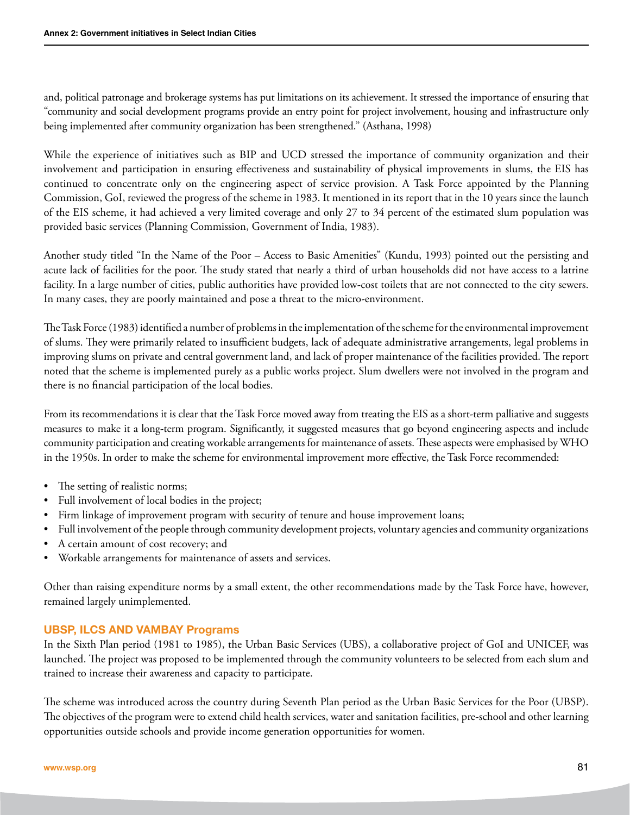and, political patronage and brokerage systems has put limitations on its achievement. It stressed the importance of ensuring that "community and social development programs provide an entry point for project involvement, housing and infrastructure only being implemented after community organization has been strengthened." (Asthana, 1998)

While the experience of initiatives such as BIP and UCD stressed the importance of community organization and their involvement and participation in ensuring effectiveness and sustainability of physical improvements in slums, the EIS has continued to concentrate only on the engineering aspect of service provision. A Task Force appointed by the Planning Commission, GoI, reviewed the progress of the scheme in 1983. It mentioned in its report that in the 10 years since the launch of the EIS scheme, it had achieved a very limited coverage and only 27 to 34 percent of the estimated slum population was provided basic services (Planning Commission, Government of India, 1983).

Another study titled "In the Name of the Poor – Access to Basic Amenities" (Kundu, 1993) pointed out the persisting and acute lack of facilities for the poor. The study stated that nearly a third of urban households did not have access to a latrine facility. In a large number of cities, public authorities have provided low-cost toilets that are not connected to the city sewers. In many cases, they are poorly maintained and pose a threat to the micro-environment.

The Task Force (1983) identified a number of problems in the implementation of the scheme for the environmental improvement of slums. They were primarily related to insufficient budgets, lack of adequate administrative arrangements, legal problems in improving slums on private and central government land, and lack of proper maintenance of the facilities provided. The report noted that the scheme is implemented purely as a public works project. Slum dwellers were not involved in the program and there is no financial participation of the local bodies.

From its recommendations it is clear that the Task Force moved away from treating the EIS as a short-term palliative and suggests measures to make it a long-term program. Significantly, it suggested measures that go beyond engineering aspects and include community participation and creating workable arrangements for maintenance of assets. These aspects were emphasised by WHO in the 1950s. In order to make the scheme for environmental improvement more effective, the Task Force recommended:

- The setting of realistic norms;
- • Full involvement of local bodies in the project;
- • Firm linkage of improvement program with security of tenure and house improvement loans;
- Full involvement of the people through community development projects, voluntary agencies and community organizations
- • A certain amount of cost recovery; and
- • Workable arrangements for maintenance of assets and services.

Other than raising expenditure norms by a small extent, the other recommendations made by the Task Force have, however, remained largely unimplemented.

## UBSP, ILCS AND VAMBAY Programs

In the Sixth Plan period (1981 to 1985), the Urban Basic Services (UBS), a collaborative project of GoI and UNICEF, was launched. The project was proposed to be implemented through the community volunteers to be selected from each slum and trained to increase their awareness and capacity to participate.

The scheme was introduced across the country during Seventh Plan period as the Urban Basic Services for the Poor (UBSP). The objectives of the program were to extend child health services, water and sanitation facilities, pre-school and other learning opportunities outside schools and provide income generation opportunities for women.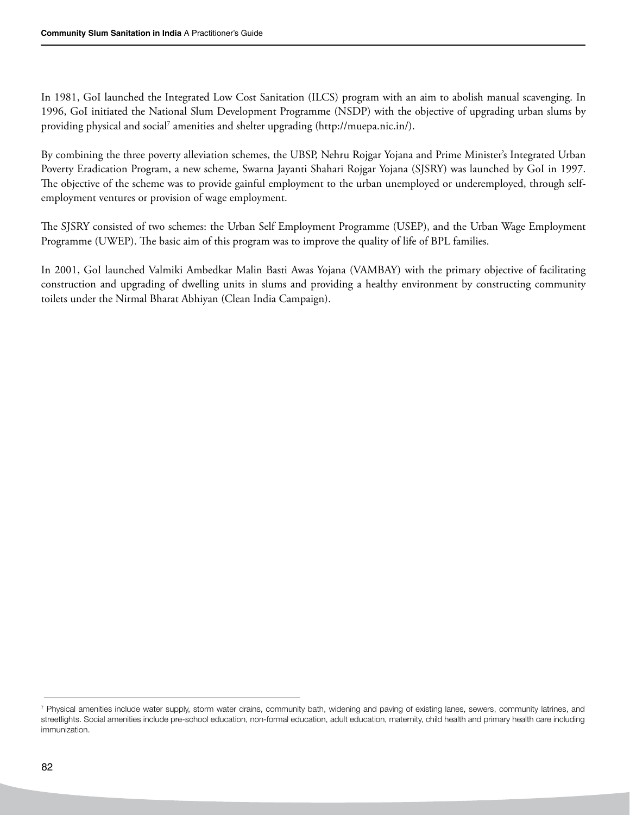In 1981, GoI launched the Integrated Low Cost Sanitation (ILCS) program with an aim to abolish manual scavenging. In 1996, GoI initiated the National Slum Development Programme (NSDP) with the objective of upgrading urban slums by providing physical and social<sup>7</sup> amenities and shelter upgrading (http://muepa.nic.in/).

By combining the three poverty alleviation schemes, the UBSP, Nehru Rojgar Yojana and Prime Minister's Integrated Urban Poverty Eradication Program, a new scheme, Swarna Jayanti Shahari Rojgar Yojana (SJSRY) was launched by GoI in 1997. The objective of the scheme was to provide gainful employment to the urban unemployed or underemployed, through selfemployment ventures or provision of wage employment.

The SJSRY consisted of two schemes: the Urban Self Employment Programme (USEP), and the Urban Wage Employment Programme (UWEP). The basic aim of this program was to improve the quality of life of BPL families.

In 2001, GoI launched Valmiki Ambedkar Malin Basti Awas Yojana (VAMBAY) with the primary objective of facilitating construction and upgrading of dwelling units in slums and providing a healthy environment by constructing community toilets under the Nirmal Bharat Abhiyan (Clean India Campaign).

<sup>7</sup> Physical amenities include water supply, storm water drains, community bath, widening and paving of existing lanes, sewers, community latrines, and streetlights. Social amenities include pre-school education, non-formal education, adult education, maternity, child health and primary health care including immunization.